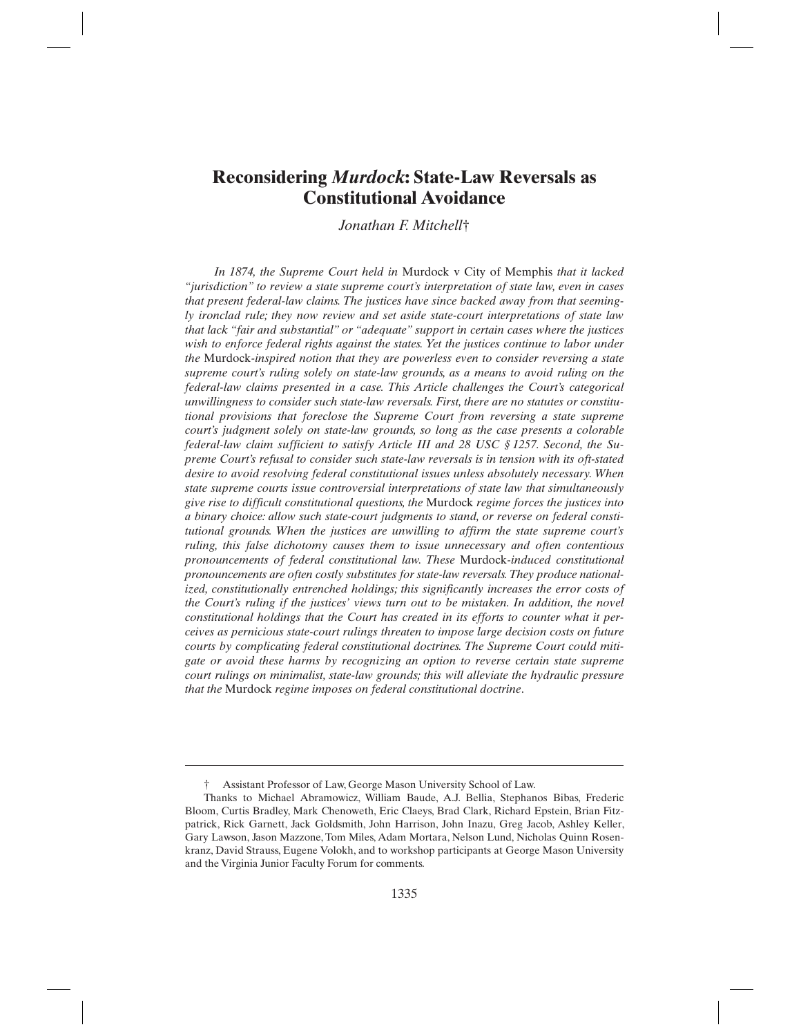# **Reconsidering** *Murdock***: State-Law Reversals as Constitutional Avoidance**

*Jonathan F. Mitchell*†

*In 1874, the Supreme Court held in* Murdock v City of Memphis *that it lacked "jurisdiction" to review a state supreme court's interpretation of state law, even in cases that present federal-law claims. The justices have since backed away from that seemingly ironclad rule; they now review and set aside state-court interpretations of state law that lack "fair and substantial" or "adequate" support in certain cases where the justices wish to enforce federal rights against the states. Yet the justices continue to labor under the* Murdock*-inspired notion that they are powerless even to consider reversing a state supreme court's ruling solely on state-law grounds, as a means to avoid ruling on the federal-law claims presented in a case. This Article challenges the Court's categorical unwillingness to consider such state-law reversals. First, there are no statutes or constitutional provisions that foreclose the Supreme Court from reversing a state supreme court's judgment solely on state-law grounds, so long as the case presents a colorable federal-law claim sufficient to satisfy Article III and 28 USC § 1257. Second, the Supreme Court's refusal to consider such state-law reversals is in tension with its oft-stated desire to avoid resolving federal constitutional issues unless absolutely necessary. When state supreme courts issue controversial interpretations of state law that simultaneously give rise to difficult constitutional questions, the* Murdock *regime forces the justices into a binary choice: allow such state-court judgments to stand, or reverse on federal constitutional grounds. When the justices are unwilling to affirm the state supreme court's ruling, this false dichotomy causes them to issue unnecessary and often contentious pronouncements of federal constitutional law. These* Murdock*-induced constitutional pronouncements are often costly substitutes for state-law reversals. They produce nationalized, constitutionally entrenched holdings; this significantly increases the error costs of the Court's ruling if the justices' views turn out to be mistaken. In addition, the novel constitutional holdings that the Court has created in its efforts to counter what it perceives as pernicious state-court rulings threaten to impose large decision costs on future courts by complicating federal constitutional doctrines. The Supreme Court could mitigate or avoid these harms by recognizing an option to reverse certain state supreme court rulings on minimalist, state-law grounds; this will alleviate the hydraulic pressure that the* Murdock *regime imposes on federal constitutional doctrine*.

<sup>†</sup> Assistant Professor of Law, George Mason University School of Law.

Thanks to Michael Abramowicz, William Baude, A.J. Bellia, Stephanos Bibas, Frederic Bloom, Curtis Bradley, Mark Chenoweth, Eric Claeys, Brad Clark, Richard Epstein, Brian Fitzpatrick, Rick Garnett, Jack Goldsmith, John Harrison, John Inazu, Greg Jacob, Ashley Keller, Gary Lawson, Jason Mazzone, Tom Miles, Adam Mortara, Nelson Lund, Nicholas Quinn Rosenkranz, David Strauss, Eugene Volokh, and to workshop participants at George Mason University and the Virginia Junior Faculty Forum for comments.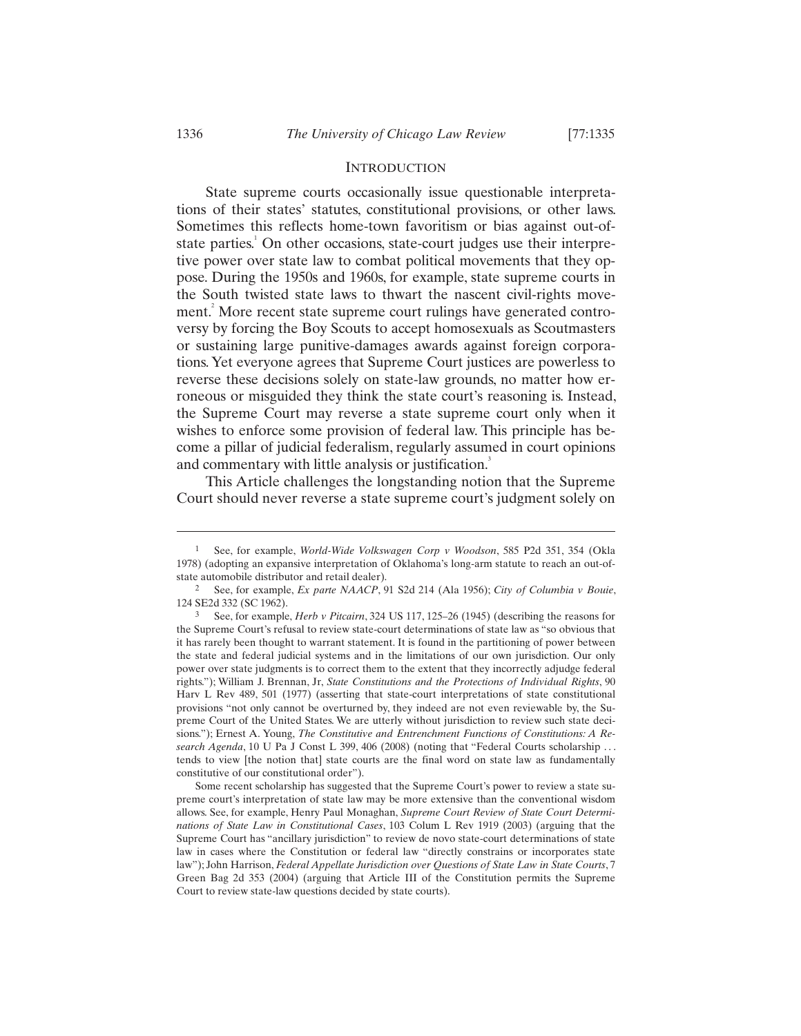### INTRODUCTION

State supreme courts occasionally issue questionable interpretations of their states' statutes, constitutional provisions, or other laws. Sometimes this reflects home-town favoritism or bias against out-ofstate parties.<sup>1</sup> On other occasions, state-court judges use their interpretive power over state law to combat political movements that they oppose. During the 1950s and 1960s, for example, state supreme courts in the South twisted state laws to thwart the nascent civil-rights movement.<sup>2</sup> More recent state supreme court rulings have generated controversy by forcing the Boy Scouts to accept homosexuals as Scoutmasters or sustaining large punitive-damages awards against foreign corporations. Yet everyone agrees that Supreme Court justices are powerless to reverse these decisions solely on state-law grounds, no matter how erroneous or misguided they think the state court's reasoning is. Instead, the Supreme Court may reverse a state supreme court only when it wishes to enforce some provision of federal law. This principle has become a pillar of judicial federalism, regularly assumed in court opinions and commentary with little analysis or justification.<sup>3</sup>

This Article challenges the longstanding notion that the Supreme Court should never reverse a state supreme court's judgment solely on

<sup>1</sup> See, for example, *World-Wide Volkswagen Corp v Woodson*, 585 P2d 351, 354 (Okla 1978) (adopting an expansive interpretation of Oklahoma's long-arm statute to reach an out-ofstate automobile distributor and retail dealer).

<sup>2</sup> See, for example, *Ex parte NAACP*, 91 S2d 214 (Ala 1956); *City of Columbia v Bouie*, 124 SE2d 332 (SC 1962). 3 See, for example, *Herb v Pitcairn*, 324 US 117, 125–26 (1945) (describing the reasons for

the Supreme Court's refusal to review state-court determinations of state law as "so obvious that it has rarely been thought to warrant statement. It is found in the partitioning of power between the state and federal judicial systems and in the limitations of our own jurisdiction. Our only power over state judgments is to correct them to the extent that they incorrectly adjudge federal rights."); William J. Brennan, Jr, *State Constitutions and the Protections of Individual Rights*, 90 Harv L Rev 489, 501 (1977) (asserting that state-court interpretations of state constitutional provisions "not only cannot be overturned by, they indeed are not even reviewable by, the Supreme Court of the United States. We are utterly without jurisdiction to review such state decisions."); Ernest A. Young, *The Constitutive and Entrenchment Functions of Constitutions: A Research Agenda*, 10 U Pa J Const L 399, 406 (2008) (noting that "Federal Courts scholarship . . . tends to view [the notion that] state courts are the final word on state law as fundamentally constitutive of our constitutional order").

Some recent scholarship has suggested that the Supreme Court's power to review a state supreme court's interpretation of state law may be more extensive than the conventional wisdom allows. See, for example, Henry Paul Monaghan, *Supreme Court Review of State Court Determinations of State Law in Constitutional Cases*, 103 Colum L Rev 1919 (2003) (arguing that the Supreme Court has "ancillary jurisdiction" to review de novo state-court determinations of state law in cases where the Constitution or federal law "directly constrains or incorporates state law"); John Harrison, *Federal Appellate Jurisdiction over Questions of State Law in State Courts*, 7 Green Bag 2d 353 (2004) (arguing that Article III of the Constitution permits the Supreme Court to review state-law questions decided by state courts).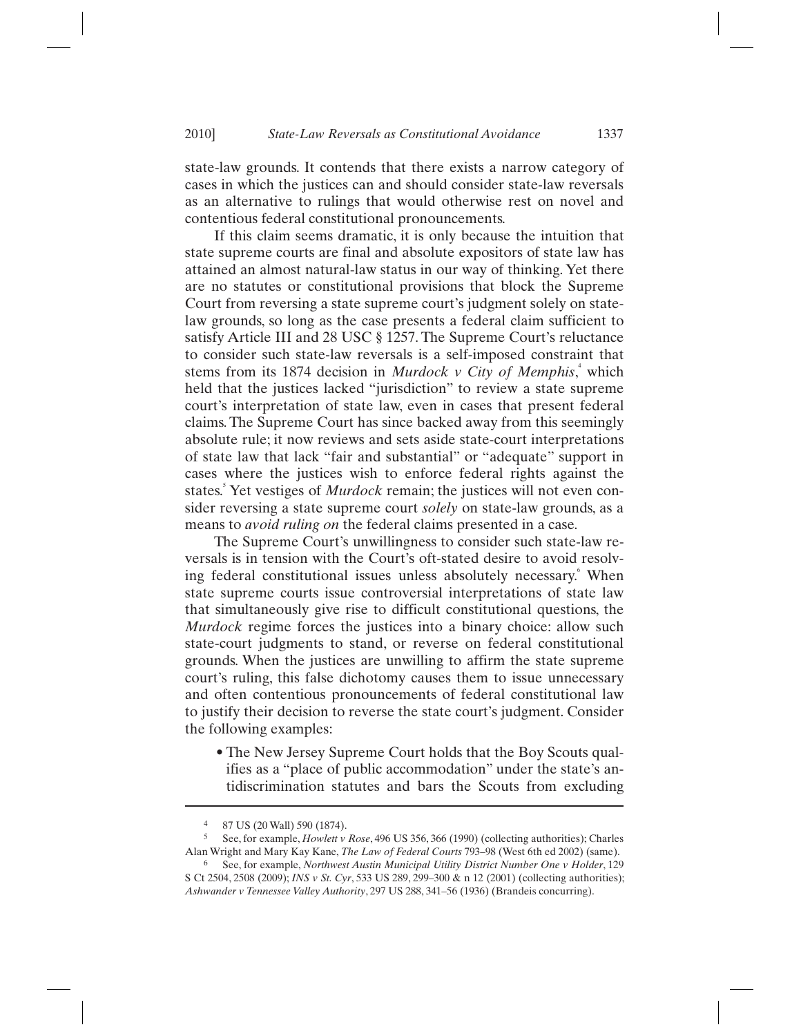state-law grounds. It contends that there exists a narrow category of cases in which the justices can and should consider state-law reversals as an alternative to rulings that would otherwise rest on novel and contentious federal constitutional pronouncements.

If this claim seems dramatic, it is only because the intuition that state supreme courts are final and absolute expositors of state law has attained an almost natural-law status in our way of thinking. Yet there are no statutes or constitutional provisions that block the Supreme Court from reversing a state supreme court's judgment solely on statelaw grounds, so long as the case presents a federal claim sufficient to satisfy Article III and 28 USC § 1257. The Supreme Court's reluctance to consider such state-law reversals is a self-imposed constraint that stems from its 1874 decision in *Murdock v City of Memphis*,<sup>4</sup> which held that the justices lacked "jurisdiction" to review a state supreme court's interpretation of state law, even in cases that present federal claims. The Supreme Court has since backed away from this seemingly absolute rule; it now reviews and sets aside state-court interpretations of state law that lack "fair and substantial" or "adequate" support in cases where the justices wish to enforce federal rights against the states.<sup>5</sup> Yet vestiges of *Murdock* remain; the justices will not even consider reversing a state supreme court *solely* on state-law grounds, as a means to *avoid ruling on* the federal claims presented in a case.

The Supreme Court's unwillingness to consider such state-law reversals is in tension with the Court's oft-stated desire to avoid resolving federal constitutional issues unless absolutely necessary. When state supreme courts issue controversial interpretations of state law that simultaneously give rise to difficult constitutional questions, the *Murdock* regime forces the justices into a binary choice: allow such state-court judgments to stand, or reverse on federal constitutional grounds. When the justices are unwilling to affirm the state supreme court's ruling, this false dichotomy causes them to issue unnecessary and often contentious pronouncements of federal constitutional law to justify their decision to reverse the state court's judgment. Consider the following examples:

• The New Jersey Supreme Court holds that the Boy Scouts qualifies as a "place of public accommodation" under the state's antidiscrimination statutes and bars the Scouts from excluding

<sup>4 87</sup> US (20 Wall) 590 (1874).

<sup>5</sup> See, for example, *Howlett v Rose*, 496 US 356, 366 (1990) (collecting authorities); Charles Alan Wright and Mary Kay Kane, *The Law of Federal Courts* 793–98 (West 6th ed 2002) (same).

<sup>6</sup> See, for example, *Northwest Austin Municipal Utility District Number One v Holder*, 129 S Ct 2504, 2508 (2009); *INS v St. Cyr*, 533 US 289, 299–300 & n 12 (2001) (collecting authorities); *Ashwander v Tennessee Valley Authority*, 297 US 288, 341–56 (1936) (Brandeis concurring).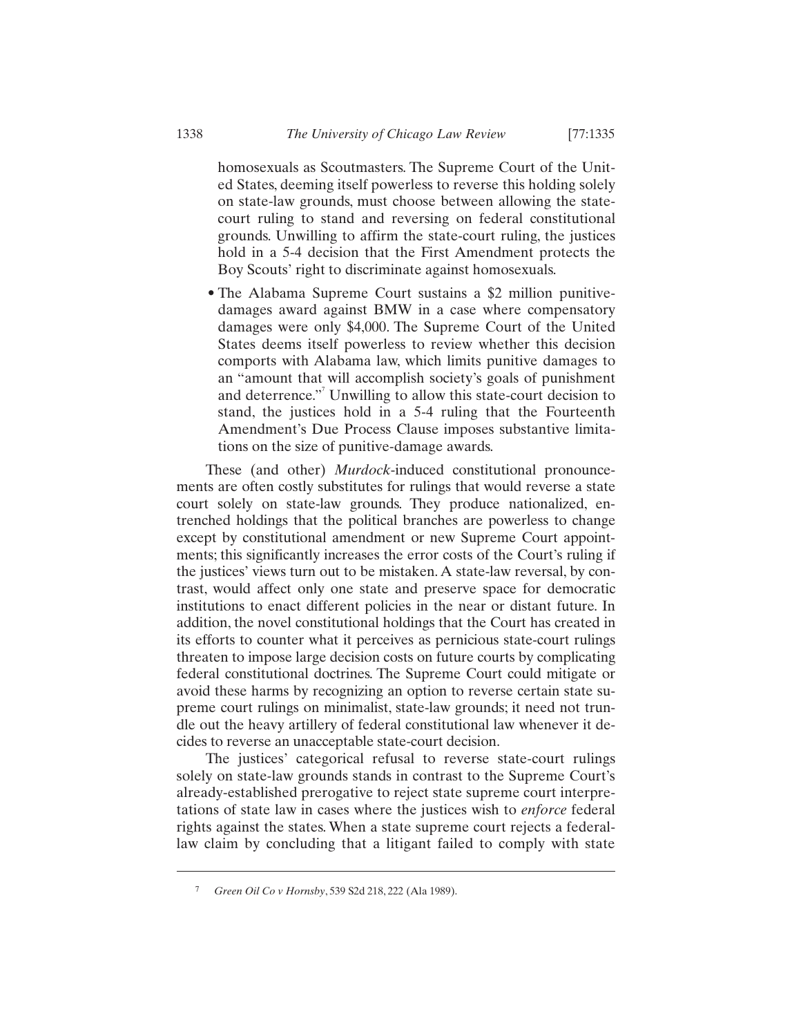homosexuals as Scoutmasters. The Supreme Court of the United States, deeming itself powerless to reverse this holding solely on state-law grounds, must choose between allowing the statecourt ruling to stand and reversing on federal constitutional grounds. Unwilling to affirm the state-court ruling, the justices hold in a 5-4 decision that the First Amendment protects the Boy Scouts' right to discriminate against homosexuals.

• The Alabama Supreme Court sustains a \$2 million punitivedamages award against BMW in a case where compensatory damages were only \$4,000. The Supreme Court of the United States deems itself powerless to review whether this decision comports with Alabama law, which limits punitive damages to an "amount that will accomplish society's goals of punishment and deterrence."<sup>7</sup> Unwilling to allow this state-court decision to stand, the justices hold in a 5-4 ruling that the Fourteenth Amendment's Due Process Clause imposes substantive limitations on the size of punitive-damage awards.

These (and other) *Murdock*-induced constitutional pronouncements are often costly substitutes for rulings that would reverse a state court solely on state-law grounds. They produce nationalized, entrenched holdings that the political branches are powerless to change except by constitutional amendment or new Supreme Court appointments; this significantly increases the error costs of the Court's ruling if the justices' views turn out to be mistaken. A state-law reversal, by contrast, would affect only one state and preserve space for democratic institutions to enact different policies in the near or distant future. In addition, the novel constitutional holdings that the Court has created in its efforts to counter what it perceives as pernicious state-court rulings threaten to impose large decision costs on future courts by complicating federal constitutional doctrines. The Supreme Court could mitigate or avoid these harms by recognizing an option to reverse certain state supreme court rulings on minimalist, state-law grounds; it need not trundle out the heavy artillery of federal constitutional law whenever it decides to reverse an unacceptable state-court decision.

The justices' categorical refusal to reverse state-court rulings solely on state-law grounds stands in contrast to the Supreme Court's already-established prerogative to reject state supreme court interpretations of state law in cases where the justices wish to *enforce* federal rights against the states. When a state supreme court rejects a federallaw claim by concluding that a litigant failed to comply with state

<sup>7</sup> *Green Oil Co v Hornsby*, 539 S2d 218, 222 (Ala 1989).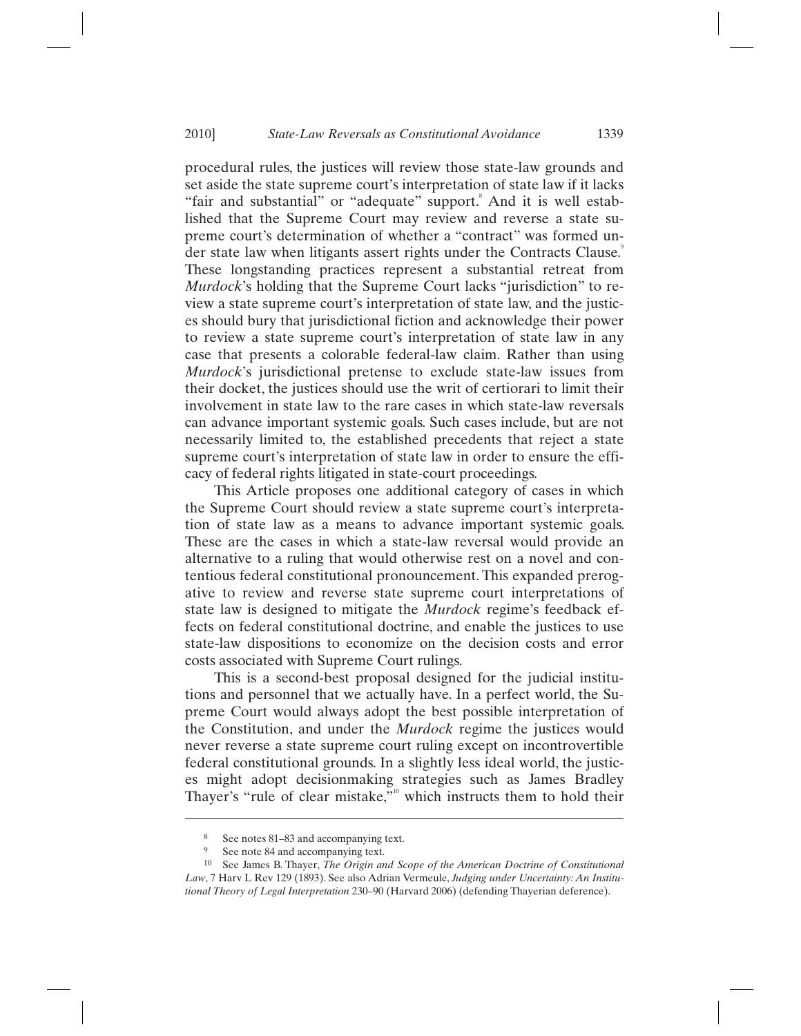procedural rules, the justices will review those state-law grounds and set aside the state supreme court's interpretation of state law if it lacks "fair and substantial" or "adequate" support. And it is well established that the Supreme Court may review and reverse a state supreme court's determination of whether a "contract" was formed under state law when litigants assert rights under the Contracts Clause.<sup>9</sup> These longstanding practices represent a substantial retreat from *Murdock*'s holding that the Supreme Court lacks "jurisdiction" to review a state supreme court's interpretation of state law, and the justices should bury that jurisdictional fiction and acknowledge their power to review a state supreme court's interpretation of state law in any case that presents a colorable federal-law claim. Rather than using *Murdock*'s jurisdictional pretense to exclude state-law issues from their docket, the justices should use the writ of certiorari to limit their involvement in state law to the rare cases in which state-law reversals can advance important systemic goals. Such cases include, but are not necessarily limited to, the established precedents that reject a state supreme court's interpretation of state law in order to ensure the efficacy of federal rights litigated in state-court proceedings.

This Article proposes one additional category of cases in which the Supreme Court should review a state supreme court's interpretation of state law as a means to advance important systemic goals. These are the cases in which a state-law reversal would provide an alternative to a ruling that would otherwise rest on a novel and contentious federal constitutional pronouncement. This expanded prerogative to review and reverse state supreme court interpretations of state law is designed to mitigate the *Murdock* regime's feedback effects on federal constitutional doctrine, and enable the justices to use state-law dispositions to economize on the decision costs and error costs associated with Supreme Court rulings.

This is a second-best proposal designed for the judicial institutions and personnel that we actually have. In a perfect world, the Supreme Court would always adopt the best possible interpretation of the Constitution, and under the *Murdock* regime the justices would never reverse a state supreme court ruling except on incontrovertible federal constitutional grounds. In a slightly less ideal world, the justices might adopt decisionmaking strategies such as James Bradley Thayer's "rule of clear mistake," $\omega$ " which instructs them to hold their

<sup>8</sup> See notes 81–83 and accompanying text.

See note 84 and accompanying text.

<sup>10</sup> See James B. Thayer, *The Origin and Scope of the American Doctrine of Constitutional Law*, 7 Harv L Rev 129 (1893). See also Adrian Vermeule, *Judging under Uncertainty: An Institutional Theory of Legal Interpretation* 230–90 (Harvard 2006) (defending Thayerian deference).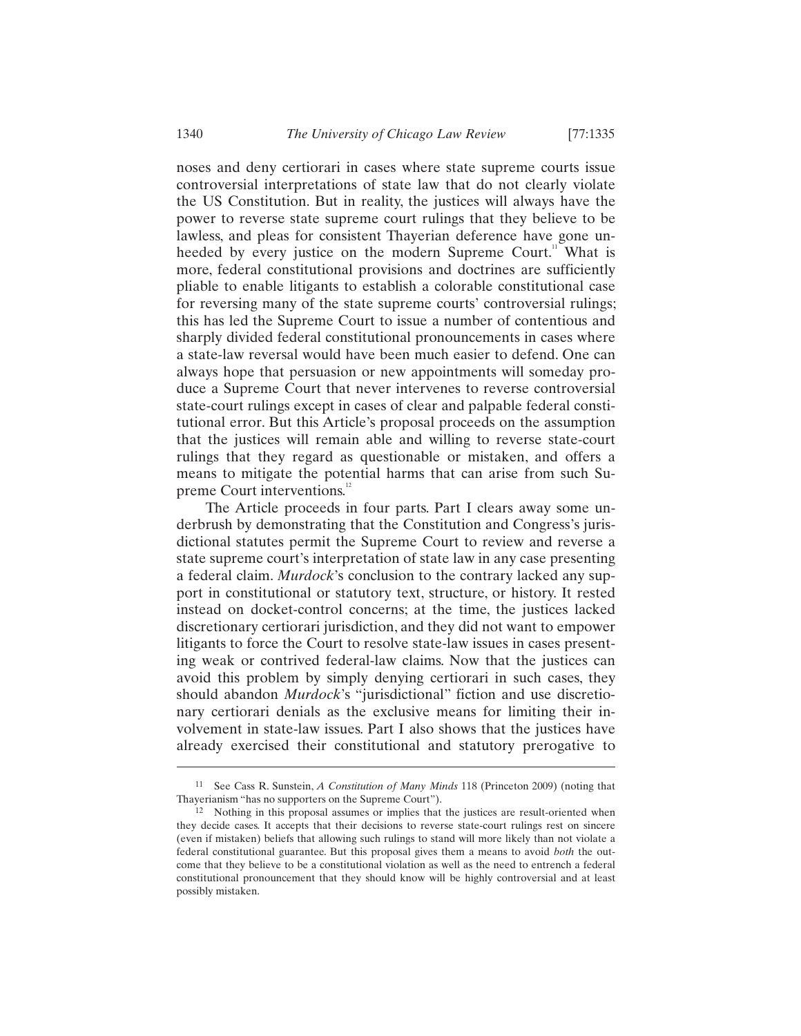noses and deny certiorari in cases where state supreme courts issue controversial interpretations of state law that do not clearly violate the US Constitution. But in reality, the justices will always have the power to reverse state supreme court rulings that they believe to be lawless, and pleas for consistent Thayerian deference have gone unheeded by every justice on the modern Supreme Court.<sup>11</sup> What is more, federal constitutional provisions and doctrines are sufficiently pliable to enable litigants to establish a colorable constitutional case for reversing many of the state supreme courts' controversial rulings; this has led the Supreme Court to issue a number of contentious and sharply divided federal constitutional pronouncements in cases where a state-law reversal would have been much easier to defend. One can always hope that persuasion or new appointments will someday produce a Supreme Court that never intervenes to reverse controversial state-court rulings except in cases of clear and palpable federal constitutional error. But this Article's proposal proceeds on the assumption that the justices will remain able and willing to reverse state-court rulings that they regard as questionable or mistaken, and offers a means to mitigate the potential harms that can arise from such Supreme Court interventions.<sup>12</sup>

The Article proceeds in four parts. Part I clears away some underbrush by demonstrating that the Constitution and Congress's jurisdictional statutes permit the Supreme Court to review and reverse a state supreme court's interpretation of state law in any case presenting a federal claim. *Murdock*'s conclusion to the contrary lacked any support in constitutional or statutory text, structure, or history. It rested instead on docket-control concerns; at the time, the justices lacked discretionary certiorari jurisdiction, and they did not want to empower litigants to force the Court to resolve state-law issues in cases presenting weak or contrived federal-law claims. Now that the justices can avoid this problem by simply denying certiorari in such cases, they should abandon *Murdock*'s "jurisdictional" fiction and use discretionary certiorari denials as the exclusive means for limiting their involvement in state-law issues. Part I also shows that the justices have already exercised their constitutional and statutory prerogative to

<sup>11</sup> See Cass R. Sunstein, *A Constitution of Many Minds* 118 (Princeton 2009) (noting that

<sup>&</sup>lt;sup>12</sup> Nothing in this proposal assumes or implies that the justices are result-oriented when they decide cases. It accepts that their decisions to reverse state-court rulings rest on sincere (even if mistaken) beliefs that allowing such rulings to stand will more likely than not violate a federal constitutional guarantee. But this proposal gives them a means to avoid *both* the outcome that they believe to be a constitutional violation as well as the need to entrench a federal constitutional pronouncement that they should know will be highly controversial and at least possibly mistaken.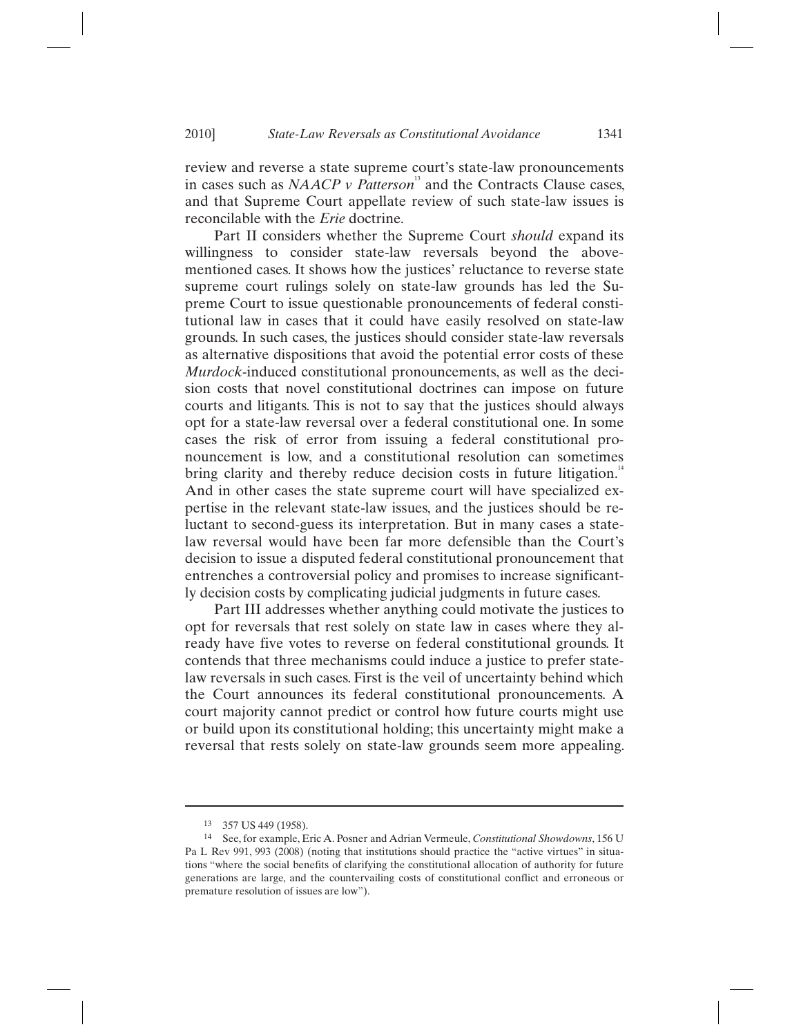review and reverse a state supreme court's state-law pronouncements in cases such as *NAACP v Patterson*<sup>13</sup> and the Contracts Clause cases, and that Supreme Court appellate review of such state-law issues is reconcilable with the *Erie* doctrine.

Part II considers whether the Supreme Court *should* expand its willingness to consider state-law reversals beyond the abovementioned cases. It shows how the justices' reluctance to reverse state supreme court rulings solely on state-law grounds has led the Supreme Court to issue questionable pronouncements of federal constitutional law in cases that it could have easily resolved on state-law grounds. In such cases, the justices should consider state-law reversals as alternative dispositions that avoid the potential error costs of these *Murdock*-induced constitutional pronouncements, as well as the decision costs that novel constitutional doctrines can impose on future courts and litigants. This is not to say that the justices should always opt for a state-law reversal over a federal constitutional one. In some cases the risk of error from issuing a federal constitutional pronouncement is low, and a constitutional resolution can sometimes bring clarity and thereby reduce decision costs in future litigation.<sup>14</sup> And in other cases the state supreme court will have specialized expertise in the relevant state-law issues, and the justices should be reluctant to second-guess its interpretation. But in many cases a statelaw reversal would have been far more defensible than the Court's decision to issue a disputed federal constitutional pronouncement that entrenches a controversial policy and promises to increase significantly decision costs by complicating judicial judgments in future cases.

Part III addresses whether anything could motivate the justices to opt for reversals that rest solely on state law in cases where they already have five votes to reverse on federal constitutional grounds. It contends that three mechanisms could induce a justice to prefer statelaw reversals in such cases. First is the veil of uncertainty behind which the Court announces its federal constitutional pronouncements. A court majority cannot predict or control how future courts might use or build upon its constitutional holding; this uncertainty might make a reversal that rests solely on state-law grounds seem more appealing.

<sup>13 357</sup> US 449 (1958).

<sup>14</sup> See, for example, Eric A. Posner and Adrian Vermeule, *Constitutional Showdowns*, 156 U Pa L Rev 991, 993 (2008) (noting that institutions should practice the "active virtues" in situations "where the social benefits of clarifying the constitutional allocation of authority for future generations are large, and the countervailing costs of constitutional conflict and erroneous or premature resolution of issues are low").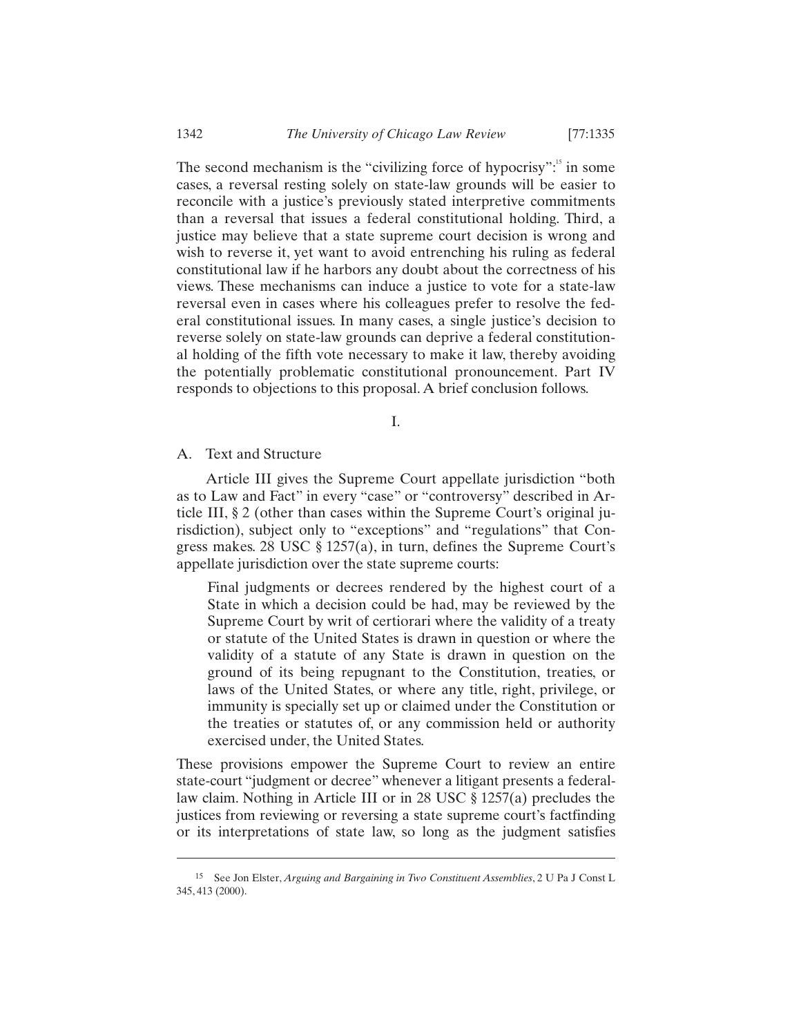1342 *The University of Chicago Law Review* [77:1335

The second mechanism is the "civilizing force of hypocrisy": $\frac{15}{15}$  in some cases, a reversal resting solely on state-law grounds will be easier to reconcile with a justice's previously stated interpretive commitments than a reversal that issues a federal constitutional holding. Third, a justice may believe that a state supreme court decision is wrong and wish to reverse it, yet want to avoid entrenching his ruling as federal constitutional law if he harbors any doubt about the correctness of his views. These mechanisms can induce a justice to vote for a state-law reversal even in cases where his colleagues prefer to resolve the federal constitutional issues. In many cases, a single justice's decision to reverse solely on state-law grounds can deprive a federal constitutional holding of the fifth vote necessary to make it law, thereby avoiding the potentially problematic constitutional pronouncement. Part IV responds to objections to this proposal. A brief conclusion follows.

I.

A. Text and Structure

-

Article III gives the Supreme Court appellate jurisdiction "both as to Law and Fact" in every "case" or "controversy" described in Article III, § 2 (other than cases within the Supreme Court's original jurisdiction), subject only to "exceptions" and "regulations" that Congress makes. 28 USC § 1257(a), in turn, defines the Supreme Court's appellate jurisdiction over the state supreme courts:

Final judgments or decrees rendered by the highest court of a State in which a decision could be had, may be reviewed by the Supreme Court by writ of certiorari where the validity of a treaty or statute of the United States is drawn in question or where the validity of a statute of any State is drawn in question on the ground of its being repugnant to the Constitution, treaties, or laws of the United States, or where any title, right, privilege, or immunity is specially set up or claimed under the Constitution or the treaties or statutes of, or any commission held or authority exercised under, the United States.

These provisions empower the Supreme Court to review an entire state-court "judgment or decree" whenever a litigant presents a federallaw claim. Nothing in Article III or in 28 USC § 1257(a) precludes the justices from reviewing or reversing a state supreme court's factfinding or its interpretations of state law, so long as the judgment satisfies

<sup>15</sup> See Jon Elster, *Arguing and Bargaining in Two Constituent Assemblies*, 2 U Pa J Const L 345, 413 (2000).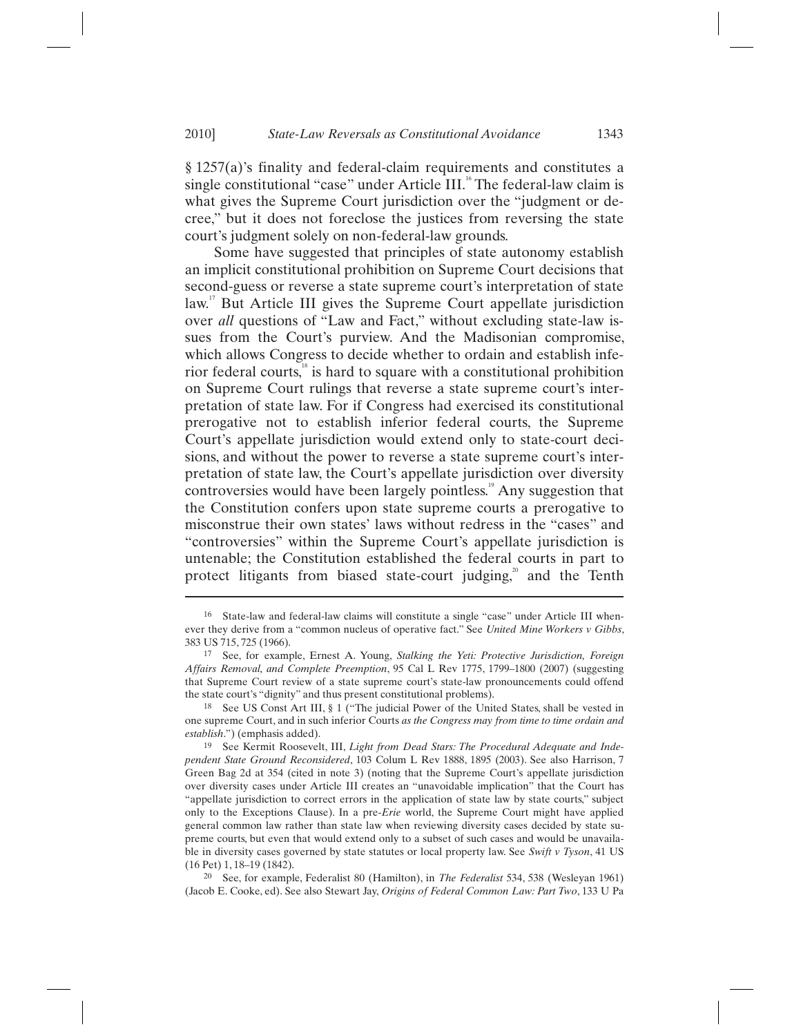§ 1257(a)'s finality and federal-claim requirements and constitutes a single constitutional "case" under Article III. The federal-law claim is what gives the Supreme Court jurisdiction over the "judgment or decree," but it does not foreclose the justices from reversing the state court's judgment solely on non-federal-law grounds.

Some have suggested that principles of state autonomy establish an implicit constitutional prohibition on Supreme Court decisions that second-guess or reverse a state supreme court's interpretation of state law.<sup>17</sup> But Article III gives the Supreme Court appellate jurisdiction over *all* questions of "Law and Fact," without excluding state-law issues from the Court's purview. And the Madisonian compromise, which allows Congress to decide whether to ordain and establish inferior federal courts,<sup>18</sup> is hard to square with a constitutional prohibition on Supreme Court rulings that reverse a state supreme court's interpretation of state law. For if Congress had exercised its constitutional prerogative not to establish inferior federal courts, the Supreme Court's appellate jurisdiction would extend only to state-court decisions, and without the power to reverse a state supreme court's interpretation of state law, the Court's appellate jurisdiction over diversity controversies would have been largely pointless.<sup>19</sup> Any suggestion that the Constitution confers upon state supreme courts a prerogative to misconstrue their own states' laws without redress in the "cases" and "controversies" within the Supreme Court's appellate jurisdiction is untenable; the Constitution established the federal courts in part to protect litigants from biased state-court judging, $2^{\infty}$  and the Tenth

<sup>16</sup> State-law and federal-law claims will constitute a single "case" under Article III whenever they derive from a "common nucleus of operative fact." See *United Mine Workers v Gibbs*, 383 US 715, 725 (1966). 17 See, for example, Ernest A. Young, *Stalking the Yeti: Protective Jurisdiction, Foreign* 

*Affairs Removal, and Complete Preemption*, 95 Cal L Rev 1775, 1799–1800 (2007) (suggesting that Supreme Court review of a state supreme court's state-law pronouncements could offend the state court's "dignity" and thus present constitutional problems).

<sup>18</sup> See US Const Art III, § 1 ("The judicial Power of the United States, shall be vested in one supreme Court, and in such inferior Courts *as the Congress may from time to time ordain and establish*.") (emphasis added). 19 See Kermit Roosevelt, III, *Light from Dead Stars: The Procedural Adequate and Inde-*

*pendent State Ground Reconsidered*, 103 Colum L Rev 1888, 1895 (2003). See also Harrison, 7 Green Bag 2d at 354 (cited in note 3) (noting that the Supreme Court's appellate jurisdiction over diversity cases under Article III creates an "unavoidable implication" that the Court has "appellate jurisdiction to correct errors in the application of state law by state courts," subject only to the Exceptions Clause). In a pre-*Erie* world, the Supreme Court might have applied general common law rather than state law when reviewing diversity cases decided by state supreme courts, but even that would extend only to a subset of such cases and would be unavailable in diversity cases governed by state statutes or local property law. See *Swift v Tyson*, 41 US (16 Pet) 1, 18–19 (1842). 20 See, for example, Federalist 80 (Hamilton), in *The Federalist* 534, 538 (Wesleyan 1961)

<sup>(</sup>Jacob E. Cooke, ed). See also Stewart Jay, *Origins of Federal Common Law: Part Two*, 133 U Pa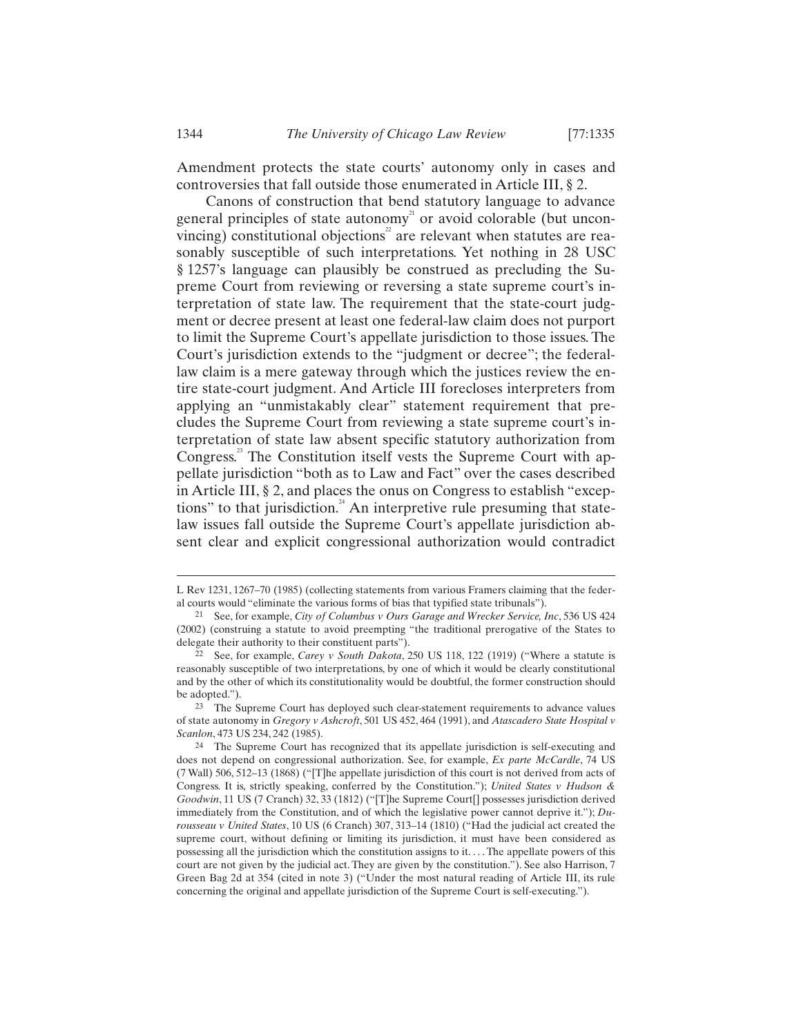Amendment protects the state courts' autonomy only in cases and controversies that fall outside those enumerated in Article III, § 2.

Canons of construction that bend statutory language to advance general principles of state autonomy<sup>21</sup> or avoid colorable (but unconvincing) constitutional objections<sup>2</sup> are relevant when statutes are reasonably susceptible of such interpretations. Yet nothing in 28 USC § 1257's language can plausibly be construed as precluding the Supreme Court from reviewing or reversing a state supreme court's interpretation of state law. The requirement that the state-court judgment or decree present at least one federal-law claim does not purport to limit the Supreme Court's appellate jurisdiction to those issues. The Court's jurisdiction extends to the "judgment or decree"; the federallaw claim is a mere gateway through which the justices review the entire state-court judgment. And Article III forecloses interpreters from applying an "unmistakably clear" statement requirement that precludes the Supreme Court from reviewing a state supreme court's interpretation of state law absent specific statutory authorization from Congress.<sup>23</sup> The Constitution itself vests the Supreme Court with appellate jurisdiction "both as to Law and Fact" over the cases described in Article III, § 2, and places the onus on Congress to establish "exceptions" to that jurisdiction. $4^{\circ}$  An interpretive rule presuming that statelaw issues fall outside the Supreme Court's appellate jurisdiction absent clear and explicit congressional authorization would contradict

-

L Rev 1231, 1267–70 (1985) (collecting statements from various Framers claiming that the federal courts would "eliminate the various forms of bias that typified state tribunals"). 21 See, for example, *City of Columbus v Ours Garage and Wrecker Service, Inc*, 536 US 424

<sup>(2002) (</sup>construing a statute to avoid preempting "the traditional prerogative of the States to delegate their authority to their constituent parts").<br><sup>22</sup> See, for example, *Carey v South Dakota*, 250 US 118, 122 (1919) ("Where a statute is

reasonably susceptible of two interpretations, by one of which it would be clearly constitutional and by the other of which its constitutionality would be doubtful, the former construction should be adopted.").

<sup>23</sup> The Supreme Court has deployed such clear-statement requirements to advance values of state autonomy in *Gregory v Ashcroft*, 501 US 452, 464 (1991), and *Atascadero State Hospital v* 

<sup>&</sup>lt;sup>24</sup> The Supreme Court has recognized that its appellate jurisdiction is self-executing and does not depend on congressional authorization. See, for example, *Ex parte McCardle*, 74 US (7 Wall) 506, 512–13 (1868) ("[T]he appellate jurisdiction of this court is not derived from acts of Congress. It is, strictly speaking, conferred by the Constitution."); *United States v Hudson & Goodwin*, 11 US (7 Cranch) 32, 33 (1812) ("[T]he Supreme Court[] possesses jurisdiction derived immediately from the Constitution, and of which the legislative power cannot deprive it."); *Durousseau v United States*, 10 US (6 Cranch) 307, 313–14 (1810) ("Had the judicial act created the supreme court, without defining or limiting its jurisdiction, it must have been considered as possessing all the jurisdiction which the constitution assigns to it. . . . The appellate powers of this court are not given by the judicial act. They are given by the constitution."). See also Harrison, 7 Green Bag 2d at 354 (cited in note 3) ("Under the most natural reading of Article III, its rule concerning the original and appellate jurisdiction of the Supreme Court is self-executing.").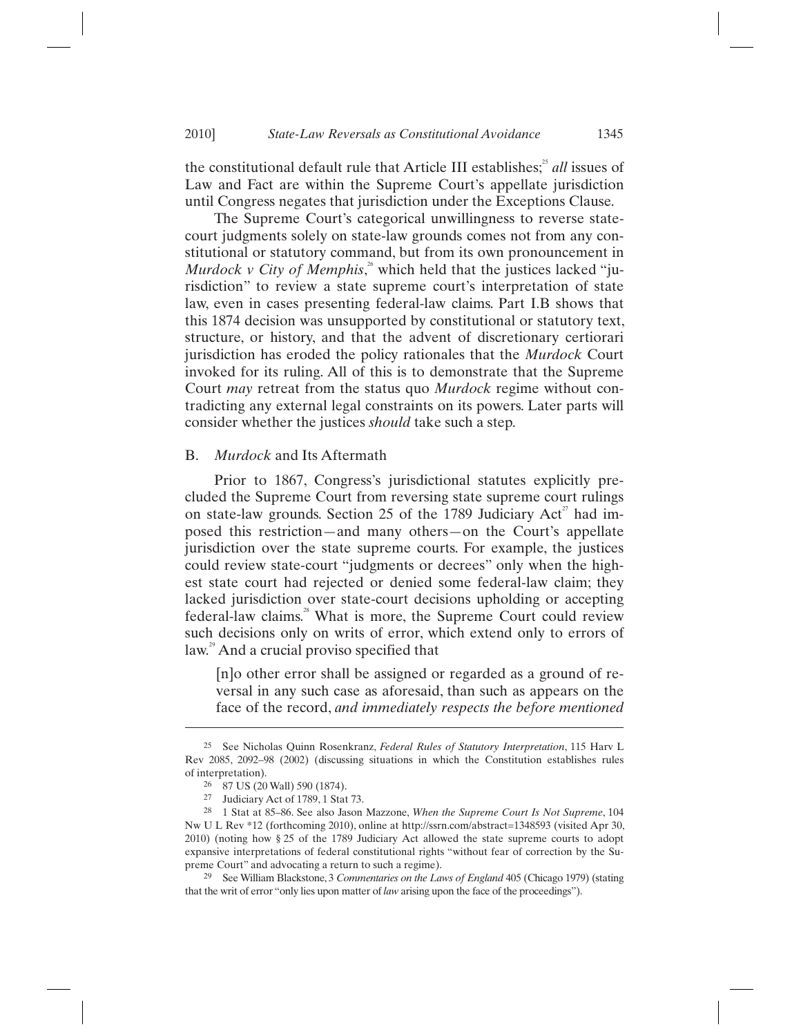the constitutional default rule that Article III establishes; $\frac{3}{5}$  *all* issues of Law and Fact are within the Supreme Court's appellate jurisdiction until Congress negates that jurisdiction under the Exceptions Clause.

The Supreme Court's categorical unwillingness to reverse statecourt judgments solely on state-law grounds comes not from any constitutional or statutory command, but from its own pronouncement in *Murdock v City of Memphis*,<sup>26</sup> which held that the justices lacked "jurisdiction" to review a state supreme court's interpretation of state law, even in cases presenting federal-law claims. Part I.B shows that this 1874 decision was unsupported by constitutional or statutory text, structure, or history, and that the advent of discretionary certiorari jurisdiction has eroded the policy rationales that the *Murdock* Court invoked for its ruling. All of this is to demonstrate that the Supreme Court *may* retreat from the status quo *Murdock* regime without contradicting any external legal constraints on its powers. Later parts will consider whether the justices *should* take such a step.

#### B. *Murdock* and Its Aftermath

Prior to 1867, Congress's jurisdictional statutes explicitly precluded the Supreme Court from reversing state supreme court rulings on state-law grounds. Section 25 of the 1789 Judiciary  $Act^2$  had imposed this restriction—and many others—on the Court's appellate jurisdiction over the state supreme courts. For example, the justices could review state-court "judgments or decrees" only when the highest state court had rejected or denied some federal-law claim; they lacked jurisdiction over state-court decisions upholding or accepting federal-law claims.<sup>28</sup> What is more, the Supreme Court could review such decisions only on writs of error, which extend only to errors of law.<sup>9</sup> And a crucial proviso specified that

[n]o other error shall be assigned or regarded as a ground of reversal in any such case as aforesaid, than such as appears on the face of the record, *and immediately respects the before mentioned* 

<sup>25</sup> See Nicholas Quinn Rosenkranz, *Federal Rules of Statutory Interpretation*, 115 Harv L Rev 2085, 2092–98 (2002) (discussing situations in which the Constitution establishes rules of interpretation). 26 87 US (20 Wall) 590 (1874).

<sup>27</sup> Judiciary Act of 1789, 1 Stat 73.

<sup>28 1</sup> Stat at 85–86. See also Jason Mazzone, *When the Supreme Court Is Not Supreme*, 104 Nw U L Rev \*12 (forthcoming 2010), online at http://ssrn.com/abstract=1348593 (visited Apr 30, 2010) (noting how § 25 of the 1789 Judiciary Act allowed the state supreme courts to adopt expansive interpretations of federal constitutional rights "without fear of correction by the Supreme Court" and advocating a return to such a regime). 29 See William Blackstone, 3 *Commentaries on the Laws of England* 405 (Chicago 1979) (stating

that the writ of error "only lies upon matter of *law* arising upon the face of the proceedings").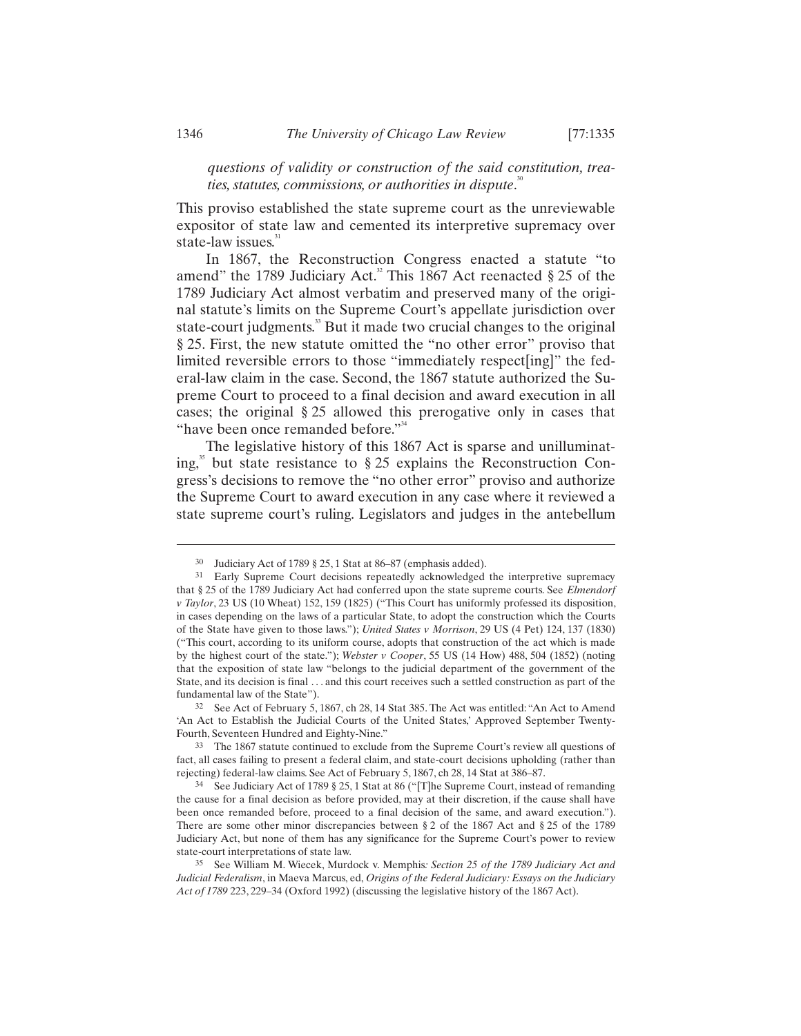# *questions of validity or construction of the said constitution, treaties, statutes, commissions, or authorities in dispute*. 30

This proviso established the state supreme court as the unreviewable expositor of state law and cemented its interpretive supremacy over state-law issues.<sup>31</sup>

In 1867, the Reconstruction Congress enacted a statute "to amend" the 1789 Judiciary Act.<sup>32</sup> This 1867 Act reenacted  $\S 25$  of the 1789 Judiciary Act almost verbatim and preserved many of the original statute's limits on the Supreme Court's appellate jurisdiction over state-court judgments.<sup>33</sup> But it made two crucial changes to the original § 25. First, the new statute omitted the "no other error" proviso that limited reversible errors to those "immediately respect[ing]" the federal-law claim in the case. Second, the 1867 statute authorized the Supreme Court to proceed to a final decision and award execution in all cases; the original § 25 allowed this prerogative only in cases that "have been once remanded before."<sup>34</sup>

The legislative history of this 1867 Act is sparse and unilluminating,<sup>35</sup> but state resistance to § 25 explains the Reconstruction Congress's decisions to remove the "no other error" proviso and authorize the Supreme Court to award execution in any case where it reviewed a state supreme court's ruling. Legislators and judges in the antebellum

<sup>30</sup> Judiciary Act of 1789 § 25, 1 Stat at 86–87 (emphasis added).

<sup>31</sup> Early Supreme Court decisions repeatedly acknowledged the interpretive supremacy that § 25 of the 1789 Judiciary Act had conferred upon the state supreme courts. See *Elmendorf v Taylor*, 23 US (10 Wheat) 152, 159 (1825) ("This Court has uniformly professed its disposition, in cases depending on the laws of a particular State, to adopt the construction which the Courts of the State have given to those laws."); *United States v Morrison*, 29 US (4 Pet) 124, 137 (1830) ("This court, according to its uniform course, adopts that construction of the act which is made by the highest court of the state."); *Webster v Cooper*, 55 US (14 How) 488, 504 (1852) (noting that the exposition of state law "belongs to the judicial department of the government of the State, and its decision is final . . . and this court receives such a settled construction as part of the fundamental law of the State").

<sup>32</sup> See Act of February 5, 1867, ch 28, 14 Stat 385. The Act was entitled: "An Act to Amend 'An Act to Establish the Judicial Courts of the United States,' Approved September Twenty-Fourth, Seventeen Hundred and Eighty-Nine."<br>
<sup>33</sup> The 1867 statute continued to exclude from the Supreme Court's review all questions of

fact, all cases failing to present a federal claim, and state-court decisions upholding (rather than rejecting) federal-law claims. See Act of February 5, 1867, ch 28, 14 Stat at 386–87. 34 See Judiciary Act of 1789 § 25, 1 Stat at 86 ("[T]he Supreme Court, instead of remanding

the cause for a final decision as before provided, may at their discretion, if the cause shall have been once remanded before, proceed to a final decision of the same, and award execution."). There are some other minor discrepancies between § 2 of the 1867 Act and § 25 of the 1789 Judiciary Act, but none of them has any significance for the Supreme Court's power to review state-court interpretations of state law.

<sup>35</sup> See William M. Wiecek, Murdock v. Memphis*: Section 25 of the 1789 Judiciary Act and Judicial Federalism*, in Maeva Marcus, ed, *Origins of the Federal Judiciary: Essays on the Judiciary Act of 1789* 223, 229–34 (Oxford 1992) (discussing the legislative history of the 1867 Act).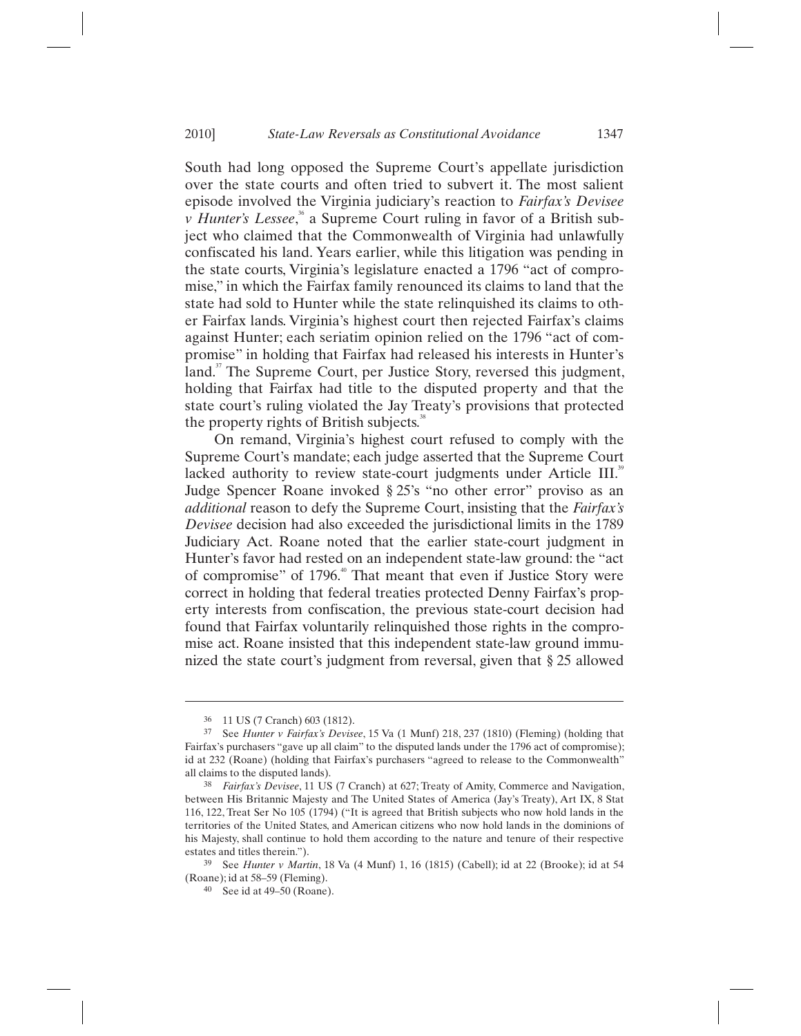South had long opposed the Supreme Court's appellate jurisdiction over the state courts and often tried to subvert it. The most salient episode involved the Virginia judiciary's reaction to *Fairfax's Devisee*  v *Hunter's Lessee*,<sup>36</sup> a Supreme Court ruling in favor of a British subject who claimed that the Commonwealth of Virginia had unlawfully confiscated his land. Years earlier, while this litigation was pending in the state courts, Virginia's legislature enacted a 1796 "act of compromise," in which the Fairfax family renounced its claims to land that the state had sold to Hunter while the state relinquished its claims to other Fairfax lands. Virginia's highest court then rejected Fairfax's claims against Hunter; each seriatim opinion relied on the 1796 "act of compromise" in holding that Fairfax had released his interests in Hunter's land.<sup>37</sup> The Supreme Court, per Justice Story, reversed this judgment, holding that Fairfax had title to the disputed property and that the state court's ruling violated the Jay Treaty's provisions that protected the property rights of British subjects.<sup>38</sup>

On remand, Virginia's highest court refused to comply with the Supreme Court's mandate; each judge asserted that the Supreme Court lacked authority to review state-court judgments under Article III.<sup>39</sup> Judge Spencer Roane invoked § 25's "no other error" proviso as an *additional* reason to defy the Supreme Court, insisting that the *Fairfax's Devisee* decision had also exceeded the jurisdictional limits in the 1789 Judiciary Act. Roane noted that the earlier state-court judgment in Hunter's favor had rested on an independent state-law ground: the "act of compromise" of 1796.<sup>40</sup> That meant that even if Justice Story were correct in holding that federal treaties protected Denny Fairfax's property interests from confiscation, the previous state-court decision had found that Fairfax voluntarily relinquished those rights in the compromise act. Roane insisted that this independent state-law ground immunized the state court's judgment from reversal, given that § 25 allowed

<sup>36 11</sup> US (7 Cranch) 603 (1812).

<sup>37</sup> See *Hunter v Fairfax's Devisee*, 15 Va (1 Munf) 218, 237 (1810) (Fleming) (holding that Fairfax's purchasers "gave up all claim" to the disputed lands under the 1796 act of compromise); id at 232 (Roane) (holding that Fairfax's purchasers "agreed to release to the Commonwealth" all claims to the disputed lands).

<sup>38</sup> *Fairfax's Devisee*, 11 US (7 Cranch) at 627; Treaty of Amity, Commerce and Navigation, between His Britannic Majesty and The United States of America (Jay's Treaty), Art IX, 8 Stat 116, 122, Treat Ser No 105 (1794) ("It is agreed that British subjects who now hold lands in the territories of the United States, and American citizens who now hold lands in the dominions of his Majesty, shall continue to hold them according to the nature and tenure of their respective estates and titles therein.").

<sup>39</sup> See *Hunter v Martin*, 18 Va (4 Munf) 1, 16 (1815) (Cabell); id at 22 (Brooke); id at 54 (Roane); id at 58–59 (Fleming). 40 See id at 49–50 (Roane).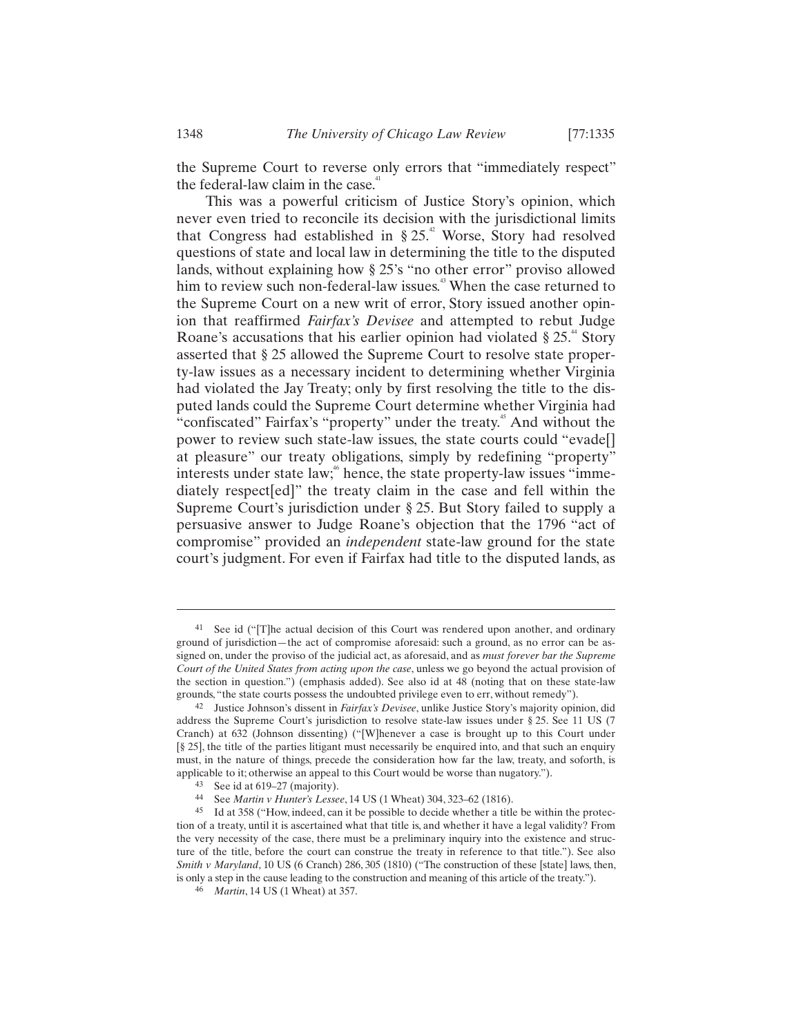the Supreme Court to reverse only errors that "immediately respect" the federal-law claim in the case.<sup>4</sup>

This was a powerful criticism of Justice Story's opinion, which never even tried to reconcile its decision with the jurisdictional limits that Congress had established in  $\S 25$ .<sup>42</sup> Worse, Story had resolved questions of state and local law in determining the title to the disputed lands, without explaining how § 25's "no other error" proviso allowed him to review such non-federal-law issues.<sup>43</sup> When the case returned to the Supreme Court on a new writ of error, Story issued another opinion that reaffirmed *Fairfax's Devisee* and attempted to rebut Judge Roane's accusations that his earlier opinion had violated  $\S 25$ <sup>44</sup> Story asserted that § 25 allowed the Supreme Court to resolve state property-law issues as a necessary incident to determining whether Virginia had violated the Jay Treaty; only by first resolving the title to the disputed lands could the Supreme Court determine whether Virginia had "confiscated" Fairfax's "property" under the treaty.<sup>45</sup> And without the power to review such state-law issues, the state courts could "evade[] at pleasure" our treaty obligations, simply by redefining "property" interests under state law;<sup>46</sup> hence, the state property-law issues "immediately respect[ed]" the treaty claim in the case and fell within the Supreme Court's jurisdiction under § 25. But Story failed to supply a persuasive answer to Judge Roane's objection that the 1796 "act of compromise" provided an *independent* state-law ground for the state court's judgment. For even if Fairfax had title to the disputed lands, as

<sup>41</sup> See id ("[T]he actual decision of this Court was rendered upon another, and ordinary ground of jurisdiction—the act of compromise aforesaid: such a ground, as no error can be assigned on, under the proviso of the judicial act, as aforesaid, and as *must forever bar the Supreme Court of the United States from acting upon the case*, unless we go beyond the actual provision of the section in question.") (emphasis added). See also id at 48 (noting that on these state-law grounds, "the state courts possess the undoubted privilege even to err, without remedy").

<sup>42</sup> Justice Johnson's dissent in *Fairfax's Devisee*, unlike Justice Story's majority opinion, did address the Supreme Court's jurisdiction to resolve state-law issues under § 25. See 11 US (7 Cranch) at 632 (Johnson dissenting) ("[W]henever a case is brought up to this Court under [§ 25], the title of the parties litigant must necessarily be enquired into, and that such an enquiry must, in the nature of things, precede the consideration how far the law, treaty, and soforth, is applicable to it; otherwise an appeal to this Court would be worse than nugatory.").

<sup>43</sup> See id at 619–27 (majority).<br>44 See Martin v Hunter's Lessee, 14 US (1 Wheat) 304, 323–62 (1816).

<sup>&</sup>lt;sup>45</sup> Id at 358 ("How, indeed, can it be possible to decide whether a title be within the protection of a treaty, until it is ascertained what that title is, and whether it have a legal validity? From the very necessity of the case, there must be a preliminary inquiry into the existence and structure of the title, before the court can construe the treaty in reference to that title."). See also *Smith v Maryland*, 10 US (6 Cranch) 286, 305 (1810) ("The construction of these [state] laws, then, is only a step in the cause leading to the construction and meaning of this article of the treaty."). 46 *Martin*, 14 US (1 Wheat) at 357.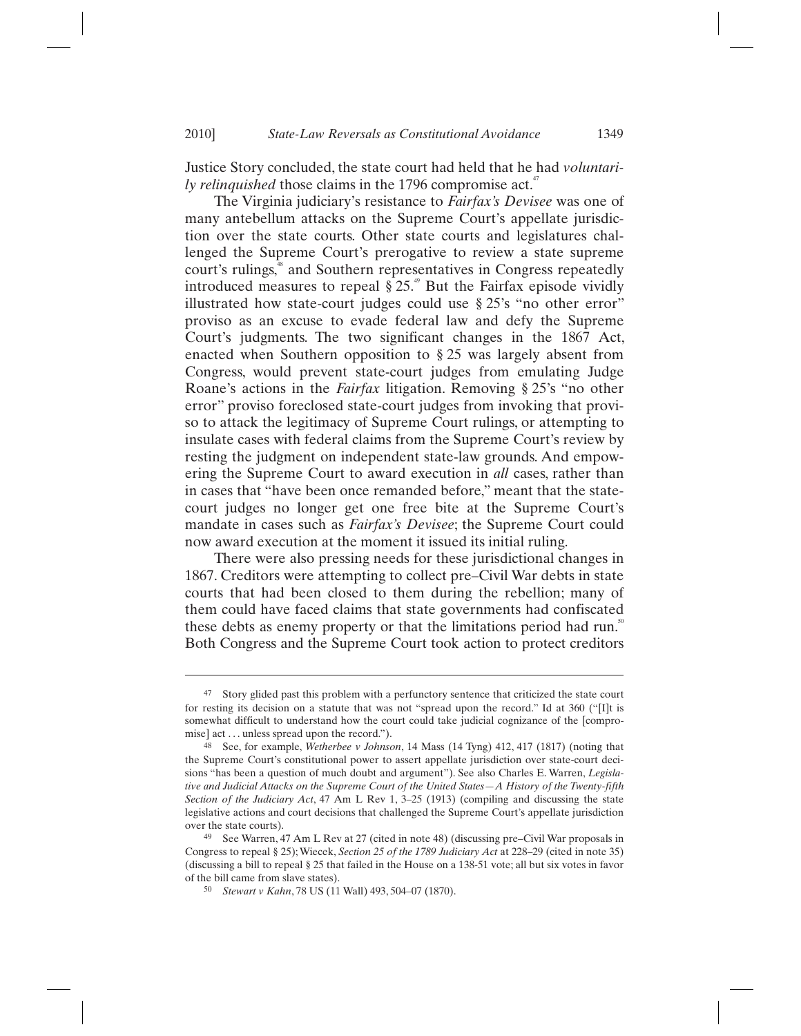Justice Story concluded, the state court had held that he had *voluntarily relinquished* those claims in the 1796 compromise act.<sup>47</sup>

The Virginia judiciary's resistance to *Fairfax's Devisee* was one of many antebellum attacks on the Supreme Court's appellate jurisdiction over the state courts. Other state courts and legislatures challenged the Supreme Court's prerogative to review a state supreme court's rulings,<sup>48</sup> and Southern representatives in Congress repeatedly introduced measures to repeal  $\S 25$ .<sup>49</sup> But the Fairfax episode vividly illustrated how state-court judges could use § 25's "no other error" proviso as an excuse to evade federal law and defy the Supreme Court's judgments. The two significant changes in the 1867 Act, enacted when Southern opposition to § 25 was largely absent from Congress, would prevent state-court judges from emulating Judge Roane's actions in the *Fairfax* litigation. Removing § 25's "no other error" proviso foreclosed state-court judges from invoking that proviso to attack the legitimacy of Supreme Court rulings, or attempting to insulate cases with federal claims from the Supreme Court's review by resting the judgment on independent state-law grounds. And empowering the Supreme Court to award execution in *all* cases, rather than in cases that "have been once remanded before," meant that the statecourt judges no longer get one free bite at the Supreme Court's mandate in cases such as *Fairfax's Devisee*; the Supreme Court could now award execution at the moment it issued its initial ruling.

There were also pressing needs for these jurisdictional changes in 1867. Creditors were attempting to collect pre–Civil War debts in state courts that had been closed to them during the rebellion; many of them could have faced claims that state governments had confiscated these debts as enemy property or that the limitations period had run.<sup>5</sup> Both Congress and the Supreme Court took action to protect creditors

<sup>&</sup>lt;sup>47</sup> Story glided past this problem with a perfunctory sentence that criticized the state court for resting its decision on a statute that was not "spread upon the record." Id at 360 ("[I]t is somewhat difficult to understand how the court could take judicial cognizance of the [compromise] act . . . unless spread upon the record.").

<sup>48</sup> See, for example, *Wetherbee v Johnson*, 14 Mass (14 Tyng) 412, 417 (1817) (noting that the Supreme Court's constitutional power to assert appellate jurisdiction over state-court decisions "has been a question of much doubt and argument"). See also Charles E. Warren, *Legislative and Judicial Attacks on the Supreme Court of the United States—A History of the Twenty-fifth Section of the Judiciary Act*, 47 Am L Rev 1, 3–25 (1913) (compiling and discussing the state legislative actions and court decisions that challenged the Supreme Court's appellate jurisdiction over the state courts).<br><sup>49</sup> See Warren, 47 Am L Rev at 27 (cited in note 48) (discussing pre–Civil War proposals in

Congress to repeal § 25); Wiecek, *Section 25 of the 1789 Judiciary Act* at 228–29 (cited in note 35) (discussing a bill to repeal § 25 that failed in the House on a 138-51 vote; all but six votes in favor of the bill came from slave states). 50 *Stewart v Kahn*, 78 US (11 Wall) 493, 504–07 (1870).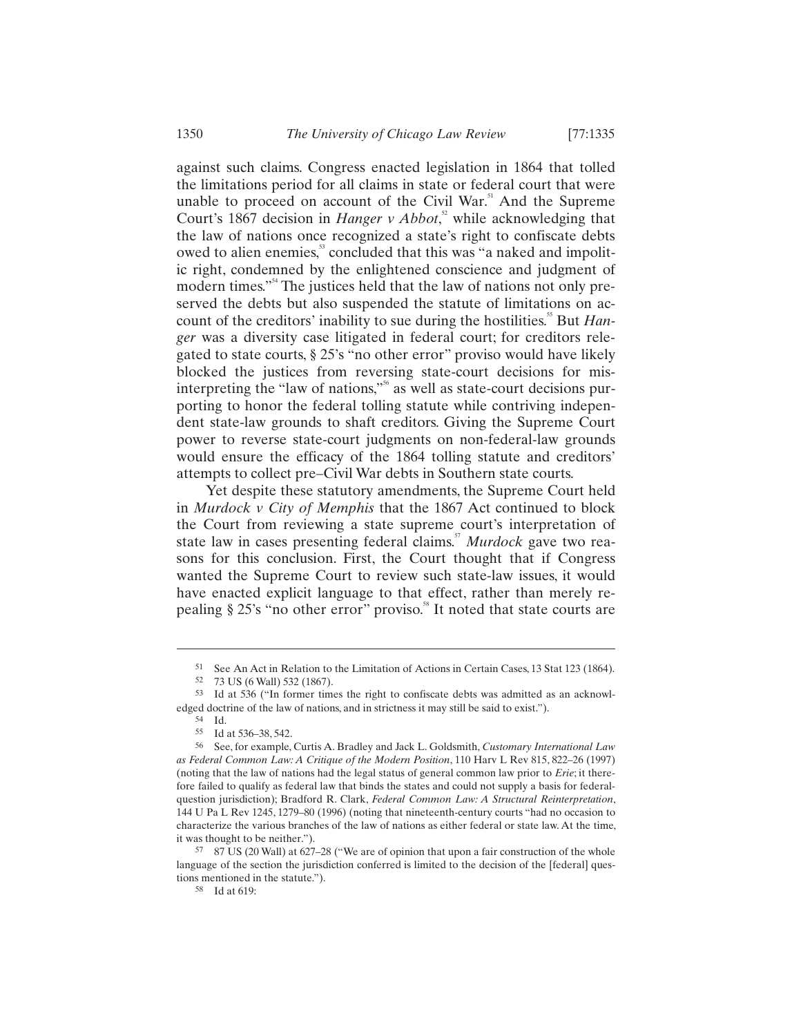against such claims. Congress enacted legislation in 1864 that tolled the limitations period for all claims in state or federal court that were unable to proceed on account of the Civil War.<sup>51</sup> And the Supreme Court's 1867 decision in *Hanger v Abbot*,<sup>2</sup> while acknowledging that the law of nations once recognized a state's right to confiscate debts owed to alien enemies,<sup>33</sup> concluded that this was "a naked and impolitic right, condemned by the enlightened conscience and judgment of modern times."<sup>54</sup> The justices held that the law of nations not only preserved the debts but also suspended the statute of limitations on account of the creditors' inability to sue during the hostilities.<sup>55</sup> But *Hanger* was a diversity case litigated in federal court; for creditors relegated to state courts, § 25's "no other error" proviso would have likely blocked the justices from reversing state-court decisions for misinterpreting the "law of nations,"<sup>56</sup> as well as state-court decisions purporting to honor the federal tolling statute while contriving independent state-law grounds to shaft creditors. Giving the Supreme Court power to reverse state-court judgments on non-federal-law grounds would ensure the efficacy of the 1864 tolling statute and creditors' attempts to collect pre–Civil War debts in Southern state courts.

Yet despite these statutory amendments, the Supreme Court held in *Murdock v City of Memphis* that the 1867 Act continued to block the Court from reviewing a state supreme court's interpretation of state law in cases presenting federal claims.<sup>57</sup> *Murdock* gave two reasons for this conclusion. First, the Court thought that if Congress wanted the Supreme Court to review such state-law issues, it would have enacted explicit language to that effect, rather than merely repealing  $\S 25$ 's "no other error" proviso.<sup>88</sup> It noted that state courts are

<sup>51</sup> See An Act in Relation to the Limitation of Actions in Certain Cases, 13 Stat 123 (1864).

<sup>52 73</sup> US (6 Wall) 532 (1867).

<sup>53</sup> Id at 536 ("In former times the right to confiscate debts was admitted as an acknowledged doctrine of the law of nations, and in strictness it may still be said to exist."). 54 Id.

<sup>55</sup> Id at 536–38, 542.<br>56 See for example

<sup>56</sup> See, for example, Curtis A. Bradley and Jack L. Goldsmith, *Customary International Law as Federal Common Law: A Critique of the Modern Position*, 110 Harv L Rev 815, 822–26 (1997) (noting that the law of nations had the legal status of general common law prior to *Erie*; it therefore failed to qualify as federal law that binds the states and could not supply a basis for federalquestion jurisdiction); Bradford R. Clark, *Federal Common Law: A Structural Reinterpretation*, 144 U Pa L Rev 1245, 1279–80 (1996) (noting that nineteenth-century courts "had no occasion to characterize the various branches of the law of nations as either federal or state law. At the time, it was thought to be neither.").<br>57 87 US (20 Wall) at 627–28 ("We are of opinion that upon a fair construction of the whole

language of the section the jurisdiction conferred is limited to the decision of the [federal] questions mentioned in the statute.").<br><sup>58</sup> Id at 619: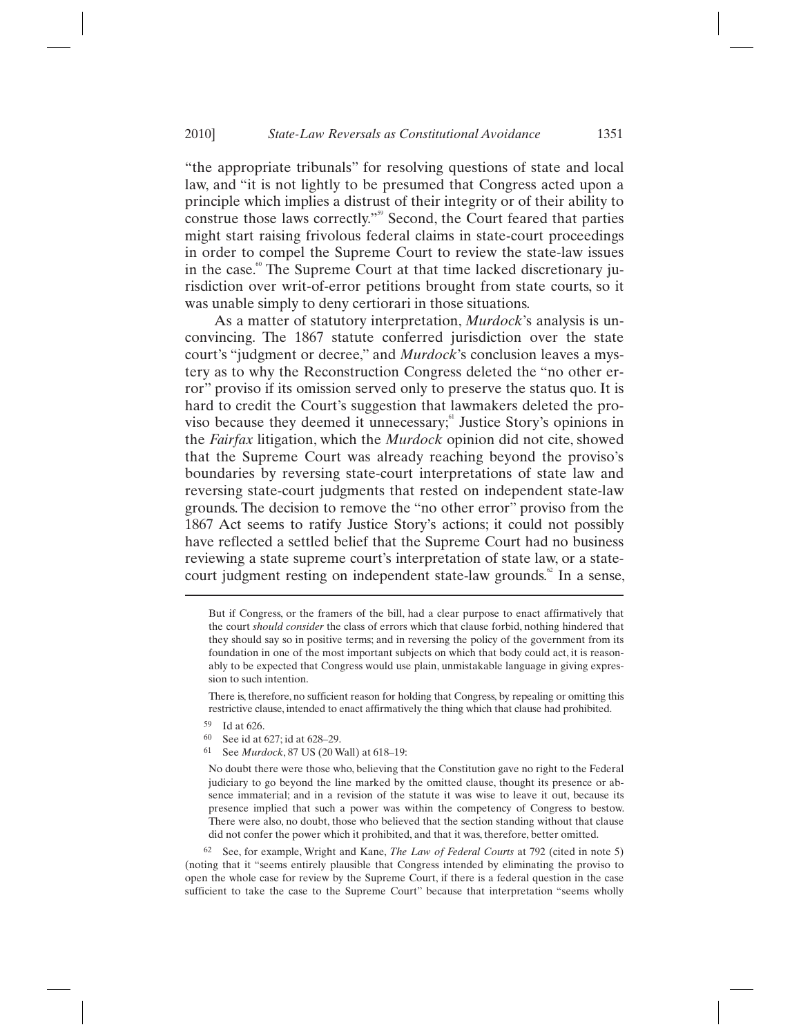"the appropriate tribunals" for resolving questions of state and local law, and "it is not lightly to be presumed that Congress acted upon a principle which implies a distrust of their integrity or of their ability to construe those laws correctly."59 Second, the Court feared that parties might start raising frivolous federal claims in state-court proceedings in order to compel the Supreme Court to review the state-law issues in the case.<sup>®</sup> The Supreme Court at that time lacked discretionary jurisdiction over writ-of-error petitions brought from state courts, so it was unable simply to deny certiorari in those situations.

As a matter of statutory interpretation, *Murdock*'s analysis is unconvincing. The 1867 statute conferred jurisdiction over the state court's "judgment or decree," and *Murdock*'s conclusion leaves a mystery as to why the Reconstruction Congress deleted the "no other error" proviso if its omission served only to preserve the status quo. It is hard to credit the Court's suggestion that lawmakers deleted the proviso because they deemed it unnecessary; $\alpha$ <sup>d</sup> Justice Story's opinions in the *Fairfax* litigation, which the *Murdock* opinion did not cite, showed that the Supreme Court was already reaching beyond the proviso's boundaries by reversing state-court interpretations of state law and reversing state-court judgments that rested on independent state-law grounds. The decision to remove the "no other error" proviso from the 1867 Act seems to ratify Justice Story's actions; it could not possibly have reflected a settled belief that the Supreme Court had no business reviewing a state supreme court's interpretation of state law, or a statecourt judgment resting on independent state-law grounds. $\degree$  In a sense,

There is, therefore, no sufficient reason for holding that Congress, by repealing or omitting this restrictive clause, intended to enact affirmatively the thing which that clause had prohibited.

 $\overline{a}$ 

62 See, for example, Wright and Kane, *The Law of Federal Courts* at 792 (cited in note 5) (noting that it "seems entirely plausible that Congress intended by eliminating the proviso to open the whole case for review by the Supreme Court, if there is a federal question in the case sufficient to take the case to the Supreme Court" because that interpretation "seems wholly

But if Congress, or the framers of the bill, had a clear purpose to enact affirmatively that the court *should consider* the class of errors which that clause forbid, nothing hindered that they should say so in positive terms; and in reversing the policy of the government from its foundation in one of the most important subjects on which that body could act, it is reasonably to be expected that Congress would use plain, unmistakable language in giving expression to such intention.

<sup>59</sup> Id at 626.

<sup>60</sup> See id at 627; id at 628–29.

<sup>61</sup> See *Murdock*, 87 US (20 Wall) at 618–19:

No doubt there were those who, believing that the Constitution gave no right to the Federal judiciary to go beyond the line marked by the omitted clause, thought its presence or absence immaterial; and in a revision of the statute it was wise to leave it out, because its presence implied that such a power was within the competency of Congress to bestow. There were also, no doubt, those who believed that the section standing without that clause did not confer the power which it prohibited, and that it was, therefore, better omitted.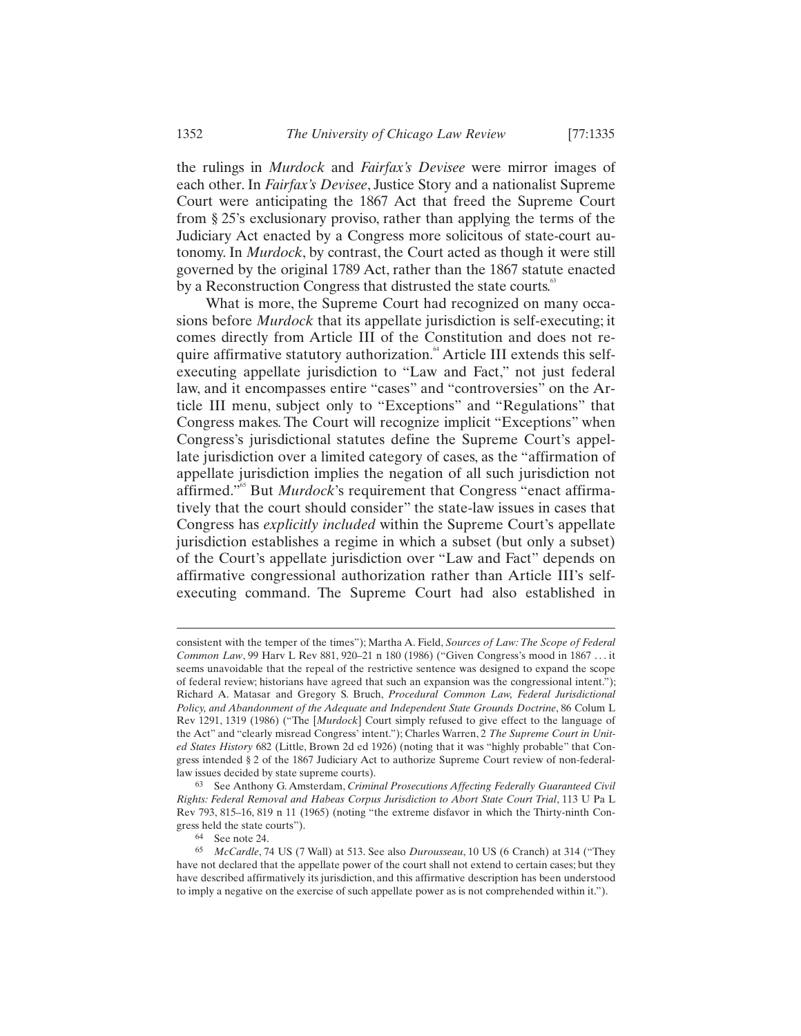the rulings in *Murdock* and *Fairfax's Devisee* were mirror images of each other. In *Fairfax's Devisee*, Justice Story and a nationalist Supreme Court were anticipating the 1867 Act that freed the Supreme Court from § 25's exclusionary proviso, rather than applying the terms of the Judiciary Act enacted by a Congress more solicitous of state-court autonomy. In *Murdock*, by contrast, the Court acted as though it were still governed by the original 1789 Act, rather than the 1867 statute enacted by a Reconstruction Congress that distrusted the state courts.<sup>63</sup>

What is more, the Supreme Court had recognized on many occasions before *Murdock* that its appellate jurisdiction is self-executing; it comes directly from Article III of the Constitution and does not require affirmative statutory authorization.<sup>64</sup> Article III extends this selfexecuting appellate jurisdiction to "Law and Fact," not just federal law, and it encompasses entire "cases" and "controversies" on the Article III menu, subject only to "Exceptions" and "Regulations" that Congress makes. The Court will recognize implicit "Exceptions" when Congress's jurisdictional statutes define the Supreme Court's appellate jurisdiction over a limited category of cases, as the "affirmation of appellate jurisdiction implies the negation of all such jurisdiction not affirmed."<sup>65</sup> But *Murdock*'s requirement that Congress "enact affirmatively that the court should consider" the state-law issues in cases that Congress has *explicitly included* within the Supreme Court's appellate jurisdiction establishes a regime in which a subset (but only a subset) of the Court's appellate jurisdiction over "Law and Fact" depends on affirmative congressional authorization rather than Article III's selfexecuting command. The Supreme Court had also established in

consistent with the temper of the times"); Martha A. Field, *Sources of Law: The Scope of Federal Common Law*, 99 Harv L Rev 881, 920–21 n 180 (1986) ("Given Congress's mood in 1867 . . . it seems unavoidable that the repeal of the restrictive sentence was designed to expand the scope of federal review; historians have agreed that such an expansion was the congressional intent."); Richard A. Matasar and Gregory S. Bruch, *Procedural Common Law, Federal Jurisdictional Policy, and Abandonment of the Adequate and Independent State Grounds Doctrine*, 86 Colum L Rev 1291, 1319 (1986) ("The [*Murdock*] Court simply refused to give effect to the language of the Act" and "clearly misread Congress' intent."); Charles Warren, 2 *The Supreme Court in United States History* 682 (Little, Brown 2d ed 1926) (noting that it was "highly probable" that Congress intended § 2 of the 1867 Judiciary Act to authorize Supreme Court review of non-federallaw issues decided by state supreme courts).

<sup>63</sup> See Anthony G. Amsterdam, *Criminal Prosecutions Affecting Federally Guaranteed Civil Rights: Federal Removal and Habeas Corpus Jurisdiction to Abort State Court Trial*, 113 U Pa L Rev 793, 815–16, 819 n 11 (1965) (noting "the extreme disfavor in which the Thirty-ninth Congress held the state courts").<br>
<sup>64</sup> See note 24.

<sup>65</sup> *McCardle*, 74 US (7 Wall) at 513. See also *Durousseau*, 10 US (6 Cranch) at 314 ("They have not declared that the appellate power of the court shall not extend to certain cases; but they have described affirmatively its jurisdiction, and this affirmative description has been understood to imply a negative on the exercise of such appellate power as is not comprehended within it.").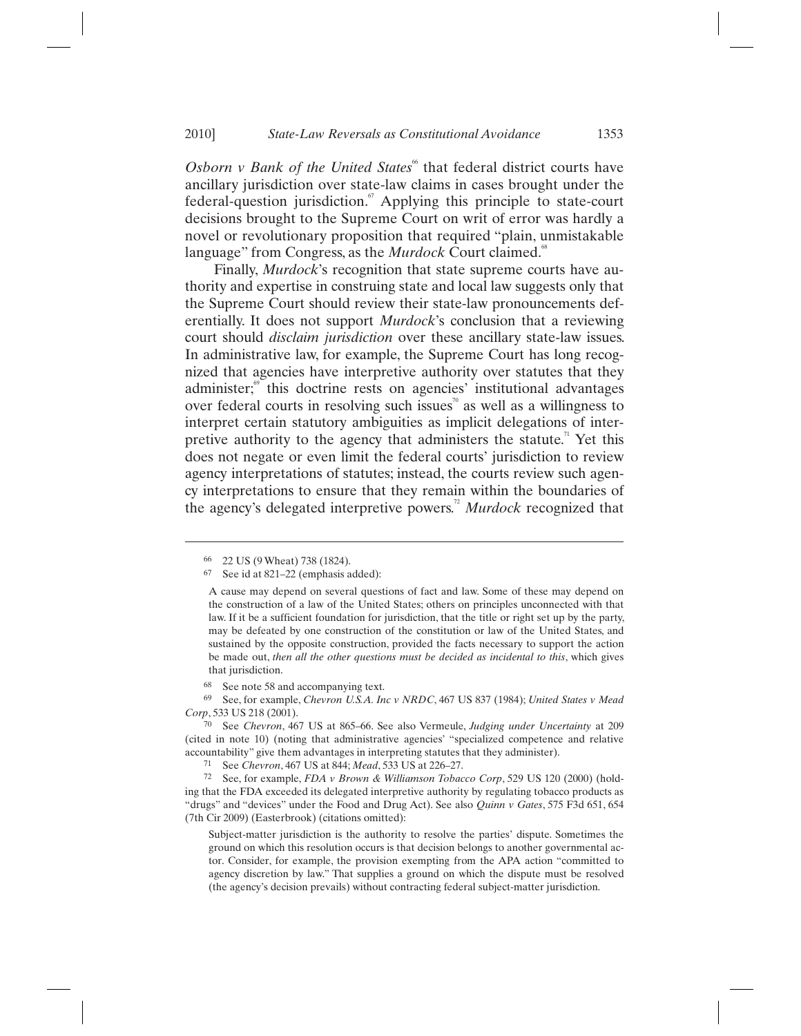*Osborn v Bank of the United States*<sup>66</sup> that federal district courts have ancillary jurisdiction over state-law claims in cases brought under the federal-question jurisdiction. $\degree$  Applying this principle to state-court decisions brought to the Supreme Court on writ of error was hardly a novel or revolutionary proposition that required "plain, unmistakable language" from Congress, as the *Murdock* Court claimed.<sup>68</sup>

Finally, *Murdock*'s recognition that state supreme courts have authority and expertise in construing state and local law suggests only that the Supreme Court should review their state-law pronouncements deferentially. It does not support *Murdock*'s conclusion that a reviewing court should *disclaim jurisdiction* over these ancillary state-law issues. In administrative law, for example, the Supreme Court has long recognized that agencies have interpretive authority over statutes that they administer;<sup>69</sup> this doctrine rests on agencies' institutional advantages over federal courts in resolving such issues<sup> $\omega$ </sup> as well as a willingness to interpret certain statutory ambiguities as implicit delegations of interpretive authority to the agency that administers the statute.<sup> $n$ </sup> Yet this does not negate or even limit the federal courts' jurisdiction to review agency interpretations of statutes; instead, the courts review such agency interpretations to ensure that they remain within the boundaries of the agency's delegated interpretive powers.<sup>22</sup> *Murdock* recognized that

 $\overline{a}$ 

<sup>68</sup> See note 58 and accompanying text.<br><sup>69</sup> See for example *Chauron U.S.A. In* 

69 See, for example, *Chevron U.S.A. Inc v NRDC*, 467 US 837 (1984); *United States v Mead Corp*, 533 US 218 (2001).

70 See *Chevron*, 467 US at 865–66. See also Vermeule, *Judging under Uncertainty* at 209 (cited in note 10) (noting that administrative agencies' "specialized competence and relative accountability" give them advantages in interpreting statutes that they administer). 71 See *Chevron*, 467 US at 844; *Mead*, 533 US at 226–27.

72 See, for example, *FDA v Brown & Williamson Tobacco Corp*, 529 US 120 (2000) (holding that the FDA exceeded its delegated interpretive authority by regulating tobacco products as "drugs" and "devices" under the Food and Drug Act). See also *Quinn v Gates*, 575 F3d 651, 654 (7th Cir 2009) (Easterbrook) (citations omitted):

Subject-matter jurisdiction is the authority to resolve the parties' dispute. Sometimes the ground on which this resolution occurs is that decision belongs to another governmental actor. Consider, for example, the provision exempting from the APA action "committed to agency discretion by law." That supplies a ground on which the dispute must be resolved (the agency's decision prevails) without contracting federal subject-matter jurisdiction.

<sup>66 22</sup> US (9 Wheat) 738 (1824).

See id at 821–22 (emphasis added):

A cause may depend on several questions of fact and law. Some of these may depend on the construction of a law of the United States; others on principles unconnected with that law. If it be a sufficient foundation for jurisdiction, that the title or right set up by the party, may be defeated by one construction of the constitution or law of the United States, and sustained by the opposite construction, provided the facts necessary to support the action be made out, *then all the other questions must be decided as incidental to this*, which gives that jurisdiction.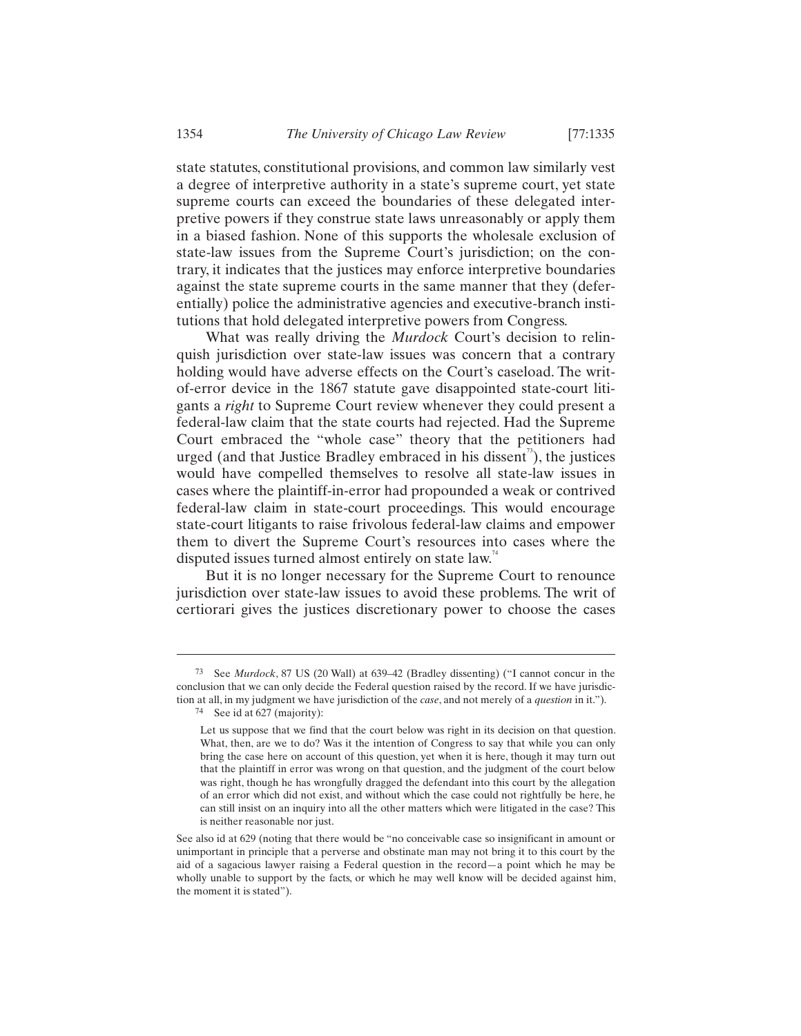state statutes, constitutional provisions, and common law similarly vest a degree of interpretive authority in a state's supreme court, yet state supreme courts can exceed the boundaries of these delegated interpretive powers if they construe state laws unreasonably or apply them in a biased fashion. None of this supports the wholesale exclusion of state-law issues from the Supreme Court's jurisdiction; on the contrary, it indicates that the justices may enforce interpretive boundaries against the state supreme courts in the same manner that they (deferentially) police the administrative agencies and executive-branch institutions that hold delegated interpretive powers from Congress.

What was really driving the *Murdock* Court's decision to relinquish jurisdiction over state-law issues was concern that a contrary holding would have adverse effects on the Court's caseload. The writof-error device in the 1867 statute gave disappointed state-court litigants a *right* to Supreme Court review whenever they could present a federal-law claim that the state courts had rejected. Had the Supreme Court embraced the "whole case" theory that the petitioners had urged (and that Justice Bradley embraced in his dissent<sup>3</sup>), the justices would have compelled themselves to resolve all state-law issues in cases where the plaintiff-in-error had propounded a weak or contrived federal-law claim in state-court proceedings. This would encourage state-court litigants to raise frivolous federal-law claims and empower them to divert the Supreme Court's resources into cases where the disputed issues turned almost entirely on state law.<sup>74</sup>

But it is no longer necessary for the Supreme Court to renounce jurisdiction over state-law issues to avoid these problems. The writ of certiorari gives the justices discretionary power to choose the cases

-

<sup>73</sup> See *Murdock*, 87 US (20 Wall) at 639–42 (Bradley dissenting) ("I cannot concur in the conclusion that we can only decide the Federal question raised by the record. If we have jurisdiction at all, in my judgment we have jurisdiction of the *case*, and not merely of a *question* in it."). 74 See id at 627 (majority):

Let us suppose that we find that the court below was right in its decision on that question. What, then, are we to do? Was it the intention of Congress to say that while you can only bring the case here on account of this question, yet when it is here, though it may turn out that the plaintiff in error was wrong on that question, and the judgment of the court below was right, though he has wrongfully dragged the defendant into this court by the allegation of an error which did not exist, and without which the case could not rightfully be here, he can still insist on an inquiry into all the other matters which were litigated in the case? This is neither reasonable nor just.

See also id at 629 (noting that there would be "no conceivable case so insignificant in amount or unimportant in principle that a perverse and obstinate man may not bring it to this court by the aid of a sagacious lawyer raising a Federal question in the record—a point which he may be wholly unable to support by the facts, or which he may well know will be decided against him, the moment it is stated").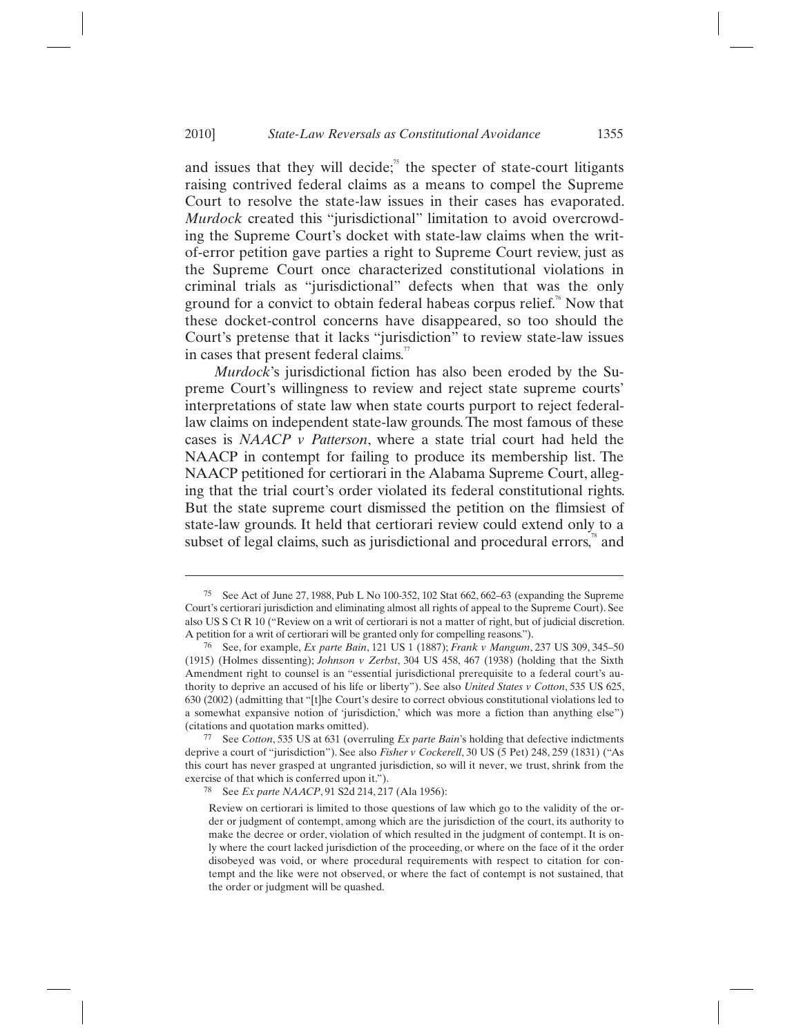and issues that they will decide; $\frac{5}{5}$  the specter of state-court litigants raising contrived federal claims as a means to compel the Supreme Court to resolve the state-law issues in their cases has evaporated. *Murdock* created this "jurisdictional" limitation to avoid overcrowding the Supreme Court's docket with state-law claims when the writof-error petition gave parties a right to Supreme Court review, just as the Supreme Court once characterized constitutional violations in criminal trials as "jurisdictional" defects when that was the only ground for a convict to obtain federal habeas corpus relief.<sup> $\kappa$ </sup> Now that these docket-control concerns have disappeared, so too should the Court's pretense that it lacks "jurisdiction" to review state-law issues in cases that present federal claims.<sup>77</sup>

*Murdock*'s jurisdictional fiction has also been eroded by the Supreme Court's willingness to review and reject state supreme courts' interpretations of state law when state courts purport to reject federallaw claims on independent state-law grounds. The most famous of these cases is *NAACP v Patterson*, where a state trial court had held the NAACP in contempt for failing to produce its membership list. The NAACP petitioned for certiorari in the Alabama Supreme Court, alleging that the trial court's order violated its federal constitutional rights. But the state supreme court dismissed the petition on the flimsiest of state-law grounds. It held that certiorari review could extend only to a subset of legal claims, such as jurisdictional and procedural errors,<sup>88</sup> and

<sup>75</sup> See Act of June 27, 1988, Pub L No 100-352, 102 Stat 662, 662–63 (expanding the Supreme Court's certiorari jurisdiction and eliminating almost all rights of appeal to the Supreme Court). See also US S Ct R 10 ("Review on a writ of certiorari is not a matter of right, but of judicial discretion. A petition for a writ of certiorari will be granted only for compelling reasons."). 76 See, for example, *Ex parte Bain*, 121 US 1 (1887); *Frank v Mangum*, 237 US 309, 345–50

<sup>(1915) (</sup>Holmes dissenting); *Johnson v Zerbst*, 304 US 458, 467 (1938) (holding that the Sixth Amendment right to counsel is an "essential jurisdictional prerequisite to a federal court's authority to deprive an accused of his life or liberty"). See also *United States v Cotton*, 535 US 625, 630 (2002) (admitting that "[t]he Court's desire to correct obvious constitutional violations led to a somewhat expansive notion of 'jurisdiction,' which was more a fiction than anything else") (citations and quotation marks omitted).

<sup>77</sup> See *Cotton*, 535 US at 631 (overruling *Ex parte Bain*'s holding that defective indictments deprive a court of "jurisdiction"). See also *Fisher v Cockerell*, 30 US (5 Pet) 248, 259 (1831) ("As this court has never grasped at ungranted jurisdiction, so will it never, we trust, shrink from the exercise of that which is conferred upon it.").<br><sup>78</sup> See *Ex parte NAACP*, 91 S2d 214, 217 (Ala 1956):

Review on certiorari is limited to those questions of law which go to the validity of the order or judgment of contempt, among which are the jurisdiction of the court, its authority to make the decree or order, violation of which resulted in the judgment of contempt. It is only where the court lacked jurisdiction of the proceeding, or where on the face of it the order disobeyed was void, or where procedural requirements with respect to citation for contempt and the like were not observed, or where the fact of contempt is not sustained, that the order or judgment will be quashed.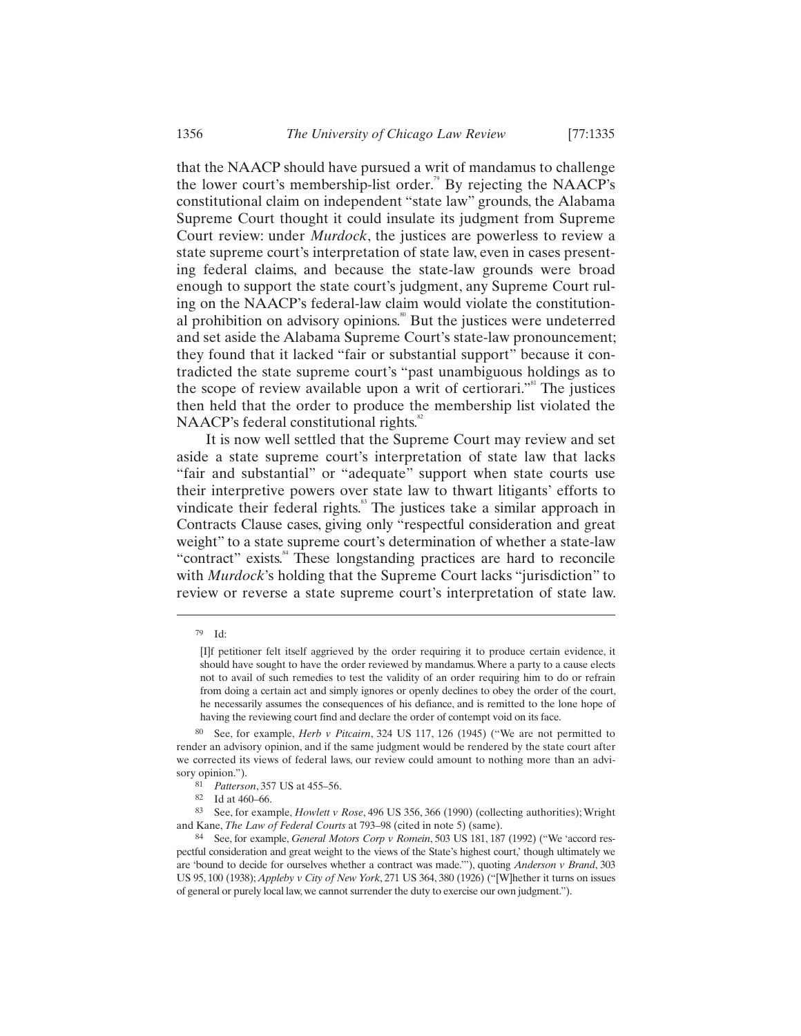that the NAACP should have pursued a writ of mandamus to challenge the lower court's membership-list order.<sup>9</sup> By rejecting the NAACP's constitutional claim on independent "state law" grounds, the Alabama Supreme Court thought it could insulate its judgment from Supreme Court review: under *Murdock*, the justices are powerless to review a state supreme court's interpretation of state law, even in cases presenting federal claims, and because the state-law grounds were broad enough to support the state court's judgment, any Supreme Court ruling on the NAACP's federal-law claim would violate the constitutional prohibition on advisory opinions.<sup>80</sup> But the justices were undeterred and set aside the Alabama Supreme Court's state-law pronouncement; they found that it lacked "fair or substantial support" because it contradicted the state supreme court's "past unambiguous holdings as to the scope of review available upon a writ of certiorari."<sup>81</sup> The justices then held that the order to produce the membership list violated the  $NAACP's federal$  constitutional rights.<sup>82</sup>

It is now well settled that the Supreme Court may review and set aside a state supreme court's interpretation of state law that lacks "fair and substantial" or "adequate" support when state courts use their interpretive powers over state law to thwart litigants' efforts to vindicate their federal rights.<sup>83</sup> The justices take a similar approach in Contracts Clause cases, giving only "respectful consideration and great weight" to a state supreme court's determination of whether a state-law "contract" exists.<sup>84</sup> These longstanding practices are hard to reconcile with *Murdock*'s holding that the Supreme Court lacks "jurisdiction" to review or reverse a state supreme court's interpretation of state law.

-

<sup>79</sup> Id:

<sup>[</sup>I]f petitioner felt itself aggrieved by the order requiring it to produce certain evidence, it should have sought to have the order reviewed by mandamus. Where a party to a cause elects not to avail of such remedies to test the validity of an order requiring him to do or refrain from doing a certain act and simply ignores or openly declines to obey the order of the court, he necessarily assumes the consequences of his defiance, and is remitted to the lone hope of having the reviewing court find and declare the order of contempt void on its face.

<sup>80</sup> See, for example, *Herb v Pitcairn*, 324 US 117, 126 (1945) ("We are not permitted to render an advisory opinion, and if the same judgment would be rendered by the state court after we corrected its views of federal laws, our review could amount to nothing more than an advisory opinion.").

<sup>81</sup> *Patterson*, 357 US at 455–56. 82 Id at 460–66.

<sup>83</sup> See, for example, *Howlett v Rose*, 496 US 356, 366 (1990) (collecting authorities); Wright and Kane, *The Law of Federal Courts* at 793–98 (cited in note 5) (same).<br><sup>84</sup> See, for example, *General Motors Corp v Romein*, 503 US 181, 187 (1992) ("We 'accord res-

pectful consideration and great weight to the views of the State's highest court,' though ultimately we are 'bound to decide for ourselves whether a contract was made.'"), quoting *Anderson v Brand*, 303 US 95, 100 (1938); *Appleby v City of New York*, 271 US 364, 380 (1926) ("[W]hether it turns on issues of general or purely local law, we cannot surrender the duty to exercise our own judgment.").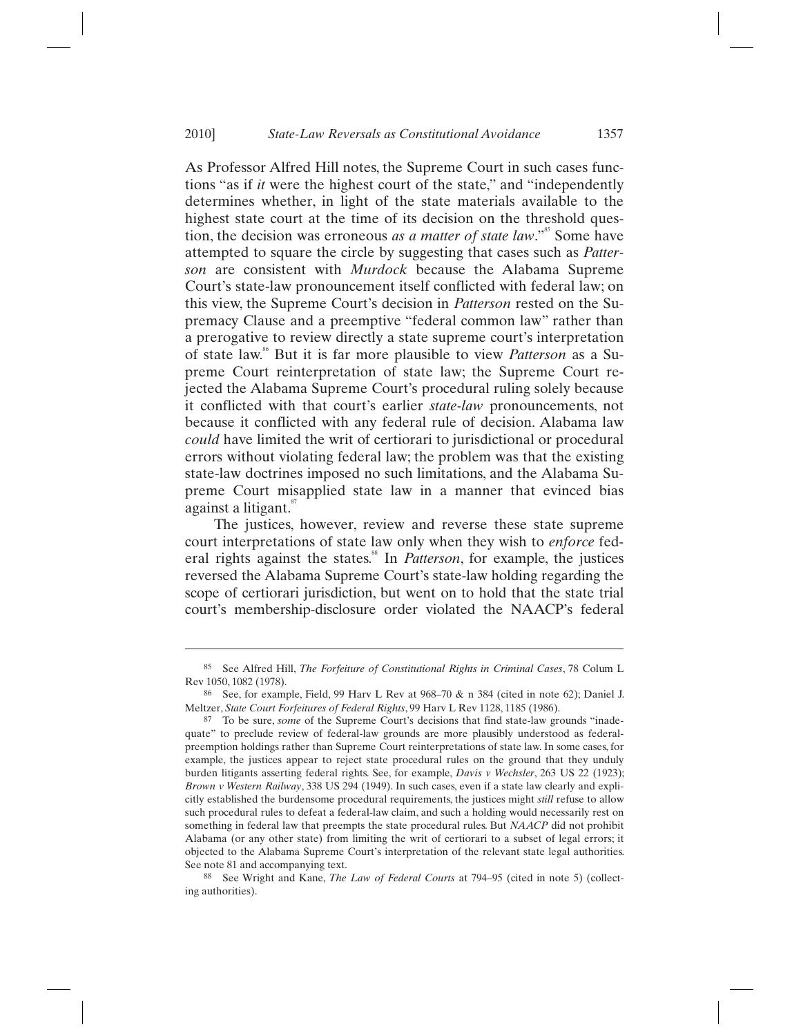As Professor Alfred Hill notes, the Supreme Court in such cases functions "as if *it* were the highest court of the state," and "independently determines whether, in light of the state materials available to the highest state court at the time of its decision on the threshold question, the decision was erroneous *as a matter of state law*."<sup>85</sup> Some have attempted to square the circle by suggesting that cases such as *Patterson* are consistent with *Murdock* because the Alabama Supreme Court's state-law pronouncement itself conflicted with federal law; on this view, the Supreme Court's decision in *Patterson* rested on the Supremacy Clause and a preemptive "federal common law" rather than a prerogative to review directly a state supreme court's interpretation of state law.86 But it is far more plausible to view *Patterson* as a Supreme Court reinterpretation of state law; the Supreme Court rejected the Alabama Supreme Court's procedural ruling solely because it conflicted with that court's earlier *state-law* pronouncements, not because it conflicted with any federal rule of decision. Alabama law *could* have limited the writ of certiorari to jurisdictional or procedural errors without violating federal law; the problem was that the existing state-law doctrines imposed no such limitations, and the Alabama Supreme Court misapplied state law in a manner that evinced bias against a litigant.

The justices, however, review and reverse these state supreme court interpretations of state law only when they wish to *enforce* federal rights against the states.<sup>88</sup> In *Patterson*, for example, the justices reversed the Alabama Supreme Court's state-law holding regarding the scope of certiorari jurisdiction, but went on to hold that the state trial court's membership-disclosure order violated the NAACP's federal

<sup>85</sup> See Alfred Hill, *The Forfeiture of Constitutional Rights in Criminal Cases*, 78 Colum L Rev 1050, 1082 (1978).<br><sup>86</sup> See, for example, Field, 99 Harv L Rev at 968–70 & n 384 (cited in note 62); Daniel J.

Meltzer, *State Court Forfeitures of Federal Rights*, 99 Harv L Rev 1128, 1185 (1986).<br><sup>87</sup> To be sure, *some* of the Supreme Court's decisions that find state-law grounds "inade-

quate" to preclude review of federal-law grounds are more plausibly understood as federalpreemption holdings rather than Supreme Court reinterpretations of state law. In some cases, for example, the justices appear to reject state procedural rules on the ground that they unduly burden litigants asserting federal rights. See, for example, *Davis v Wechsler*, 263 US 22 (1923); *Brown v Western Railway*, 338 US 294 (1949). In such cases, even if a state law clearly and explicitly established the burdensome procedural requirements, the justices might *still* refuse to allow such procedural rules to defeat a federal-law claim, and such a holding would necessarily rest on something in federal law that preempts the state procedural rules. But *NAACP* did not prohibit Alabama (or any other state) from limiting the writ of certiorari to a subset of legal errors; it objected to the Alabama Supreme Court's interpretation of the relevant state legal authorities. See note 81 and accompanying text. 88 See Wright and Kane, *The Law of Federal Courts* at 794–95 (cited in note 5) (collect-

ing authorities).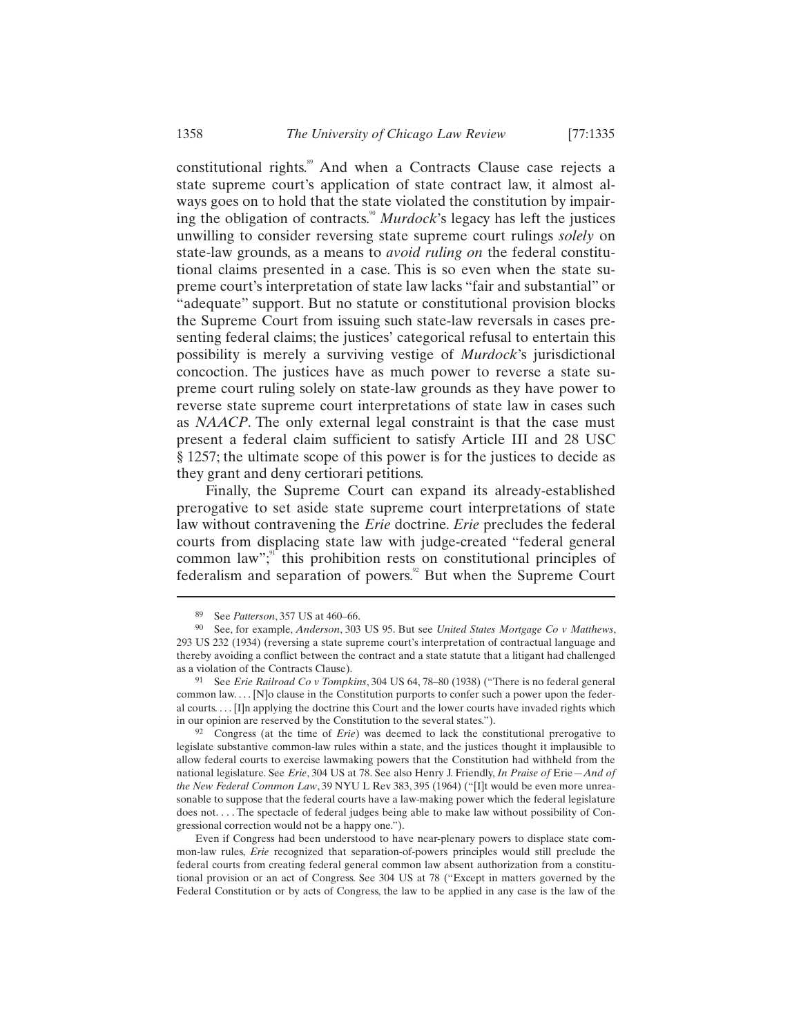constitutional rights.<sup>89</sup> And when a Contracts Clause case rejects a state supreme court's application of state contract law, it almost always goes on to hold that the state violated the constitution by impairing the obligation of contracts.<sup>90</sup> *Murdock*'s legacy has left the justices unwilling to consider reversing state supreme court rulings *solely* on state-law grounds, as a means to *avoid ruling on* the federal constitutional claims presented in a case. This is so even when the state supreme court's interpretation of state law lacks "fair and substantial" or "adequate" support. But no statute or constitutional provision blocks the Supreme Court from issuing such state-law reversals in cases presenting federal claims; the justices' categorical refusal to entertain this possibility is merely a surviving vestige of *Murdock*'s jurisdictional concoction. The justices have as much power to reverse a state supreme court ruling solely on state-law grounds as they have power to reverse state supreme court interpretations of state law in cases such as *NAACP*. The only external legal constraint is that the case must present a federal claim sufficient to satisfy Article III and 28 USC § 1257; the ultimate scope of this power is for the justices to decide as they grant and deny certiorari petitions.

Finally, the Supreme Court can expand its already-established prerogative to set aside state supreme court interpretations of state law without contravening the *Erie* doctrine. *Erie* precludes the federal courts from displacing state law with judge-created "federal general common law"; $\frac{91}{1}$  this prohibition rests on constitutional principles of federalism and separation of powers.<sup>92</sup> But when the Supreme Court

<sup>89</sup> See *Patterson*, 357 US at 460–66.

<sup>90</sup> See, for example, *Anderson*, 303 US 95. But see *United States Mortgage Co v Matthews*, 293 US 232 (1934) (reversing a state supreme court's interpretation of contractual language and thereby avoiding a conflict between the contract and a state statute that a litigant had challenged as a violation of the Contracts Clause). 91 See *Erie Railroad Co v Tompkins*, 304 US 64, 78–80 (1938) ("There is no federal general

common law. . . . [N]o clause in the Constitution purports to confer such a power upon the federal courts. . . . [I]n applying the doctrine this Court and the lower courts have invaded rights which in our opinion are reserved by the Constitution to the several states."). 92 Congress (at the time of *Erie*) was deemed to lack the constitutional prerogative to

legislate substantive common-law rules within a state, and the justices thought it implausible to allow federal courts to exercise lawmaking powers that the Constitution had withheld from the national legislature. See *Erie*, 304 US at 78. See also Henry J. Friendly, *In Praise of* Erie*—And of the New Federal Common Law*, 39 NYU L Rev 383, 395 (1964) ("[I]t would be even more unreasonable to suppose that the federal courts have a law-making power which the federal legislature does not. . . . The spectacle of federal judges being able to make law without possibility of Congressional correction would not be a happy one.").

Even if Congress had been understood to have near-plenary powers to displace state common-law rules, *Erie* recognized that separation-of-powers principles would still preclude the federal courts from creating federal general common law absent authorization from a constitutional provision or an act of Congress. See 304 US at 78 ("Except in matters governed by the Federal Constitution or by acts of Congress, the law to be applied in any case is the law of the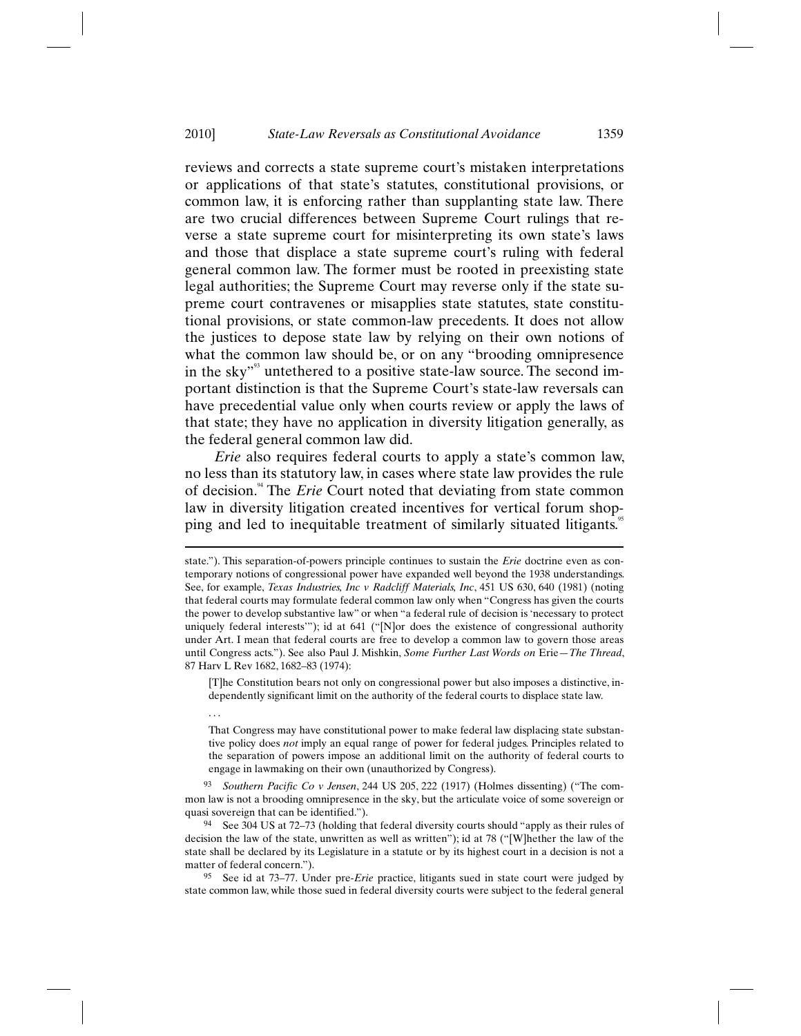reviews and corrects a state supreme court's mistaken interpretations or applications of that state's statutes, constitutional provisions, or common law, it is enforcing rather than supplanting state law. There are two crucial differences between Supreme Court rulings that reverse a state supreme court for misinterpreting its own state's laws and those that displace a state supreme court's ruling with federal general common law. The former must be rooted in preexisting state legal authorities; the Supreme Court may reverse only if the state supreme court contravenes or misapplies state statutes, state constitutional provisions, or state common-law precedents. It does not allow the justices to depose state law by relying on their own notions of what the common law should be, or on any "brooding omnipresence in the sky<sup> $\mathbf{y}^{\text{ss}}$ </sup> untethered to a positive state-law source. The second important distinction is that the Supreme Court's state-law reversals can have precedential value only when courts review or apply the laws of that state; they have no application in diversity litigation generally, as the federal general common law did.

*Erie* also requires federal courts to apply a state's common law, no less than its statutory law, in cases where state law provides the rule of decision.<sup>4</sup> The *Erie* Court noted that deviating from state common law in diversity litigation created incentives for vertical forum shopping and led to inequitable treatment of similarly situated litigants.<sup>8</sup>

[T]he Constitution bears not only on congressional power but also imposes a distinctive, independently significant limit on the authority of the federal courts to displace state law.

1

state."). This separation-of-powers principle continues to sustain the *Erie* doctrine even as contemporary notions of congressional power have expanded well beyond the 1938 understandings. See, for example, *Texas Industries, Inc v Radcliff Materials, Inc*, 451 US 630, 640 (1981) (noting that federal courts may formulate federal common law only when "Congress has given the courts the power to develop substantive law" or when "a federal rule of decision is 'necessary to protect uniquely federal interests'"); id at 641 ("[N]or does the existence of congressional authority under Art. I mean that federal courts are free to develop a common law to govern those areas until Congress acts."). See also Paul J. Mishkin, *Some Further Last Words on* Erie*—The Thread*, 87 Harv L Rev 1682, 1682–83 (1974):

<sup>. . .</sup> 

That Congress may have constitutional power to make federal law displacing state substantive policy does *not* imply an equal range of power for federal judges. Principles related to the separation of powers impose an additional limit on the authority of federal courts to engage in lawmaking on their own (unauthorized by Congress).

<sup>93</sup> *Southern Pacific Co v Jensen*, 244 US 205, 222 (1917) (Holmes dissenting) ("The common law is not a brooding omnipresence in the sky, but the articulate voice of some sovereign or quasi sovereign that can be identified.").

<sup>94</sup> See 304 US at 72–73 (holding that federal diversity courts should "apply as their rules of decision the law of the state, unwritten as well as written"); id at 78 ("[W]hether the law of the state shall be declared by its Legislature in a statute or by its highest court in a decision is not a matter of federal concern.").<br><sup>95</sup> See id at 73–77. Under pre-*Erie* practice, litigants sued in state court were judged by

state common law, while those sued in federal diversity courts were subject to the federal general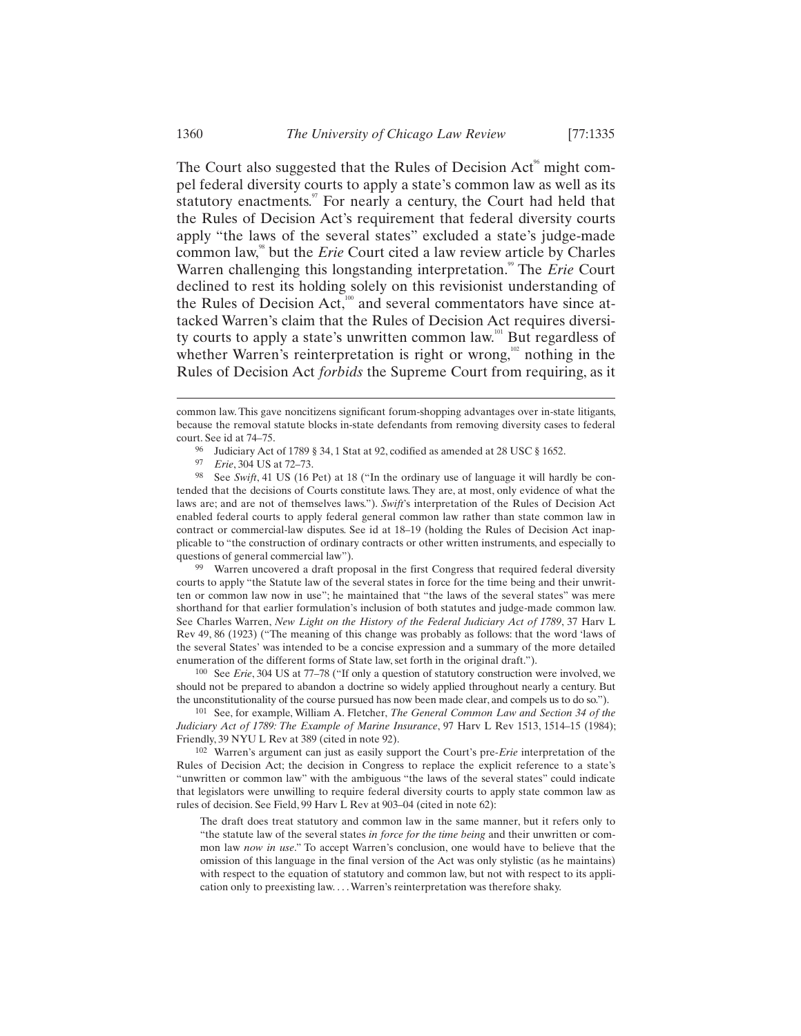The Court also suggested that the Rules of Decision Act<sup>®</sup> might compel federal diversity courts to apply a state's common law as well as its statutory enactments.<sup>97</sup> For nearly a century, the Court had held that the Rules of Decision Act's requirement that federal diversity courts apply "the laws of the several states" excluded a state's judge-made common law,98 but the *Erie* Court cited a law review article by Charles Warren challenging this longstanding interpretation.<sup>99</sup> The *Erie* Court declined to rest its holding solely on this revisionist understanding of the Rules of Decision Act,<sup>100</sup> and several commentators have since attacked Warren's claim that the Rules of Decision Act requires diversity courts to apply a state's unwritten common law.<sup>101</sup> But regardless of whether Warren's reinterpretation is right or wrong,<sup>102</sup> nothing in the Rules of Decision Act *forbids* the Supreme Court from requiring, as it

- 
- 

<sup>98</sup> See *Swift*, 41 US (16 Pet) at 18 ("In the ordinary use of language it will hardly be contended that the decisions of Courts constitute laws. They are, at most, only evidence of what the laws are; and are not of themselves laws."). *Swift*'s interpretation of the Rules of Decision Act enabled federal courts to apply federal general common law rather than state common law in contract or commercial-law disputes. See id at 18–19 (holding the Rules of Decision Act inapplicable to "the construction of ordinary contracts or other written instruments, and especially to questions of general commercial law").<br><sup>99</sup> Warren uncovered a draft proposal in the first Congress that required federal diversity

courts to apply "the Statute law of the several states in force for the time being and their unwritten or common law now in use"; he maintained that "the laws of the several states" was mere shorthand for that earlier formulation's inclusion of both statutes and judge-made common law. See Charles Warren, *New Light on the History of the Federal Judiciary Act of 1789*, 37 Harv L Rev 49, 86 (1923) ("The meaning of this change was probably as follows: that the word 'laws of the several States' was intended to be a concise expression and a summary of the more detailed enumeration of the different forms of State law, set forth in the original draft."). 100 See *Erie*, 304 US at 77–78 ("If only a question of statutory construction were involved, we

should not be prepared to abandon a doctrine so widely applied throughout nearly a century. But the unconstitutionality of the course pursued has now been made clear, and compels us to do so."). 101 See, for example, William A. Fletcher, *The General Common Law and Section 34 of the* 

*Judiciary Act of 1789: The Example of Marine Insurance*, 97 Harv L Rev 1513, 1514–15 (1984); Friendly, 39 NYU L Rev at 389 (cited in note 92).<br><sup>102</sup> Warren's argument can just as easily support the Court's pre-*Erie* interpretation of the

Rules of Decision Act; the decision in Congress to replace the explicit reference to a state's "unwritten or common law" with the ambiguous "the laws of the several states" could indicate that legislators were unwilling to require federal diversity courts to apply state common law as rules of decision. See Field, 99 Harv L Rev at 903–04 (cited in note 62):

The draft does treat statutory and common law in the same manner, but it refers only to "the statute law of the several states *in force for the time being* and their unwritten or common law *now in use*." To accept Warren's conclusion, one would have to believe that the omission of this language in the final version of the Act was only stylistic (as he maintains) with respect to the equation of statutory and common law, but not with respect to its application only to preexisting law.... Warren's reinterpretation was therefore shaky.

common law. This gave noncitizens significant forum-shopping advantages over in-state litigants, because the removal statute blocks in-state defendants from removing diversity cases to federal court. See id at 74–75.<br>96 Judiciary Act of 1789 § 34, 1 Stat at 92, codified as amended at 28 USC § 1652.<br>97 *Erie*, 304 US at 72–73.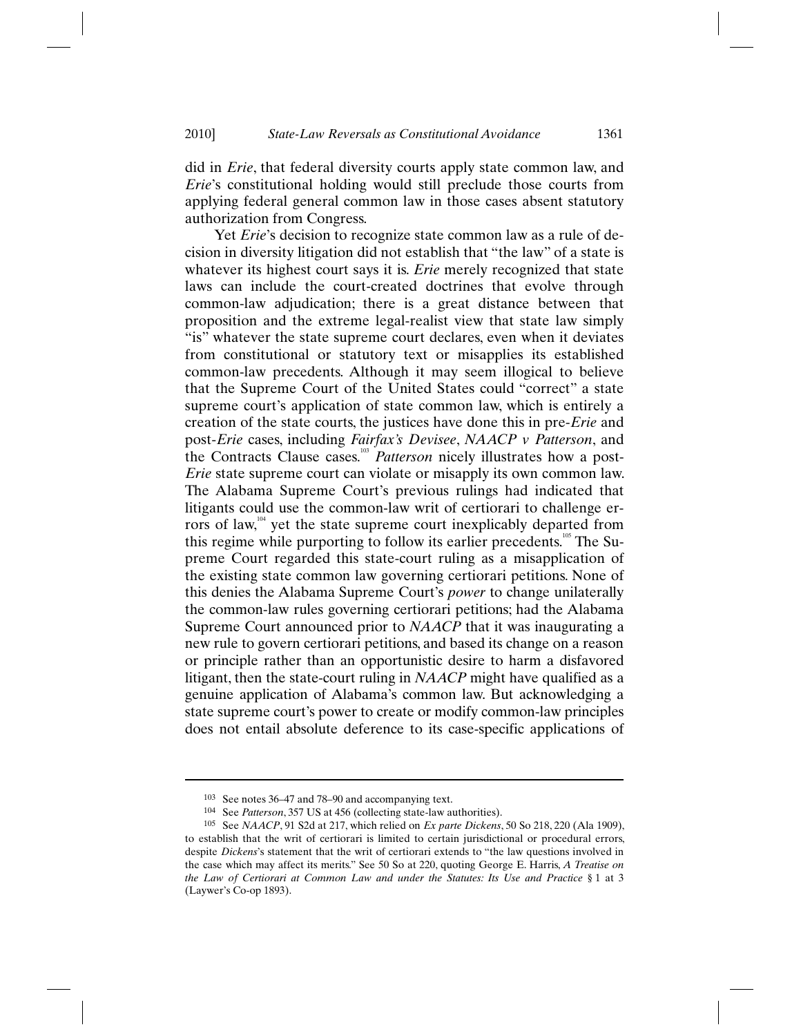did in *Erie*, that federal diversity courts apply state common law, and *Erie*'s constitutional holding would still preclude those courts from applying federal general common law in those cases absent statutory authorization from Congress.

Yet *Erie*'s decision to recognize state common law as a rule of decision in diversity litigation did not establish that "the law" of a state is whatever its highest court says it is. *Erie* merely recognized that state laws can include the court-created doctrines that evolve through common-law adjudication; there is a great distance between that proposition and the extreme legal-realist view that state law simply "is" whatever the state supreme court declares, even when it deviates from constitutional or statutory text or misapplies its established common-law precedents. Although it may seem illogical to believe that the Supreme Court of the United States could "correct" a state supreme court's application of state common law, which is entirely a creation of the state courts, the justices have done this in pre-*Erie* and post-*Erie* cases, including *Fairfax's Devisee*, *NAACP v Patterson*, and the Contracts Clause cases.103 *Patterson* nicely illustrates how a post-*Erie* state supreme court can violate or misapply its own common law. The Alabama Supreme Court's previous rulings had indicated that litigants could use the common-law writ of certiorari to challenge errors of law, $\mathbb{R}^4$  yet the state supreme court inexplicably departed from this regime while purporting to follow its earlier precedents.<sup>105</sup> The Supreme Court regarded this state-court ruling as a misapplication of the existing state common law governing certiorari petitions. None of this denies the Alabama Supreme Court's *power* to change unilaterally the common-law rules governing certiorari petitions; had the Alabama Supreme Court announced prior to *NAACP* that it was inaugurating a new rule to govern certiorari petitions, and based its change on a reason or principle rather than an opportunistic desire to harm a disfavored litigant, then the state-court ruling in *NAACP* might have qualified as a genuine application of Alabama's common law. But acknowledging a state supreme court's power to create or modify common-law principles does not entail absolute deference to its case-specific applications of

<sup>&</sup>lt;sup>103</sup> See notes 36–47 and 78–90 and accompanying text.<br><sup>104</sup> See *Patterson*, 357 US at 456 (collecting state-law authorities).<br><sup>105</sup> See *NAACP*, 91 S2d at 217, which relied on *Ex parte Dickens*, 50 So 218, 220 (Ala 190 to establish that the writ of certiorari is limited to certain jurisdictional or procedural errors, despite *Dickens*'s statement that the writ of certiorari extends to "the law questions involved in the case which may affect its merits." See 50 So at 220, quoting George E. Harris, *A Treatise on the Law of Certiorari at Common Law and under the Statutes: Its Use and Practice* § 1 at 3 (Laywer's Co-op 1893).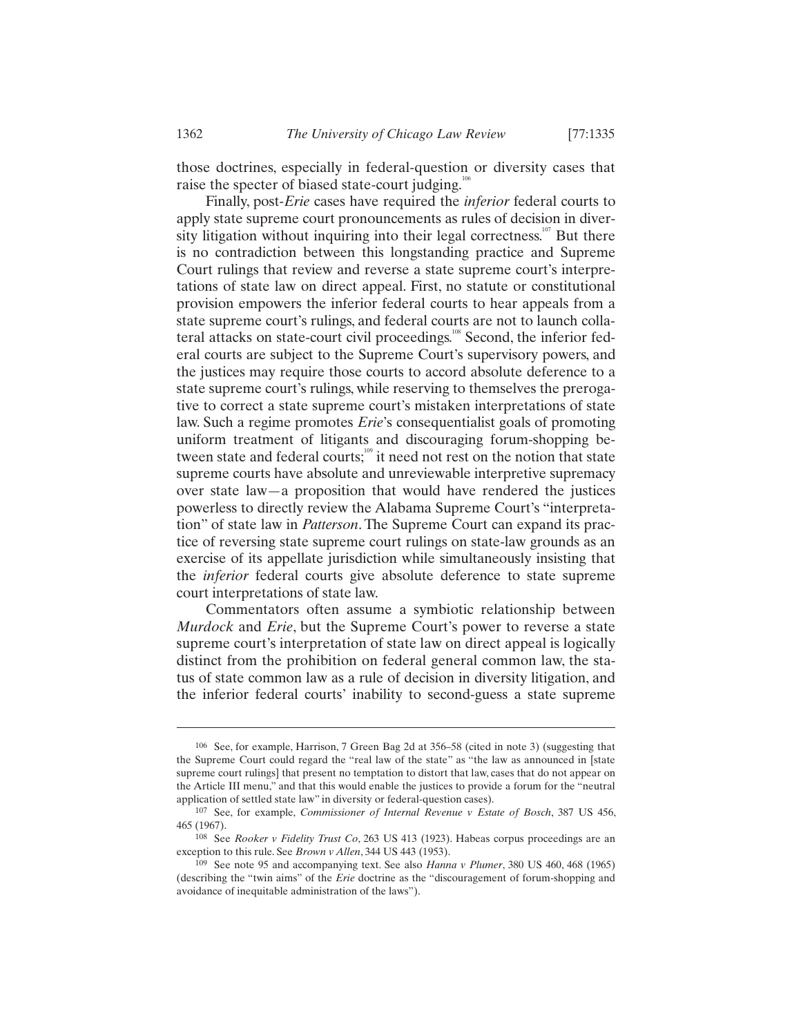those doctrines, especially in federal-question or diversity cases that raise the specter of biased state-court judging.<sup>1</sup>

Finally, post-*Erie* cases have required the *inferior* federal courts to apply state supreme court pronouncements as rules of decision in diversity litigation without inquiring into their legal correctness.<sup>107</sup> But there is no contradiction between this longstanding practice and Supreme Court rulings that review and reverse a state supreme court's interpretations of state law on direct appeal. First, no statute or constitutional provision empowers the inferior federal courts to hear appeals from a state supreme court's rulings, and federal courts are not to launch collateral attacks on state-court civil proceedings.<sup>108</sup> Second, the inferior federal courts are subject to the Supreme Court's supervisory powers, and the justices may require those courts to accord absolute deference to a state supreme court's rulings, while reserving to themselves the prerogative to correct a state supreme court's mistaken interpretations of state law. Such a regime promotes *Erie*'s consequentialist goals of promoting uniform treatment of litigants and discouraging forum-shopping between state and federal courts;<sup>109</sup> it need not rest on the notion that state supreme courts have absolute and unreviewable interpretive supremacy over state law—a proposition that would have rendered the justices powerless to directly review the Alabama Supreme Court's "interpretation" of state law in *Patterson*. The Supreme Court can expand its practice of reversing state supreme court rulings on state-law grounds as an exercise of its appellate jurisdiction while simultaneously insisting that the *inferior* federal courts give absolute deference to state supreme court interpretations of state law.

Commentators often assume a symbiotic relationship between *Murdock* and *Erie*, but the Supreme Court's power to reverse a state supreme court's interpretation of state law on direct appeal is logically distinct from the prohibition on federal general common law, the status of state common law as a rule of decision in diversity litigation, and the inferior federal courts' inability to second-guess a state supreme

<sup>106</sup> See, for example, Harrison, 7 Green Bag 2d at 356–58 (cited in note 3) (suggesting that the Supreme Court could regard the "real law of the state" as "the law as announced in [state supreme court rulings] that present no temptation to distort that law, cases that do not appear on the Article III menu," and that this would enable the justices to provide a forum for the "neutral application of settled state law" in diversity or federal-question cases).

<sup>&</sup>lt;sup>107</sup> See, for example, *Commissioner of Internal Revenue v Estate of Bosch*, 387 US 456, 465 (1967). 108 See *Rooker v Fidelity Trust Co*, 263 US 413 (1923). Habeas corpus proceedings are an

exception to this rule. See *Brown v Allen*, 344 US 443 (1953).

<sup>109</sup> See note 95 and accompanying text. See also *Hanna v Plumer*, 380 US 460, 468 (1965) (describing the "twin aims" of the *Erie* doctrine as the "discouragement of forum-shopping and avoidance of inequitable administration of the laws").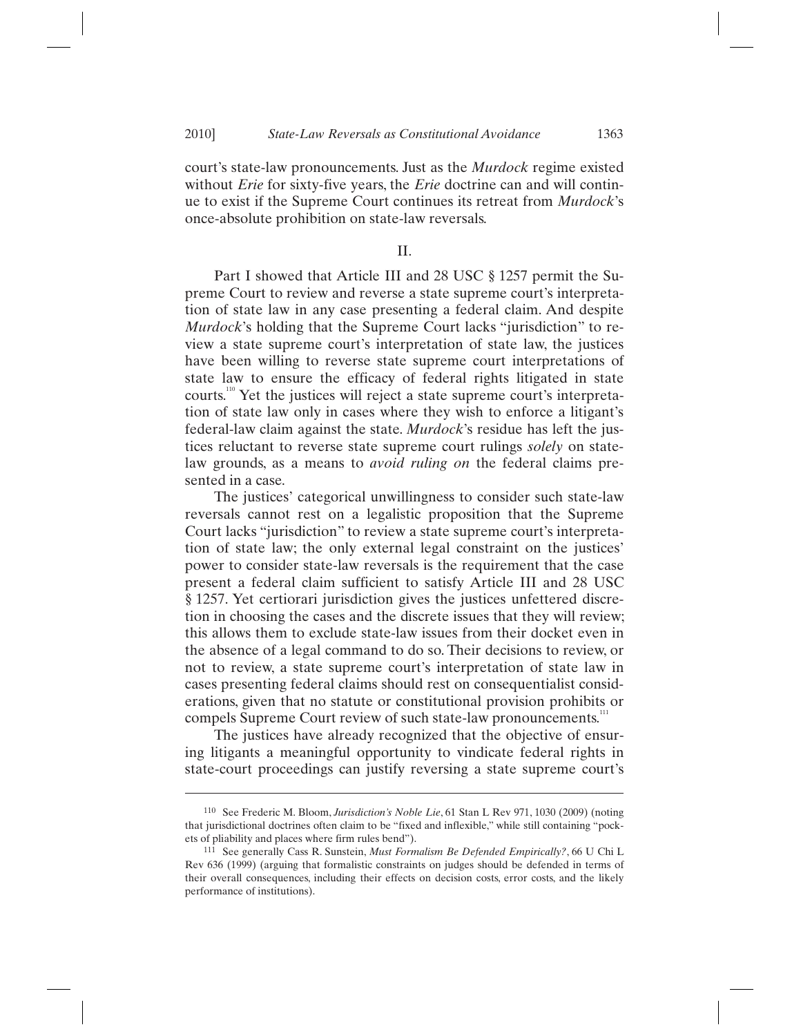court's state-law pronouncements. Just as the *Murdock* regime existed without *Erie* for sixty-five years, the *Erie* doctrine can and will continue to exist if the Supreme Court continues its retreat from *Murdock*'s once-absolute prohibition on state-law reversals.

## II.

Part I showed that Article III and 28 USC § 1257 permit the Supreme Court to review and reverse a state supreme court's interpretation of state law in any case presenting a federal claim. And despite *Murdock*'s holding that the Supreme Court lacks "jurisdiction" to review a state supreme court's interpretation of state law, the justices have been willing to reverse state supreme court interpretations of state law to ensure the efficacy of federal rights litigated in state courts.110 Yet the justices will reject a state supreme court's interpretation of state law only in cases where they wish to enforce a litigant's federal-law claim against the state. *Murdock*'s residue has left the justices reluctant to reverse state supreme court rulings *solely* on statelaw grounds, as a means to *avoid ruling on* the federal claims presented in a case.

The justices' categorical unwillingness to consider such state-law reversals cannot rest on a legalistic proposition that the Supreme Court lacks "jurisdiction" to review a state supreme court's interpretation of state law; the only external legal constraint on the justices' power to consider state-law reversals is the requirement that the case present a federal claim sufficient to satisfy Article III and 28 USC § 1257. Yet certiorari jurisdiction gives the justices unfettered discretion in choosing the cases and the discrete issues that they will review; this allows them to exclude state-law issues from their docket even in the absence of a legal command to do so. Their decisions to review, or not to review, a state supreme court's interpretation of state law in cases presenting federal claims should rest on consequentialist considerations, given that no statute or constitutional provision prohibits or compels Supreme Court review of such state-law pronouncements.<sup>11</sup>

The justices have already recognized that the objective of ensuring litigants a meaningful opportunity to vindicate federal rights in state-court proceedings can justify reversing a state supreme court's

<sup>110</sup> See Frederic M. Bloom, *Jurisdiction's Noble Lie*, 61 Stan L Rev 971, 1030 (2009) (noting that jurisdictional doctrines often claim to be "fixed and inflexible," while still containing "pockets of pliability and places where firm rules bend"). 111 See generally Cass R. Sunstein, *Must Formalism Be Defended Empirically?*, 66 U Chi L

Rev 636 (1999) (arguing that formalistic constraints on judges should be defended in terms of their overall consequences, including their effects on decision costs, error costs, and the likely performance of institutions).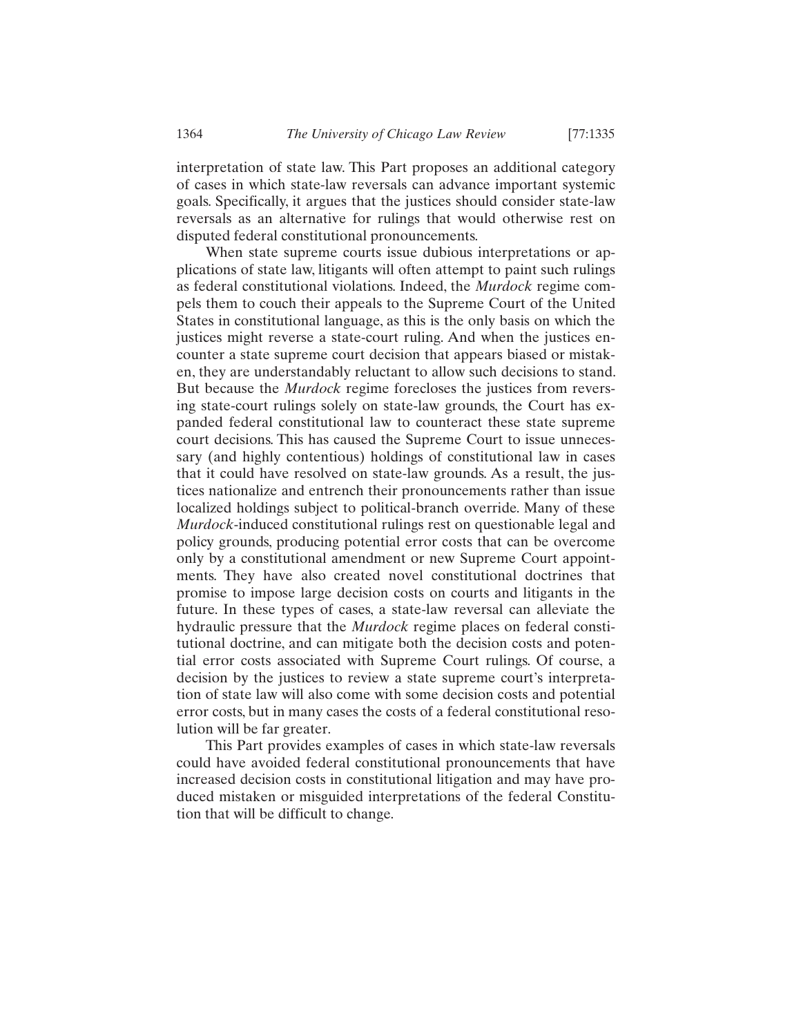interpretation of state law. This Part proposes an additional category of cases in which state-law reversals can advance important systemic goals. Specifically, it argues that the justices should consider state-law reversals as an alternative for rulings that would otherwise rest on disputed federal constitutional pronouncements.

When state supreme courts issue dubious interpretations or applications of state law, litigants will often attempt to paint such rulings as federal constitutional violations. Indeed, the *Murdock* regime compels them to couch their appeals to the Supreme Court of the United States in constitutional language, as this is the only basis on which the justices might reverse a state-court ruling. And when the justices encounter a state supreme court decision that appears biased or mistaken, they are understandably reluctant to allow such decisions to stand. But because the *Murdock* regime forecloses the justices from reversing state-court rulings solely on state-law grounds, the Court has expanded federal constitutional law to counteract these state supreme court decisions. This has caused the Supreme Court to issue unnecessary (and highly contentious) holdings of constitutional law in cases that it could have resolved on state-law grounds. As a result, the justices nationalize and entrench their pronouncements rather than issue localized holdings subject to political-branch override. Many of these *Murdock*-induced constitutional rulings rest on questionable legal and policy grounds, producing potential error costs that can be overcome only by a constitutional amendment or new Supreme Court appointments. They have also created novel constitutional doctrines that promise to impose large decision costs on courts and litigants in the future. In these types of cases, a state-law reversal can alleviate the hydraulic pressure that the *Murdock* regime places on federal constitutional doctrine, and can mitigate both the decision costs and potential error costs associated with Supreme Court rulings. Of course, a decision by the justices to review a state supreme court's interpretation of state law will also come with some decision costs and potential error costs, but in many cases the costs of a federal constitutional resolution will be far greater.

This Part provides examples of cases in which state-law reversals could have avoided federal constitutional pronouncements that have increased decision costs in constitutional litigation and may have produced mistaken or misguided interpretations of the federal Constitution that will be difficult to change.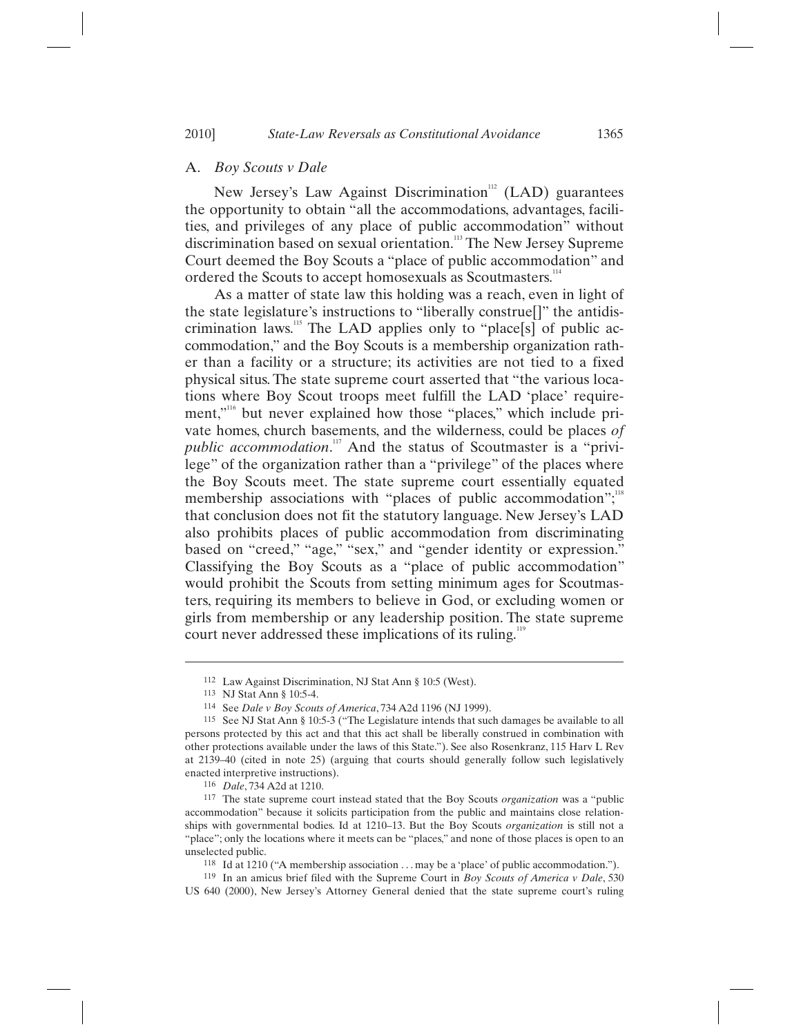### A. *Boy Scouts v Dale*

New Jersey's Law Against Discrimination<sup>112</sup> (LAD) guarantees the opportunity to obtain "all the accommodations, advantages, facilities, and privileges of any place of public accommodation" without discrimination based on sexual orientation.<sup>113</sup> The New Jersey Supreme Court deemed the Boy Scouts a "place of public accommodation" and ordered the Scouts to accept homosexuals as Scoutmasters.<sup>114</sup>

As a matter of state law this holding was a reach, even in light of the state legislature's instructions to "liberally construe[]" the antidiscrimination laws.<sup>115</sup> The LAD applies only to "place[s] of public accommodation," and the Boy Scouts is a membership organization rather than a facility or a structure; its activities are not tied to a fixed physical situs. The state supreme court asserted that "the various locations where Boy Scout troops meet fulfill the LAD 'place' requirement,"<sup>116</sup> but never explained how those "places," which include private homes, church basements, and the wilderness, could be places *of*  public accommodation.<sup>117</sup> And the status of Scoutmaster is a "privilege" of the organization rather than a "privilege" of the places where the Boy Scouts meet. The state supreme court essentially equated membership associations with "places of public accommodation"; $\overline{1}$ " that conclusion does not fit the statutory language. New Jersey's LAD also prohibits places of public accommodation from discriminating based on "creed," "age," "sex," and "gender identity or expression." Classifying the Boy Scouts as a "place of public accommodation" would prohibit the Scouts from setting minimum ages for Scoutmasters, requiring its members to believe in God, or excluding women or girls from membership or any leadership position. The state supreme court never addressed these implications of its ruling.<sup>11</sup>

<sup>&</sup>lt;sup>112</sup> Law Against Discrimination, NJ Stat Ann § 10:5 (West).<br><sup>113</sup> NJ Stat Ann § 10:5-4.<br><sup>114</sup> See *Dale v Boy Scouts of America*, 734 A2d 1196 (NJ 1999).<br><sup>115</sup> See NJ Stat Ann § 10:5-3 ("The Legislature intends that such persons protected by this act and that this act shall be liberally construed in combination with other protections available under the laws of this State."). See also Rosenkranz, 115 Harv L Rev at 2139–40 (cited in note 25) (arguing that courts should generally follow such legislatively enacted interpretive instructions).

<sup>116</sup> *Dale*, 734 A2d at 1210. 117 The state supreme court instead stated that the Boy Scouts *organization* was a "public accommodation" because it solicits participation from the public and maintains close relationships with governmental bodies. Id at 1210–13. But the Boy Scouts *organization* is still not a "place"; only the locations where it meets can be "places," and none of those places is open to an unselected public.

<sup>118</sup> Id at 1210 ("A membership association . . . may be a 'place' of public accommodation."). 119 In an amicus brief filed with the Supreme Court in *Boy Scouts of America v Dale*, 530

US 640 (2000), New Jersey's Attorney General denied that the state supreme court's ruling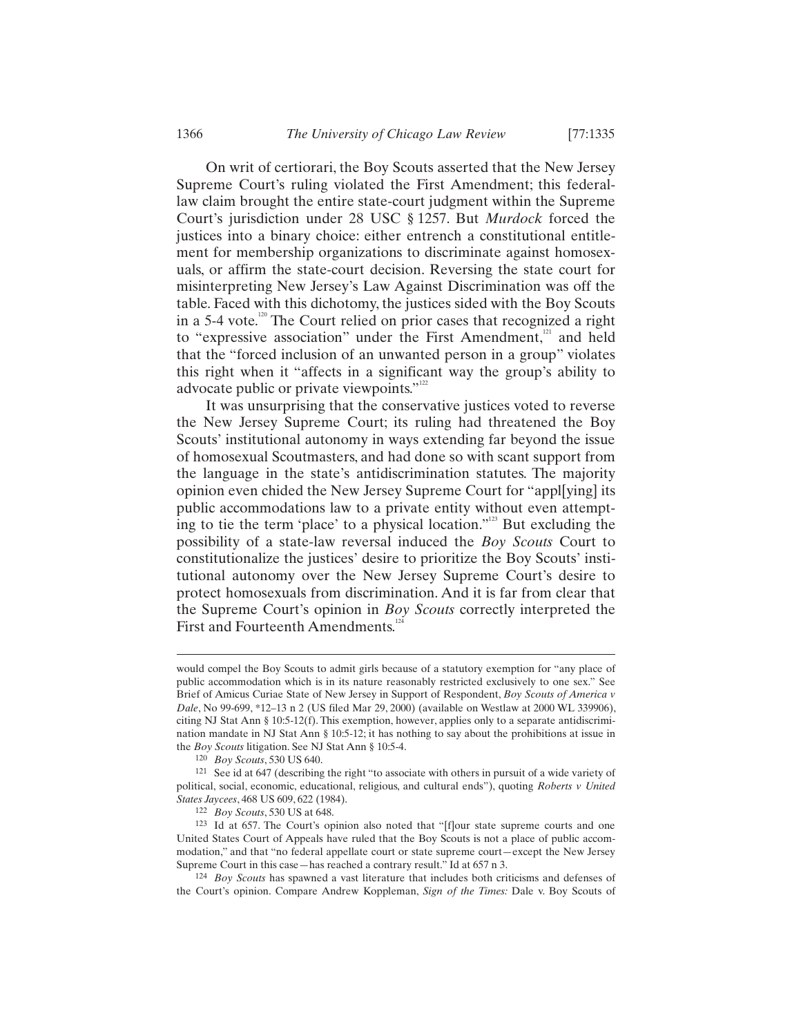On writ of certiorari, the Boy Scouts asserted that the New Jersey Supreme Court's ruling violated the First Amendment; this federallaw claim brought the entire state-court judgment within the Supreme Court's jurisdiction under 28 USC § 1257. But *Murdock* forced the justices into a binary choice: either entrench a constitutional entitlement for membership organizations to discriminate against homosexuals, or affirm the state-court decision. Reversing the state court for misinterpreting New Jersey's Law Against Discrimination was off the table. Faced with this dichotomy, the justices sided with the Boy Scouts in a 5-4 vote.<sup>120</sup> The Court relied on prior cases that recognized a right to "expressive association" under the First Amendment,<sup>121</sup> and held that the "forced inclusion of an unwanted person in a group" violates this right when it "affects in a significant way the group's ability to advocate public or private viewpoints."<sup>122</sup>

It was unsurprising that the conservative justices voted to reverse the New Jersey Supreme Court; its ruling had threatened the Boy Scouts' institutional autonomy in ways extending far beyond the issue of homosexual Scoutmasters, and had done so with scant support from the language in the state's antidiscrimination statutes. The majority opinion even chided the New Jersey Supreme Court for "appl[ying] its public accommodations law to a private entity without even attempting to tie the term 'place' to a physical location."<sup>122</sup> But excluding the possibility of a state-law reversal induced the *Boy Scouts* Court to constitutionalize the justices' desire to prioritize the Boy Scouts' institutional autonomy over the New Jersey Supreme Court's desire to protect homosexuals from discrimination. And it is far from clear that the Supreme Court's opinion in *Boy Scouts* correctly interpreted the First and Fourteenth Amendments.<sup>124</sup>

would compel the Boy Scouts to admit girls because of a statutory exemption for "any place of public accommodation which is in its nature reasonably restricted exclusively to one sex." See Brief of Amicus Curiae State of New Jersey in Support of Respondent, *Boy Scouts of America v Dale*, No 99-699, \*12–13 n 2 (US filed Mar 29, 2000) (available on Westlaw at 2000 WL 339906), citing NJ Stat Ann § 10:5-12(f). This exemption, however, applies only to a separate antidiscrimination mandate in NJ Stat Ann § 10:5-12; it has nothing to say about the prohibitions at issue in the *Boy Scouts* litigation. See NJ Stat Ann § 10:5-4.

<sup>&</sup>lt;sup>120</sup> *Boy Scouts*, 530 US 640. 121 See id at 647 (describing the right "to associate with others in pursuit of a wide variety of political, social, economic, educational, religious, and cultural ends"), quoting *Roberts v United* 

<sup>&</sup>lt;sup>122</sup> *Boy Scouts*, 530 US at 648.<br><sup>123</sup> Id at 657. The Court's opinion also noted that "[f]our state supreme courts and one United States Court of Appeals have ruled that the Boy Scouts is not a place of public accommodation," and that "no federal appellate court or state supreme court—except the New Jersey Supreme Court in this case—has reached a contrary result." Id at 657 n 3. 124 *Boy Scouts* has spawned a vast literature that includes both criticisms and defenses of

the Court's opinion. Compare Andrew Koppleman, *Sign of the Times:* Dale v. Boy Scouts of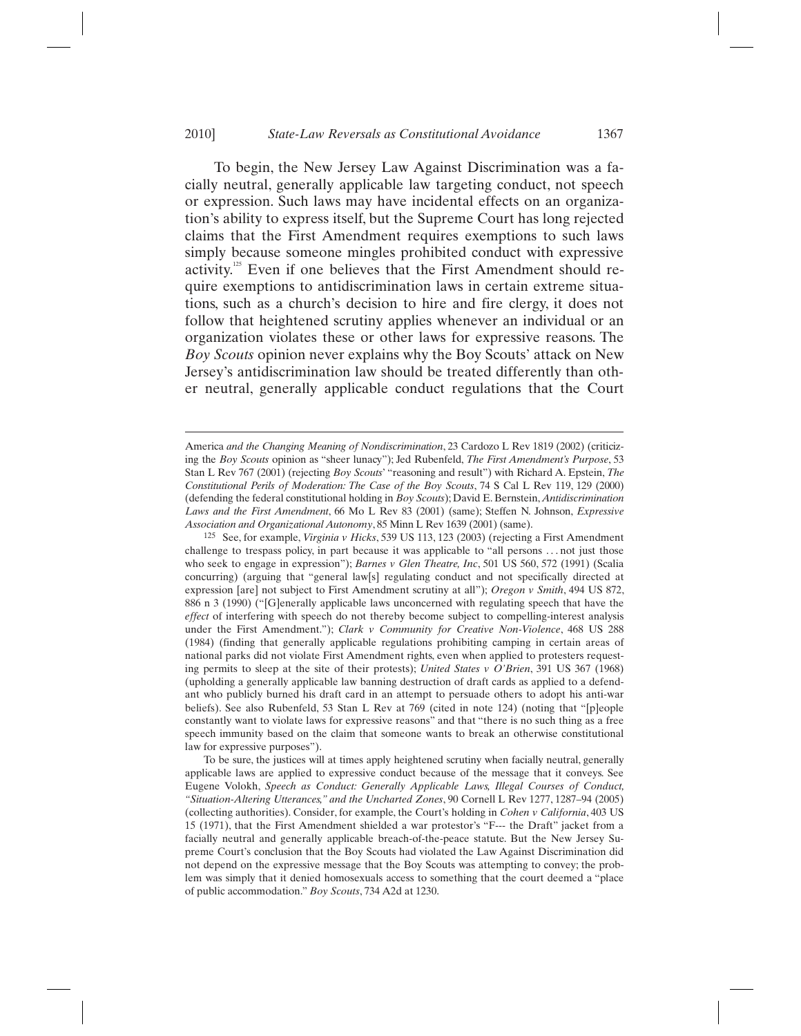To begin, the New Jersey Law Against Discrimination was a facially neutral, generally applicable law targeting conduct, not speech or expression. Such laws may have incidental effects on an organization's ability to express itself, but the Supreme Court has long rejected claims that the First Amendment requires exemptions to such laws simply because someone mingles prohibited conduct with expressive activity.<sup>125</sup> Even if one believes that the First Amendment should require exemptions to antidiscrimination laws in certain extreme situations, such as a church's decision to hire and fire clergy, it does not follow that heightened scrutiny applies whenever an individual or an organization violates these or other laws for expressive reasons. The *Boy Scouts* opinion never explains why the Boy Scouts' attack on New Jersey's antidiscrimination law should be treated differently than other neutral, generally applicable conduct regulations that the Court

America *and the Changing Meaning of Nondiscrimination*, 23 Cardozo L Rev 1819 (2002) (criticizing the *Boy Scouts* opinion as "sheer lunacy"); Jed Rubenfeld, *The First Amendment's Purpose*, 53 Stan L Rev 767 (2001) (rejecting *Boy Scouts*' "reasoning and result") with Richard A. Epstein, *The Constitutional Perils of Moderation: The Case of the Boy Scouts*, 74 S Cal L Rev 119, 129 (2000) (defending the federal constitutional holding in *Boy Scouts*); David E. Bernstein, *Antidiscrimination Laws and the First Amendment*, 66 Mo L Rev 83 (2001) (same); Steffen N. Johnson, *Expressive Association and Organizational Autonomy*, 85 Minn L Rev 1639 (2001) (same). 125 See, for example, *Virginia v Hicks*, 539 US 113, 123 (2003) (rejecting a First Amendment

challenge to trespass policy, in part because it was applicable to "all persons . . . not just those who seek to engage in expression"); *Barnes v Glen Theatre, Inc*, 501 US 560, 572 (1991) (Scalia concurring) (arguing that "general law[s] regulating conduct and not specifically directed at expression [are] not subject to First Amendment scrutiny at all"); *Oregon v Smith*, 494 US 872, 886 n 3 (1990) ("[G]enerally applicable laws unconcerned with regulating speech that have the *effect* of interfering with speech do not thereby become subject to compelling-interest analysis under the First Amendment."); *Clark v Community for Creative Non-Violence*, 468 US 288 (1984) (finding that generally applicable regulations prohibiting camping in certain areas of national parks did not violate First Amendment rights, even when applied to protesters requesting permits to sleep at the site of their protests); *United States v O'Brien*, 391 US 367 (1968) (upholding a generally applicable law banning destruction of draft cards as applied to a defendant who publicly burned his draft card in an attempt to persuade others to adopt his anti-war beliefs). See also Rubenfeld, 53 Stan L Rev at 769 (cited in note 124) (noting that "[p]eople constantly want to violate laws for expressive reasons" and that "there is no such thing as a free speech immunity based on the claim that someone wants to break an otherwise constitutional law for expressive purposes").

To be sure, the justices will at times apply heightened scrutiny when facially neutral, generally applicable laws are applied to expressive conduct because of the message that it conveys. See Eugene Volokh, *Speech as Conduct: Generally Applicable Laws, Illegal Courses of Conduct, "Situation-Altering Utterances," and the Uncharted Zones*, 90 Cornell L Rev 1277, 1287–94 (2005) (collecting authorities). Consider, for example, the Court's holding in *Cohen v California*, 403 US 15 (1971), that the First Amendment shielded a war protestor's "F--- the Draft" jacket from a facially neutral and generally applicable breach-of-the-peace statute. But the New Jersey Supreme Court's conclusion that the Boy Scouts had violated the Law Against Discrimination did not depend on the expressive message that the Boy Scouts was attempting to convey; the problem was simply that it denied homosexuals access to something that the court deemed a "place of public accommodation." *Boy Scouts*, 734 A2d at 1230.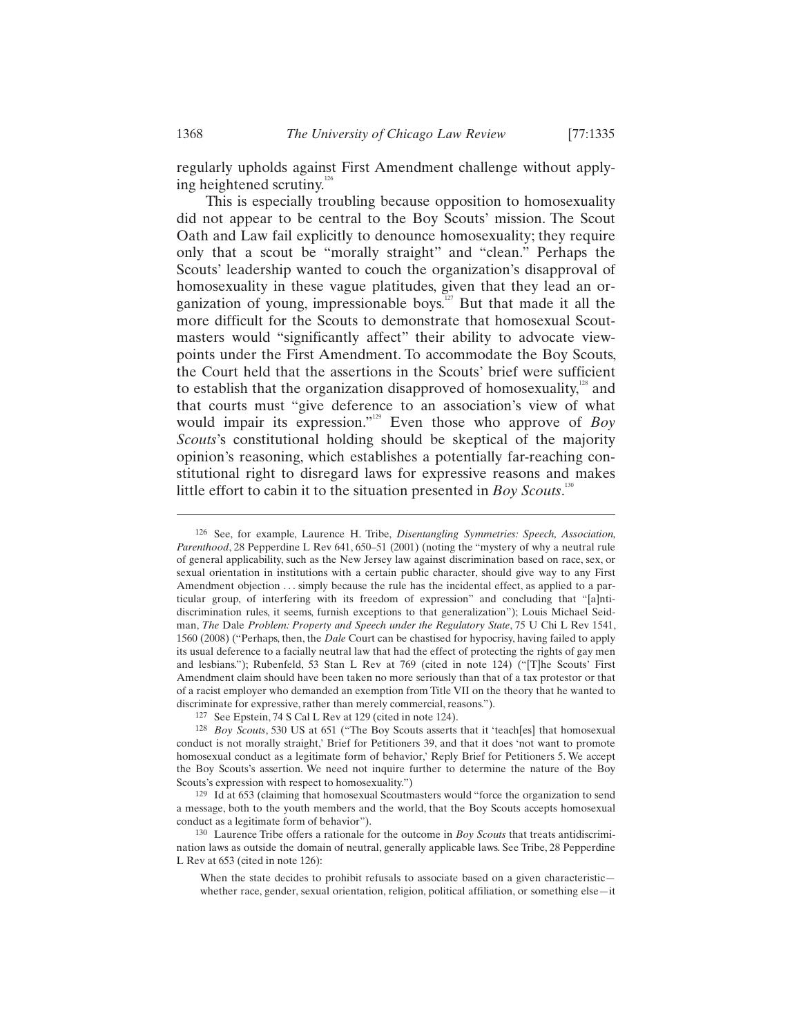regularly upholds against First Amendment challenge without applying heightened scrutiny.<sup>11</sup>

This is especially troubling because opposition to homosexuality did not appear to be central to the Boy Scouts' mission. The Scout Oath and Law fail explicitly to denounce homosexuality; they require only that a scout be "morally straight" and "clean." Perhaps the Scouts' leadership wanted to couch the organization's disapproval of homosexuality in these vague platitudes, given that they lead an organization of young, impressionable boys.127 But that made it all the more difficult for the Scouts to demonstrate that homosexual Scoutmasters would "significantly affect" their ability to advocate viewpoints under the First Amendment. To accommodate the Boy Scouts, the Court held that the assertions in the Scouts' brief were sufficient to establish that the organization disapproved of homosexuality, $128$  and that courts must "give deference to an association's view of what would impair its expression."<sup>129</sup> Even those who approve of *Boy Scouts*'s constitutional holding should be skeptical of the majority opinion's reasoning, which establishes a potentially far-reaching constitutional right to disregard laws for expressive reasons and makes little effort to cabin it to the situation presented in *Boy Scouts*.<sup>130</sup>

<sup>126</sup> See, for example, Laurence H. Tribe, *Disentangling Symmetries: Speech, Association, Parenthood*, 28 Pepperdine L Rev 641, 650–51 (2001) (noting the "mystery of why a neutral rule of general applicability, such as the New Jersey law against discrimination based on race, sex, or sexual orientation in institutions with a certain public character, should give way to any First Amendment objection ... simply because the rule has the incidental effect, as applied to a particular group, of interfering with its freedom of expression" and concluding that "[a]ntidiscrimination rules, it seems, furnish exceptions to that generalization"); Louis Michael Seidman, *The* Dale *Problem: Property and Speech under the Regulatory State*, 75 U Chi L Rev 1541, 1560 (2008) ("Perhaps, then, the *Dale* Court can be chastised for hypocrisy, having failed to apply its usual deference to a facially neutral law that had the effect of protecting the rights of gay men and lesbians."); Rubenfeld, 53 Stan L Rev at 769 (cited in note 124) ("[T]he Scouts' First Amendment claim should have been taken no more seriously than that of a tax protestor or that of a racist employer who demanded an exemption from Title VII on the theory that he wanted to discriminate for expressive, rather than merely commercial, reasons.").<br>
<sup>127</sup> See Epstein, 74 S Cal L Rev at 129 (cited in note 124).<br>
<sup>128</sup> *Boy Scouts*, 530 US at 651 ("The Boy Scouts asserts that it 'teach[es] that ho

conduct is not morally straight,' Brief for Petitioners 39, and that it does 'not want to promote homosexual conduct as a legitimate form of behavior,' Reply Brief for Petitioners 5. We accept the Boy Scouts's assertion. We need not inquire further to determine the nature of the Boy Scouts's expression with respect to homosexuality.")<br><sup>129</sup> Id at 653 (claiming that homosexual Scoutmasters would "force the organization to send

a message, both to the youth members and the world, that the Boy Scouts accepts homosexual conduct as a legitimate form of behavior"). 130 Laurence Tribe offers a rationale for the outcome in *Boy Scouts* that treats antidiscrimi-

nation laws as outside the domain of neutral, generally applicable laws. See Tribe, 28 Pepperdine L Rev at 653 (cited in note 126):

When the state decides to prohibit refusals to associate based on a given characteristic whether race, gender, sexual orientation, religion, political affiliation, or something else—it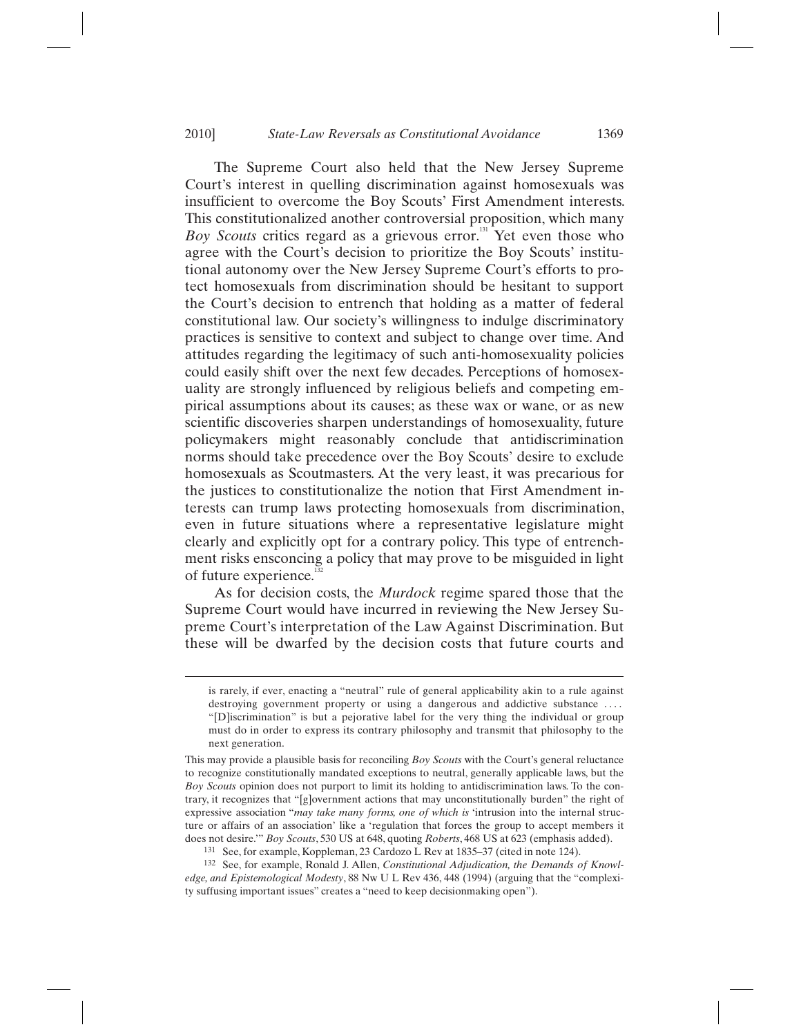The Supreme Court also held that the New Jersey Supreme Court's interest in quelling discrimination against homosexuals was insufficient to overcome the Boy Scouts' First Amendment interests. This constitutionalized another controversial proposition, which many *Boy Scouts* critics regard as a grievous error.<sup>131</sup> Yet even those who agree with the Court's decision to prioritize the Boy Scouts' institutional autonomy over the New Jersey Supreme Court's efforts to protect homosexuals from discrimination should be hesitant to support the Court's decision to entrench that holding as a matter of federal constitutional law. Our society's willingness to indulge discriminatory practices is sensitive to context and subject to change over time. And attitudes regarding the legitimacy of such anti-homosexuality policies could easily shift over the next few decades. Perceptions of homosexuality are strongly influenced by religious beliefs and competing empirical assumptions about its causes; as these wax or wane, or as new scientific discoveries sharpen understandings of homosexuality, future policymakers might reasonably conclude that antidiscrimination norms should take precedence over the Boy Scouts' desire to exclude homosexuals as Scoutmasters. At the very least, it was precarious for the justices to constitutionalize the notion that First Amendment interests can trump laws protecting homosexuals from discrimination, even in future situations where a representative legislature might clearly and explicitly opt for a contrary policy. This type of entrenchment risks ensconcing a policy that may prove to be misguided in light of future experience.<sup>1</sup>

As for decision costs, the *Murdock* regime spared those that the Supreme Court would have incurred in reviewing the New Jersey Supreme Court's interpretation of the Law Against Discrimination. But these will be dwarfed by the decision costs that future courts and

is rarely, if ever, enacting a "neutral" rule of general applicability akin to a rule against destroying government property or using a dangerous and addictive substance .... "[D]iscrimination" is but a pejorative label for the very thing the individual or group must do in order to express its contrary philosophy and transmit that philosophy to the next generation.

This may provide a plausible basis for reconciling *Boy Scouts* with the Court's general reluctance to recognize constitutionally mandated exceptions to neutral, generally applicable laws, but the *Boy Scouts* opinion does not purport to limit its holding to antidiscrimination laws. To the contrary, it recognizes that "[g]overnment actions that may unconstitutionally burden" the right of expressive association "*may take many forms, one of which is* 'intrusion into the internal structure or affairs of an association' like a 'regulation that forces the group to accept members it does not desire.'" *Boy Scouts*, 530 US at 648, quoting *Roberts*, 468 US at 623 (emphasis added). 131 See, for example, Koppleman, 23 Cardozo L Rev at 1835–37 (cited in note 124).

<sup>132</sup> See, for example, Ronald J. Allen, *Constitutional Adjudication, the Demands of Knowledge, and Epistemological Modesty*, 88 Nw U L Rev 436, 448 (1994) (arguing that the "complexity suffusing important issues" creates a "need to keep decisionmaking open").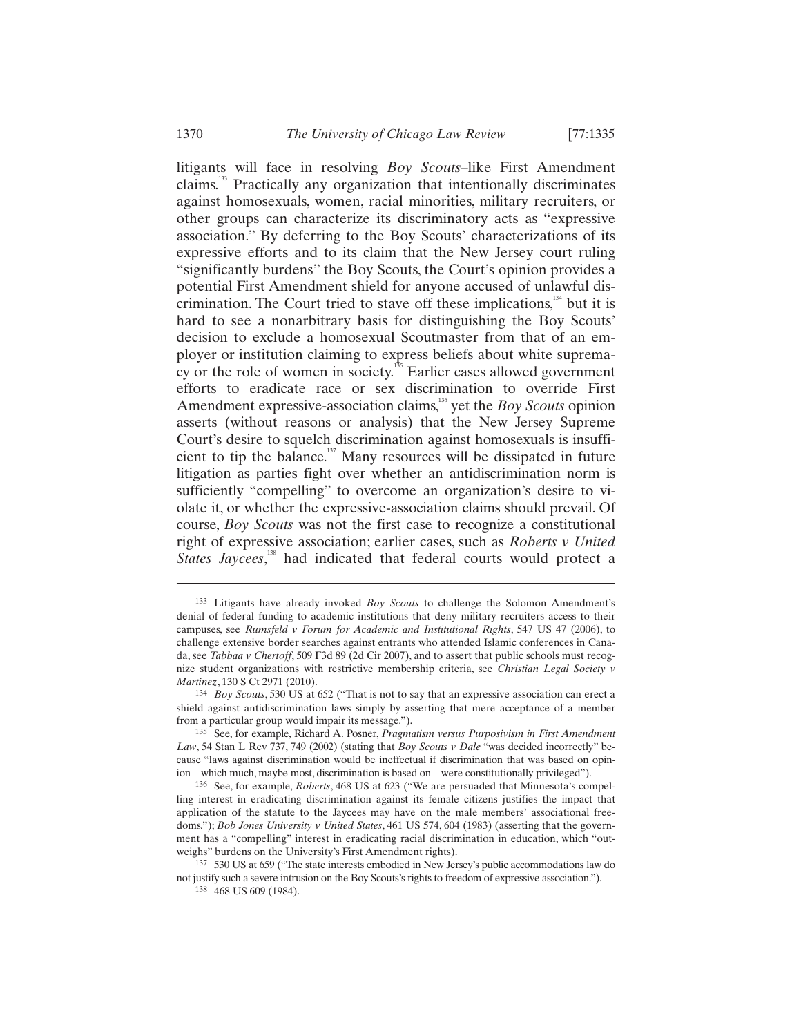litigants will face in resolving *Boy Scouts*–like First Amendment claims.133 Practically any organization that intentionally discriminates against homosexuals, women, racial minorities, military recruiters, or other groups can characterize its discriminatory acts as "expressive association." By deferring to the Boy Scouts' characterizations of its expressive efforts and to its claim that the New Jersey court ruling "significantly burdens" the Boy Scouts, the Court's opinion provides a potential First Amendment shield for anyone accused of unlawful discrimination. The Court tried to stave off these implications,<sup>134</sup> but it is hard to see a nonarbitrary basis for distinguishing the Boy Scouts' decision to exclude a homosexual Scoutmaster from that of an employer or institution claiming to express beliefs about white supremacy or the role of women in society.<sup>135</sup> Earlier cases allowed government efforts to eradicate race or sex discrimination to override First Amendment expressive-association claims,<sup>136</sup> yet the *Boy Scouts* opinion asserts (without reasons or analysis) that the New Jersey Supreme Court's desire to squelch discrimination against homosexuals is insufficient to tip the balance.<sup>137</sup> Many resources will be dissipated in future litigation as parties fight over whether an antidiscrimination norm is sufficiently "compelling" to overcome an organization's desire to violate it, or whether the expressive-association claims should prevail. Of course, *Boy Scouts* was not the first case to recognize a constitutional right of expressive association; earlier cases, such as *Roberts v United*  States Jaycees,<sup>138</sup> had indicated that federal courts would protect a

<sup>133</sup> Litigants have already invoked *Boy Scouts* to challenge the Solomon Amendment's denial of federal funding to academic institutions that deny military recruiters access to their campuses, see *Rumsfeld v Forum for Academic and Institutional Rights*, 547 US 47 (2006), to challenge extensive border searches against entrants who attended Islamic conferences in Canada, see *Tabbaa v Chertoff*, 509 F3d 89 (2d Cir 2007), and to assert that public schools must recognize student organizations with restrictive membership criteria, see *Christian Legal Society v Martinez*, 130 S Ct 2971 (2010).<br><sup>134</sup> *Boy Scouts*, 530 US at 652 ("That is not to say that an expressive association can erect a

shield against antidiscrimination laws simply by asserting that mere acceptance of a member from a particular group would impair its message."). 135 See, for example, Richard A. Posner, *Pragmatism versus Purposivism in First Amendment* 

*Law*, 54 Stan L Rev 737, 749 (2002) (stating that *Boy Scouts v Dale* "was decided incorrectly" because "laws against discrimination would be ineffectual if discrimination that was based on opinion—which much, maybe most, discrimination is based on—were constitutionally privileged").

<sup>136</sup> See, for example, *Roberts*, 468 US at 623 ("We are persuaded that Minnesota's compelling interest in eradicating discrimination against its female citizens justifies the impact that application of the statute to the Jaycees may have on the male members' associational freedoms."); *Bob Jones University v United States*, 461 US 574, 604 (1983) (asserting that the government has a "compelling" interest in eradicating racial discrimination in education, which "outweighs" burdens on the University's First Amendment rights).

<sup>137 530</sup> US at 659 ("The state interests embodied in New Jersey's public accommodations law do not justify such a severe intrusion on the Boy Scouts's rights to freedom of expressive association."). 138 468 US 609 (1984).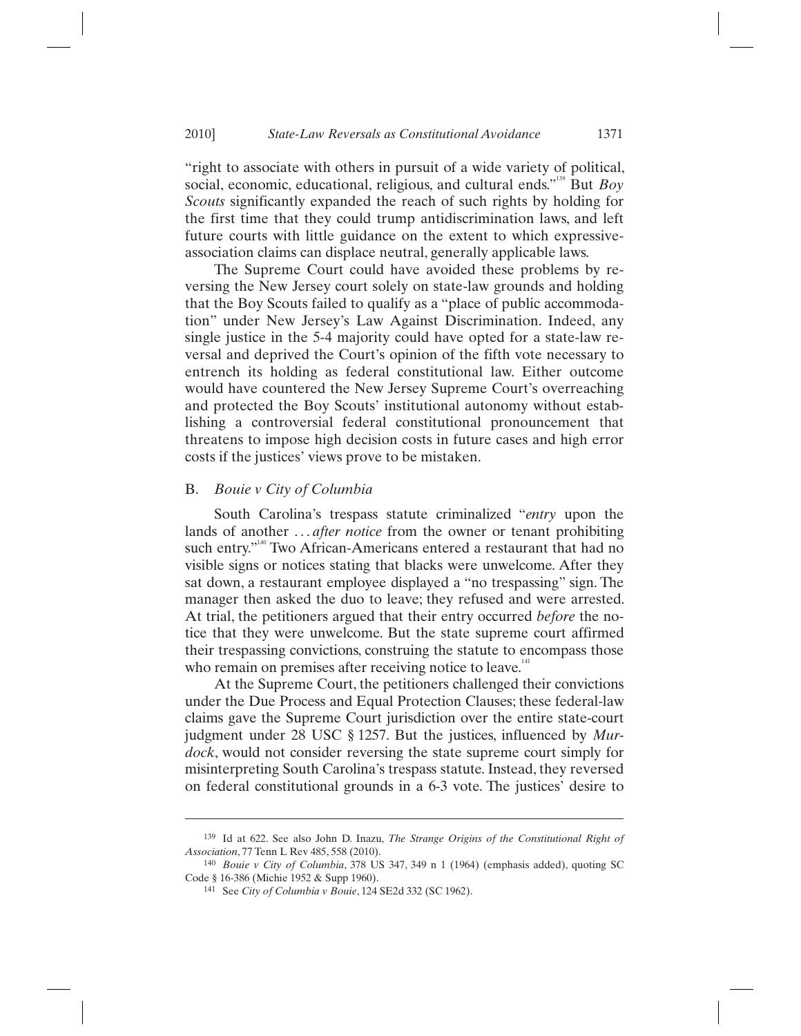"right to associate with others in pursuit of a wide variety of political, social, economic, educational, religious, and cultural ends."<sup>139</sup> But *Boy Scouts* significantly expanded the reach of such rights by holding for the first time that they could trump antidiscrimination laws, and left future courts with little guidance on the extent to which expressiveassociation claims can displace neutral, generally applicable laws.

The Supreme Court could have avoided these problems by reversing the New Jersey court solely on state-law grounds and holding that the Boy Scouts failed to qualify as a "place of public accommodation" under New Jersey's Law Against Discrimination. Indeed, any single justice in the 5-4 majority could have opted for a state-law reversal and deprived the Court's opinion of the fifth vote necessary to entrench its holding as federal constitutional law. Either outcome would have countered the New Jersey Supreme Court's overreaching and protected the Boy Scouts' institutional autonomy without establishing a controversial federal constitutional pronouncement that threatens to impose high decision costs in future cases and high error costs if the justices' views prove to be mistaken.

### B. *Bouie v City of Columbia*

 $\overline{a}$ 

South Carolina's trespass statute criminalized "*entry* upon the lands of another ... *after notice* from the owner or tenant prohibiting such entry."<sup>140</sup> Two African-Americans entered a restaurant that had no visible signs or notices stating that blacks were unwelcome. After they sat down, a restaurant employee displayed a "no trespassing" sign. The manager then asked the duo to leave; they refused and were arrested. At trial, the petitioners argued that their entry occurred *before* the notice that they were unwelcome. But the state supreme court affirmed their trespassing convictions, construing the statute to encompass those who remain on premises after receiving notice to leave.<sup>141</sup>

At the Supreme Court, the petitioners challenged their convictions under the Due Process and Equal Protection Clauses; these federal-law claims gave the Supreme Court jurisdiction over the entire state-court judgment under 28 USC § 1257. But the justices, influenced by *Murdock*, would not consider reversing the state supreme court simply for misinterpreting South Carolina's trespass statute. Instead, they reversed on federal constitutional grounds in a 6-3 vote. The justices' desire to

<sup>139</sup> Id at 622. See also John D. Inazu, *The Strange Origins of the Constitutional Right of Association*, 77 Tenn L Rev 485, 558 (2010).

<sup>140</sup> *Bouie v City of Columbia*, 378 US 347, 349 n 1 (1964) (emphasis added), quoting SC Code § 16-386 (Michie 1952 & Supp 1960). 141 See *City of Columbia v Bouie*, 124 SE2d 332 (SC 1962).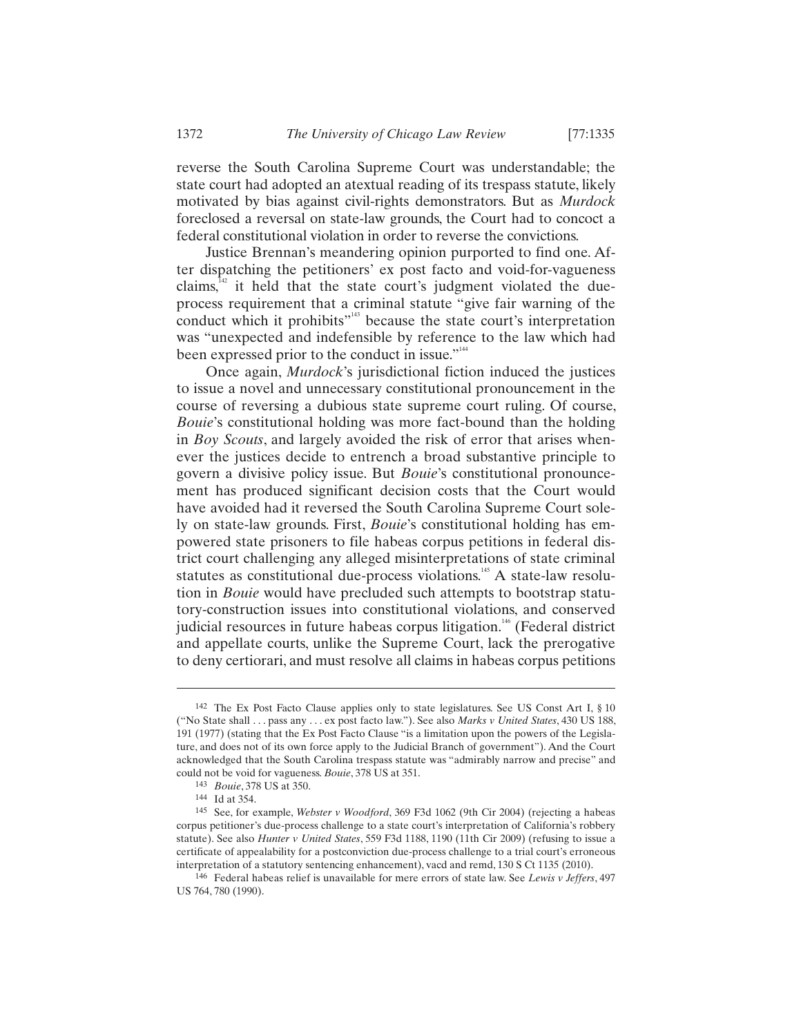reverse the South Carolina Supreme Court was understandable; the state court had adopted an atextual reading of its trespass statute, likely motivated by bias against civil-rights demonstrators. But as *Murdock* foreclosed a reversal on state-law grounds, the Court had to concoct a federal constitutional violation in order to reverse the convictions.

Justice Brennan's meandering opinion purported to find one. After dispatching the petitioners' ex post facto and void-for-vagueness claims, $\frac{1}{2}$  it held that the state court's judgment violated the dueprocess requirement that a criminal statute "give fair warning of the conduct which it prohibits"<sup>143</sup> because the state court's interpretation was "unexpected and indefensible by reference to the law which had been expressed prior to the conduct in issue."<sup>144</sup>

Once again, *Murdock*'s jurisdictional fiction induced the justices to issue a novel and unnecessary constitutional pronouncement in the course of reversing a dubious state supreme court ruling. Of course, *Bouie*'s constitutional holding was more fact-bound than the holding in *Boy Scouts*, and largely avoided the risk of error that arises whenever the justices decide to entrench a broad substantive principle to govern a divisive policy issue. But *Bouie*'s constitutional pronouncement has produced significant decision costs that the Court would have avoided had it reversed the South Carolina Supreme Court solely on state-law grounds. First, *Bouie*'s constitutional holding has empowered state prisoners to file habeas corpus petitions in federal district court challenging any alleged misinterpretations of state criminal statutes as constitutional due-process violations.<sup>145</sup> A state-law resolution in *Bouie* would have precluded such attempts to bootstrap statutory-construction issues into constitutional violations, and conserved judicial resources in future habeas corpus litigation.<sup>146</sup> (Federal district and appellate courts, unlike the Supreme Court, lack the prerogative to deny certiorari, and must resolve all claims in habeas corpus petitions

<sup>142</sup> The Ex Post Facto Clause applies only to state legislatures. See US Const Art I, § 10 ("No State shall . . . pass any . . . ex post facto law."). See also *Marks v United States*, 430 US 188, 191 (1977) (stating that the Ex Post Facto Clause "is a limitation upon the powers of the Legislature, and does not of its own force apply to the Judicial Branch of government"). And the Court acknowledged that the South Carolina trespass statute was "admirably narrow and precise" and could not be void for vagueness. *Bouie*, 378 US at 351.

<sup>&</sup>lt;sup>144</sup> Id at 354.<br><sup>145</sup> See, for example, *Webster v Woodford*, 369 F3d 1062 (9th Cir 2004) (rejecting a habeas corpus petitioner's due-process challenge to a state court's interpretation of California's robbery statute). See also *Hunter v United States*, 559 F3d 1188, 1190 (11th Cir 2009) (refusing to issue a certificate of appealability for a postconviction due-process challenge to a trial court's erroneous interpretation of a statutory sentencing enhancement), vacd and remd, 130 S Ct 1135 (2010). 146 Federal habeas relief is unavailable for mere errors of state law. See *Lewis v Jeffers*, 497

US 764, 780 (1990).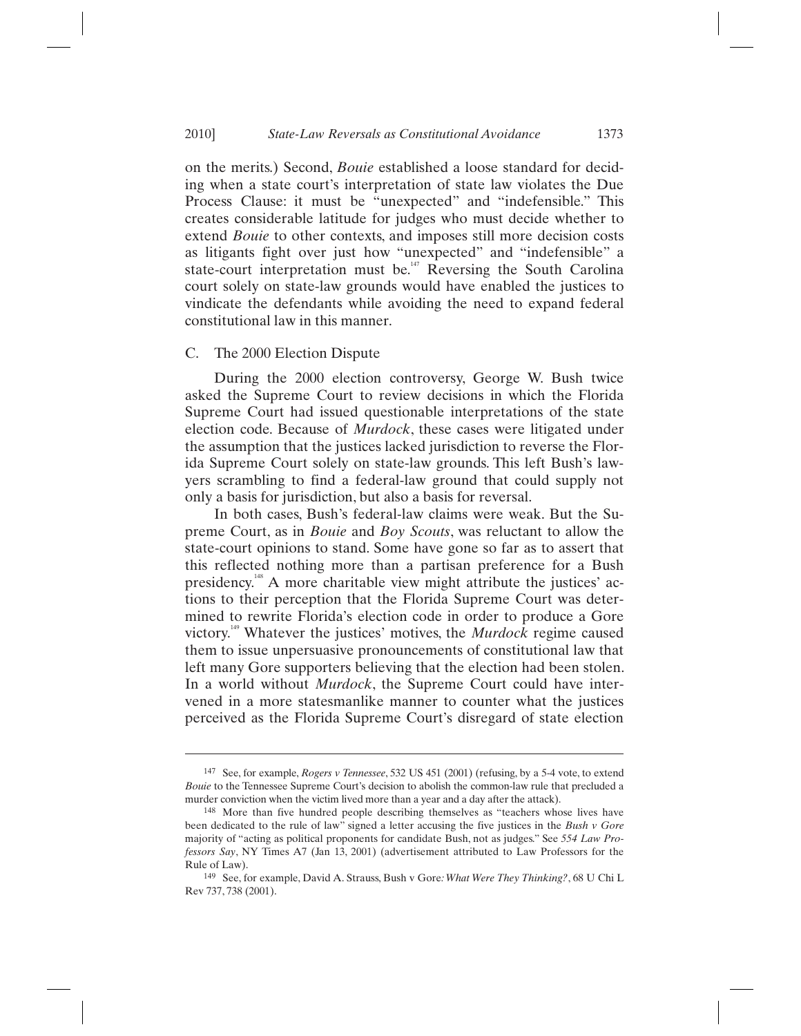on the merits.) Second, *Bouie* established a loose standard for deciding when a state court's interpretation of state law violates the Due Process Clause: it must be "unexpected" and "indefensible." This creates considerable latitude for judges who must decide whether to extend *Bouie* to other contexts, and imposes still more decision costs as litigants fight over just how "unexpected" and "indefensible" a state-court interpretation must be.<sup>147</sup> Reversing the South Carolina court solely on state-law grounds would have enabled the justices to vindicate the defendants while avoiding the need to expand federal constitutional law in this manner.

### C. The 2000 Election Dispute

 $\overline{a}$ 

During the 2000 election controversy, George W. Bush twice asked the Supreme Court to review decisions in which the Florida Supreme Court had issued questionable interpretations of the state election code. Because of *Murdock*, these cases were litigated under the assumption that the justices lacked jurisdiction to reverse the Florida Supreme Court solely on state-law grounds. This left Bush's lawyers scrambling to find a federal-law ground that could supply not only a basis for jurisdiction, but also a basis for reversal.

In both cases, Bush's federal-law claims were weak. But the Supreme Court, as in *Bouie* and *Boy Scouts*, was reluctant to allow the state-court opinions to stand. Some have gone so far as to assert that this reflected nothing more than a partisan preference for a Bush presidency.148 A more charitable view might attribute the justices' actions to their perception that the Florida Supreme Court was determined to rewrite Florida's election code in order to produce a Gore victory.149 Whatever the justices' motives, the *Murdock* regime caused them to issue unpersuasive pronouncements of constitutional law that left many Gore supporters believing that the election had been stolen. In a world without *Murdock*, the Supreme Court could have intervened in a more statesmanlike manner to counter what the justices perceived as the Florida Supreme Court's disregard of state election

<sup>147</sup> See, for example, *Rogers v Tennessee*, 532 US 451 (2001) (refusing, by a 5-4 vote, to extend *Bouie* to the Tennessee Supreme Court's decision to abolish the common-law rule that precluded a murder conviction when the victim lived more than a year and a day after the attack).<br><sup>148</sup> More than five hundred people describing themselves as "teachers whose lives have

been dedicated to the rule of law" signed a letter accusing the five justices in the *Bush v Gore* majority of "acting as political proponents for candidate Bush, not as judges." See *554 Law Professors Say*, NY Times A7 (Jan 13, 2001) (advertisement attributed to Law Professors for the Rule of Law). 149 See, for example, David A. Strauss, Bush v Gore*: What Were They Thinking?*, 68 U Chi L

Rev 737, 738 (2001).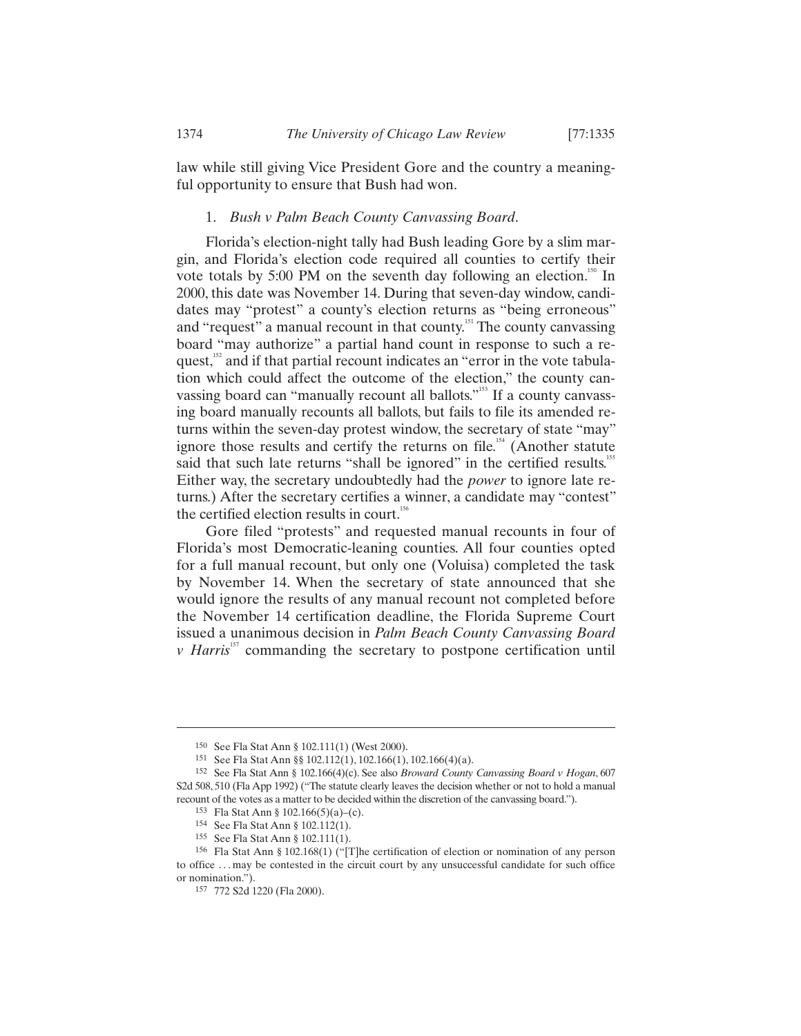law while still giving Vice President Gore and the country a meaningful opportunity to ensure that Bush had won.

### 1. *Bush v Palm Beach County Canvassing Board*.

Florida's election-night tally had Bush leading Gore by a slim margin, and Florida's election code required all counties to certify their vote totals by 5:00 PM on the seventh day following an election.<sup>150</sup> In 2000, this date was November 14. During that seven-day window, candidates may "protest" a county's election returns as "being erroneous" and "request" a manual recount in that county.<sup>151</sup> The county canvassing board "may authorize" a partial hand count in response to such a request,<sup>152</sup> and if that partial recount indicates an "error in the vote tabulation which could affect the outcome of the election," the county canvassing board can "manually recount all ballots."<sup>153</sup> If a county canvassing board manually recounts all ballots, but fails to file its amended returns within the seven-day protest window, the secretary of state "may" ignore those results and certify the returns on file.<sup>154</sup> (Another statute said that such late returns "shall be ignored" in the certified results.<sup>155</sup> Either way, the secretary undoubtedly had the *power* to ignore late returns.) After the secretary certifies a winner, a candidate may "contest" the certified election results in court.<sup>15</sup>

Gore filed "protests" and requested manual recounts in four of Florida's most Democratic-leaning counties. All four counties opted for a full manual recount, but only one (Voluisa) completed the task by November 14. When the secretary of state announced that she would ignore the results of any manual recount not completed before the November 14 certification deadline, the Florida Supreme Court issued a unanimous decision in *Palm Beach County Canvassing Board v Harris<sup>157</sup>* commanding the secretary to postpone certification until

<sup>150</sup> See Fla Stat Ann § 102.111(1) (West 2000).<br>
<sup>151</sup> See Fla Stat Ann §§ 102.112(1), 102.166(1), 102.166(4)(a).<br>
<sup>152</sup> See Fla Stat Ann § 102.166(4)(c). See also *Broward County Canvassing Board v Hogan*, 607 S2d 508, 510 (Fla App 1992) ("The statute clearly leaves the decision whether or not to hold a manual recount of the votes as a matter to be decided within the discretion of the canvassing board.").<br>
<sup>153</sup> Fla Stat Ann § 102.166(5)(a)–(c).<br>
<sup>154</sup> See Fla Stat Ann § 102.112(1).<br>
<sup>155</sup> See Fla Stat Ann § 102.111(1).<br>
<sup>155</sup>

to office . . . may be contested in the circuit court by any unsuccessful candidate for such office or nomination."). 157 772 S2d 1220 (Fla 2000).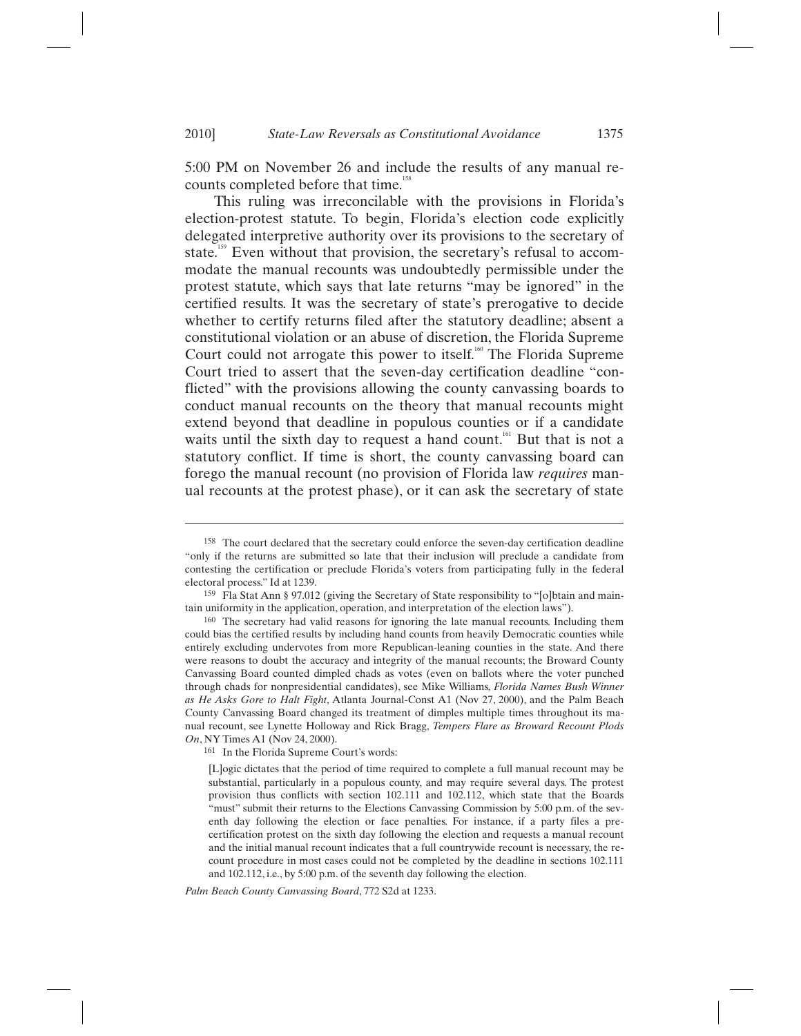5:00 PM on November 26 and include the results of any manual recounts completed before that time.<sup>15</sup>

This ruling was irreconcilable with the provisions in Florida's election-protest statute. To begin, Florida's election code explicitly delegated interpretive authority over its provisions to the secretary of state.<sup>159</sup> Even without that provision, the secretary's refusal to accommodate the manual recounts was undoubtedly permissible under the protest statute, which says that late returns "may be ignored" in the certified results. It was the secretary of state's prerogative to decide whether to certify returns filed after the statutory deadline; absent a constitutional violation or an abuse of discretion, the Florida Supreme Court could not arrogate this power to itself.<sup>160</sup> The Florida Supreme Court tried to assert that the seven-day certification deadline "conflicted" with the provisions allowing the county canvassing boards to conduct manual recounts on the theory that manual recounts might extend beyond that deadline in populous counties or if a candidate waits until the sixth day to request a hand count.<sup>161</sup> But that is not a statutory conflict. If time is short, the county canvassing board can forego the manual recount (no provision of Florida law *requires* manual recounts at the protest phase), or it can ask the secretary of state

161 In the Florida Supreme Court's words:

*Palm Beach County Canvassing Board*, 772 S2d at 1233.

<sup>158</sup> The court declared that the secretary could enforce the seven-day certification deadline "only if the returns are submitted so late that their inclusion will preclude a candidate from contesting the certification or preclude Florida's voters from participating fully in the federal electoral process." Id at 1239.<br><sup>159</sup> Fla Stat Ann § 97.012 (giving the Secretary of State responsibility to "[o]btain and main-

tain uniformity in the application, operation, and interpretation of the election laws"). 160 The secretary had valid reasons for ignoring the late manual recounts. Including them

could bias the certified results by including hand counts from heavily Democratic counties while entirely excluding undervotes from more Republican-leaning counties in the state. And there were reasons to doubt the accuracy and integrity of the manual recounts; the Broward County Canvassing Board counted dimpled chads as votes (even on ballots where the voter punched through chads for nonpresidential candidates), see Mike Williams, *Florida Names Bush Winner as He Asks Gore to Halt Fight*, Atlanta Journal-Const A1 (Nov 27, 2000), and the Palm Beach County Canvassing Board changed its treatment of dimples multiple times throughout its manual recount, see Lynette Holloway and Rick Bragg, *Tempers Flare as Broward Recount Plods On*, NY Times A1 (Nov 24, 2000).

<sup>[</sup>L]ogic dictates that the period of time required to complete a full manual recount may be substantial, particularly in a populous county, and may require several days. The protest provision thus conflicts with section 102.111 and 102.112, which state that the Boards "must" submit their returns to the Elections Canvassing Commission by 5:00 p.m. of the seventh day following the election or face penalties. For instance, if a party files a precertification protest on the sixth day following the election and requests a manual recount and the initial manual recount indicates that a full countrywide recount is necessary, the recount procedure in most cases could not be completed by the deadline in sections 102.111 and 102.112, i.e., by 5:00 p.m. of the seventh day following the election.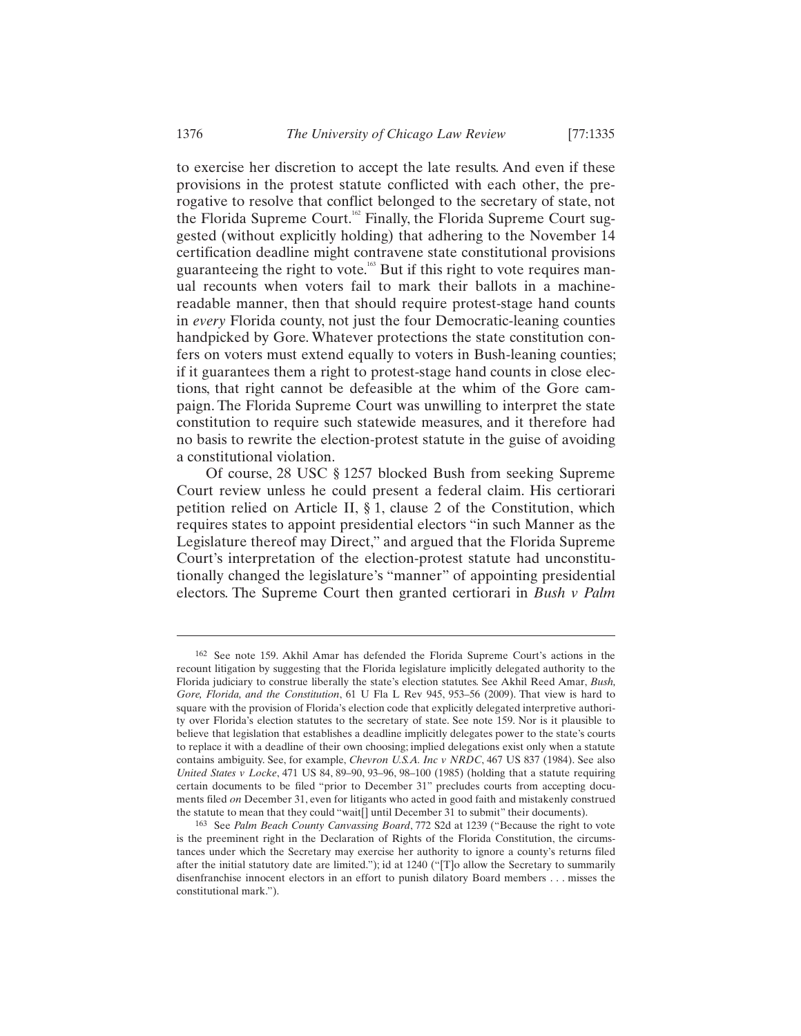to exercise her discretion to accept the late results. And even if these provisions in the protest statute conflicted with each other, the prerogative to resolve that conflict belonged to the secretary of state, not the Florida Supreme Court.<sup>162</sup> Finally, the Florida Supreme Court suggested (without explicitly holding) that adhering to the November 14 certification deadline might contravene state constitutional provisions guaranteeing the right to vote.<sup>163</sup> But if this right to vote requires manual recounts when voters fail to mark their ballots in a machinereadable manner, then that should require protest-stage hand counts in *every* Florida county, not just the four Democratic-leaning counties handpicked by Gore. Whatever protections the state constitution confers on voters must extend equally to voters in Bush-leaning counties; if it guarantees them a right to protest-stage hand counts in close elections, that right cannot be defeasible at the whim of the Gore campaign. The Florida Supreme Court was unwilling to interpret the state constitution to require such statewide measures, and it therefore had no basis to rewrite the election-protest statute in the guise of avoiding a constitutional violation.

Of course, 28 USC § 1257 blocked Bush from seeking Supreme Court review unless he could present a federal claim. His certiorari petition relied on Article II, § 1, clause 2 of the Constitution, which requires states to appoint presidential electors "in such Manner as the Legislature thereof may Direct," and argued that the Florida Supreme Court's interpretation of the election-protest statute had unconstitutionally changed the legislature's "manner" of appointing presidential electors. The Supreme Court then granted certiorari in *Bush v Palm* 

<sup>162</sup> See note 159. Akhil Amar has defended the Florida Supreme Court's actions in the recount litigation by suggesting that the Florida legislature implicitly delegated authority to the Florida judiciary to construe liberally the state's election statutes. See Akhil Reed Amar, *Bush, Gore, Florida, and the Constitution*, 61 U Fla L Rev 945, 953–56 (2009). That view is hard to square with the provision of Florida's election code that explicitly delegated interpretive authority over Florida's election statutes to the secretary of state. See note 159. Nor is it plausible to believe that legislation that establishes a deadline implicitly delegates power to the state's courts to replace it with a deadline of their own choosing; implied delegations exist only when a statute contains ambiguity. See, for example, *Chevron U.S.A. Inc v NRDC*, 467 US 837 (1984). See also *United States v Locke*, 471 US 84, 89–90, 93–96, 98–100 (1985) (holding that a statute requiring certain documents to be filed "prior to December 31" precludes courts from accepting documents filed *on* December 31, even for litigants who acted in good faith and mistakenly construed the statute to mean that they could "wait[] until December 31 to submit" their documents).

<sup>163</sup> See *Palm Beach County Canvassing Board*, 772 S2d at 1239 ("Because the right to vote is the preeminent right in the Declaration of Rights of the Florida Constitution, the circumstances under which the Secretary may exercise her authority to ignore a county's returns filed after the initial statutory date are limited."); id at 1240 ("[T]o allow the Secretary to summarily disenfranchise innocent electors in an effort to punish dilatory Board members . . . misses the constitutional mark.").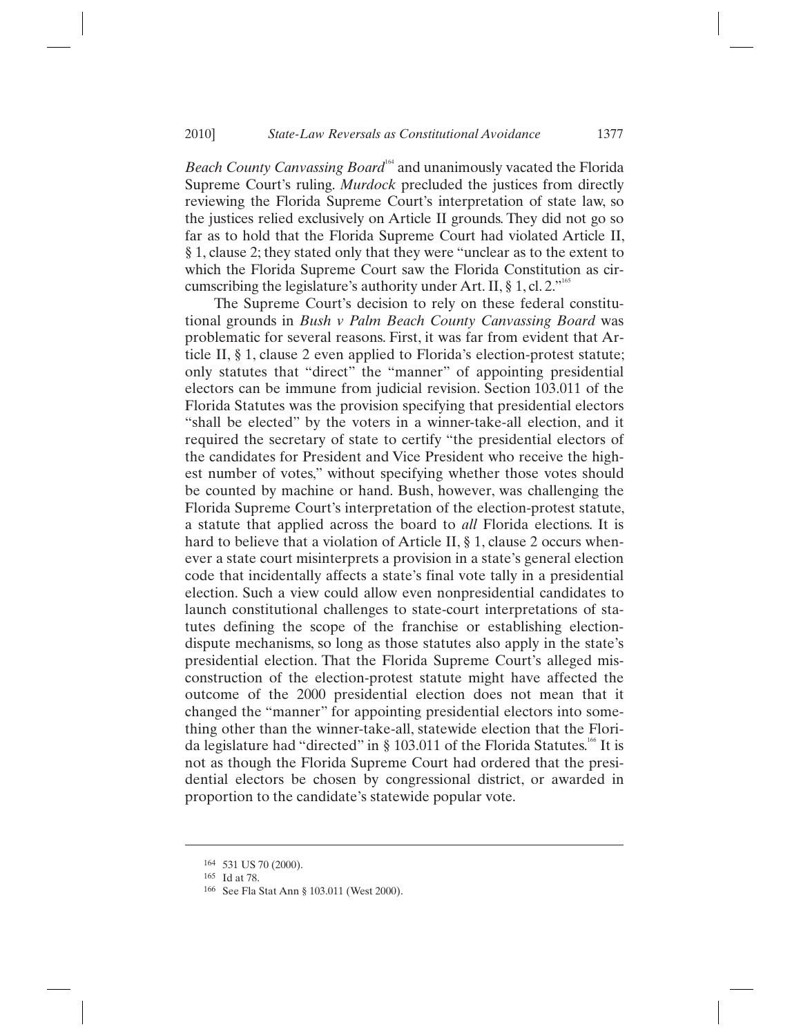*Beach County Canvassing Board*<sup>164</sup> and unanimously vacated the Florida Supreme Court's ruling. *Murdock* precluded the justices from directly reviewing the Florida Supreme Court's interpretation of state law, so the justices relied exclusively on Article II grounds. They did not go so far as to hold that the Florida Supreme Court had violated Article II, § 1, clause 2; they stated only that they were "unclear as to the extent to which the Florida Supreme Court saw the Florida Constitution as circumscribing the legislature's authority under Art. II, § 1, cl. 2. $"$ 

The Supreme Court's decision to rely on these federal constitutional grounds in *Bush v Palm Beach County Canvassing Board* was problematic for several reasons. First, it was far from evident that Article II, § 1, clause 2 even applied to Florida's election-protest statute; only statutes that "direct" the "manner" of appointing presidential electors can be immune from judicial revision. Section 103.011 of the Florida Statutes was the provision specifying that presidential electors "shall be elected" by the voters in a winner-take-all election, and it required the secretary of state to certify "the presidential electors of the candidates for President and Vice President who receive the highest number of votes," without specifying whether those votes should be counted by machine or hand. Bush, however, was challenging the Florida Supreme Court's interpretation of the election-protest statute, a statute that applied across the board to *all* Florida elections. It is hard to believe that a violation of Article II, § 1, clause 2 occurs whenever a state court misinterprets a provision in a state's general election code that incidentally affects a state's final vote tally in a presidential election. Such a view could allow even nonpresidential candidates to launch constitutional challenges to state-court interpretations of statutes defining the scope of the franchise or establishing electiondispute mechanisms, so long as those statutes also apply in the state's presidential election. That the Florida Supreme Court's alleged misconstruction of the election-protest statute might have affected the outcome of the 2000 presidential election does not mean that it changed the "manner" for appointing presidential electors into something other than the winner-take-all, statewide election that the Florida legislature had "directed" in § 103.011 of the Florida Statutes.<sup>166</sup> It is not as though the Florida Supreme Court had ordered that the presidential electors be chosen by congressional district, or awarded in proportion to the candidate's statewide popular vote.

<sup>164 531</sup> US 70 (2000).<br>
<sup>165</sup> Id at 78.<br>
<sup>166</sup> See Fla Stat Ann § 103.011 (West 2000).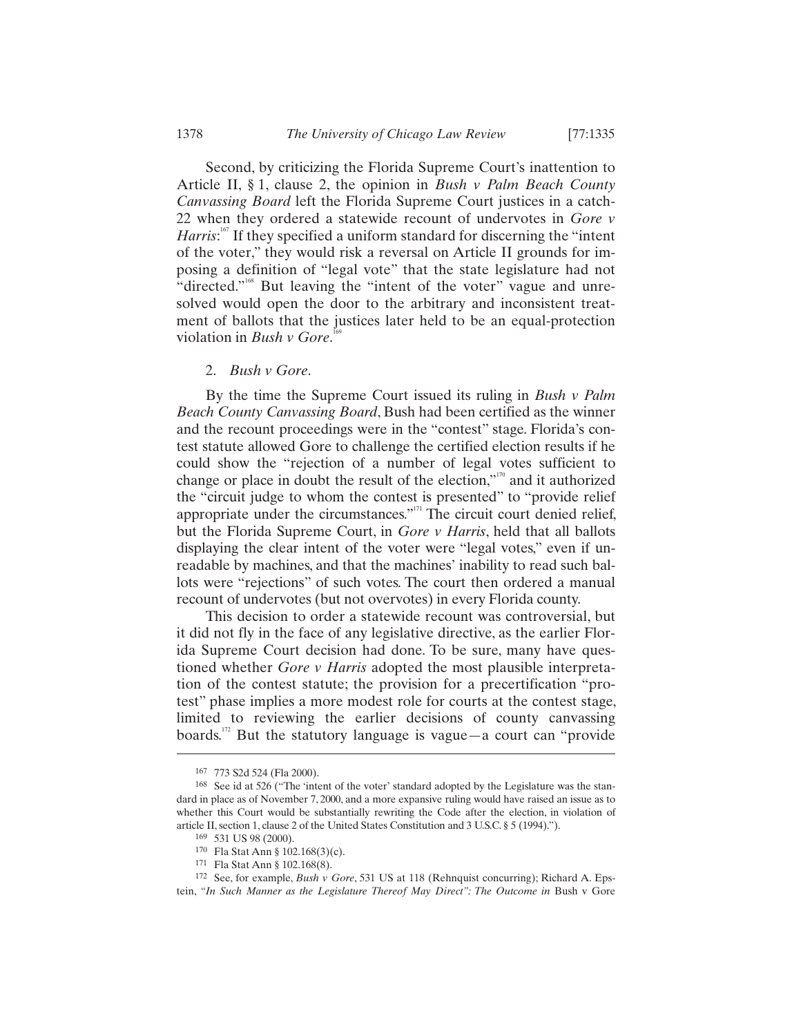Second, by criticizing the Florida Supreme Court's inattention to Article II, § 1, clause 2, the opinion in *Bush v Palm Beach County Canvassing Board* left the Florida Supreme Court justices in a catch-22 when they ordered a statewide recount of undervotes in *Gore v Harris*:<sup>167</sup> If they specified a uniform standard for discerning the "intent" of the voter," they would risk a reversal on Article II grounds for imposing a definition of "legal vote" that the state legislature had not "directed."<sup>168</sup> But leaving the "intent of the voter" vague and unresolved would open the door to the arbitrary and inconsistent treatment of ballots that the justices later held to be an equal-protection violation in *Bush v Gore*.<sup>169</sup>

### 2. *Bush v Gore*.

By the time the Supreme Court issued its ruling in *Bush v Palm Beach County Canvassing Board*, Bush had been certified as the winner and the recount proceedings were in the "contest" stage. Florida's contest statute allowed Gore to challenge the certified election results if he could show the "rejection of a number of legal votes sufficient to change or place in doubt the result of the election," $10$ <sup>170</sup> and it authorized the "circuit judge to whom the contest is presented" to "provide relief appropriate under the circumstances. $"$ <sup>171</sup> The circuit court denied relief, but the Florida Supreme Court, in *Gore v Harris*, held that all ballots displaying the clear intent of the voter were "legal votes," even if unreadable by machines, and that the machines' inability to read such ballots were "rejections" of such votes. The court then ordered a manual recount of undervotes (but not overvotes) in every Florida county.

This decision to order a statewide recount was controversial, but it did not fly in the face of any legislative directive, as the earlier Florida Supreme Court decision had done. To be sure, many have questioned whether *Gore v Harris* adopted the most plausible interpretation of the contest statute; the provision for a precertification "protest" phase implies a more modest role for courts at the contest stage, limited to reviewing the earlier decisions of county canvassing boards.<sup>172</sup> But the statutory language is vague—a court can "provide"

<sup>167 773</sup> S2d 524 (Fla 2000).

<sup>168</sup> See id at 526 ("The 'intent of the voter' standard adopted by the Legislature was the standard in place as of November 7, 2000, and a more expansive ruling would have raised an issue as to whether this Court would be substantially rewriting the Code after the election, in violation of article II, section 1, clause 2 of the United States Constitution and 3 U.S.C. § 5 (1994).").<br>  $^{169}$  531 US 98 (2000).<br>  $^{170}$  Fla Stat Ann § 102.168(3)(c).<br>  $^{171}$  Fla Stat Ann § 102.168(8).

<sup>&</sup>lt;sup>172</sup> See, for example, *Bush v Gore*, 531 US at 118 (Rehnquist concurring); Richard A. Epstein, "In Such Manner as the Legislature Thereof May Direct": The Outcome in Bush v Gore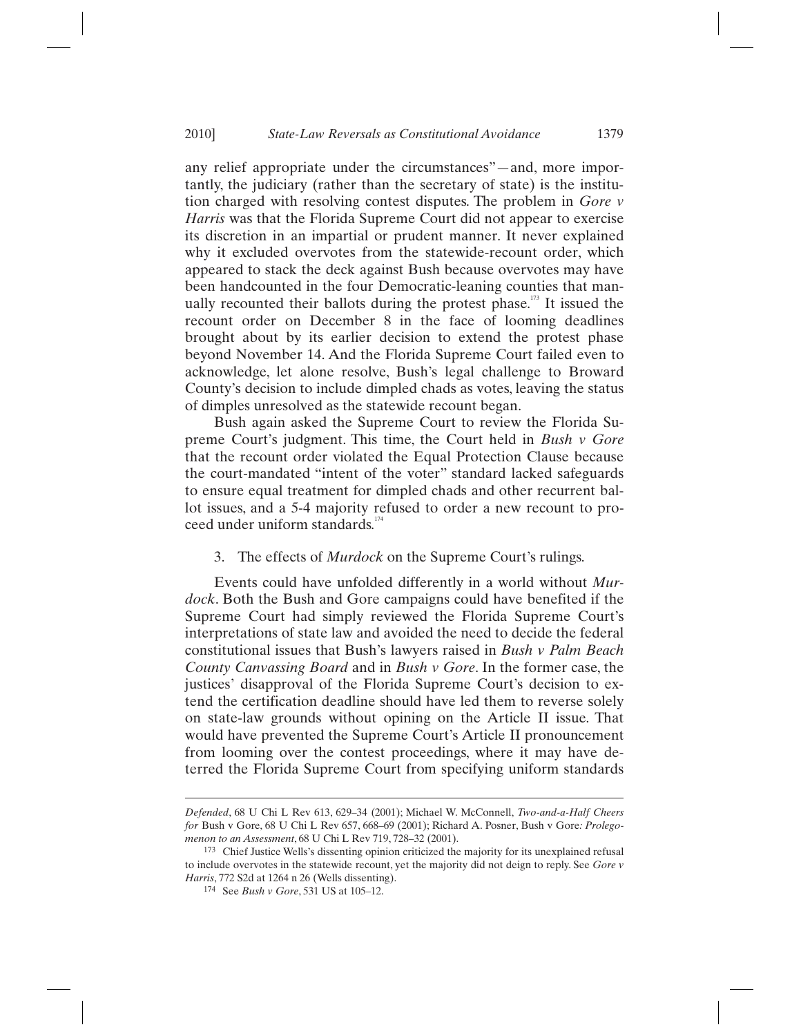any relief appropriate under the circumstances"—and, more importantly, the judiciary (rather than the secretary of state) is the institution charged with resolving contest disputes. The problem in *Gore v Harris* was that the Florida Supreme Court did not appear to exercise its discretion in an impartial or prudent manner. It never explained why it excluded overvotes from the statewide-recount order, which appeared to stack the deck against Bush because overvotes may have been handcounted in the four Democratic-leaning counties that manually recounted their ballots during the protest phase.<sup>173</sup> It issued the recount order on December 8 in the face of looming deadlines brought about by its earlier decision to extend the protest phase beyond November 14. And the Florida Supreme Court failed even to acknowledge, let alone resolve, Bush's legal challenge to Broward County's decision to include dimpled chads as votes, leaving the status of dimples unresolved as the statewide recount began.

Bush again asked the Supreme Court to review the Florida Supreme Court's judgment. This time, the Court held in *Bush v Gore* that the recount order violated the Equal Protection Clause because the court-mandated "intent of the voter" standard lacked safeguards to ensure equal treatment for dimpled chads and other recurrent ballot issues, and a 5-4 majority refused to order a new recount to proceed under uniform standards.<sup>174</sup>

### 3. The effects of *Murdock* on the Supreme Court's rulings.

Events could have unfolded differently in a world without *Murdock*. Both the Bush and Gore campaigns could have benefited if the Supreme Court had simply reviewed the Florida Supreme Court's interpretations of state law and avoided the need to decide the federal constitutional issues that Bush's lawyers raised in *Bush v Palm Beach County Canvassing Board* and in *Bush v Gore*. In the former case, the justices' disapproval of the Florida Supreme Court's decision to extend the certification deadline should have led them to reverse solely on state-law grounds without opining on the Article II issue. That would have prevented the Supreme Court's Article II pronouncement from looming over the contest proceedings, where it may have deterred the Florida Supreme Court from specifying uniform standards

*Defended*, 68 U Chi L Rev 613, 629–34 (2001); Michael W. McConnell, *Two-and-a-Half Cheers for* Bush v Gore, 68 U Chi L Rev 657, 668–69 (2001); Richard A. Posner, Bush v Gore*: Prolegomenon to an Assessment*, 68 U Chi L Rev 719, 728–32 (2001).<br><sup>173</sup> Chief Justice Wells's dissenting opinion criticized the majority for its unexplained refusal

to include overvotes in the statewide recount, yet the majority did not deign to reply. See *Gore v Harris*, 772 S2d at 1264 n 26 (Wells dissenting). 174 See *Bush v Gore*, 531 US at 105–12.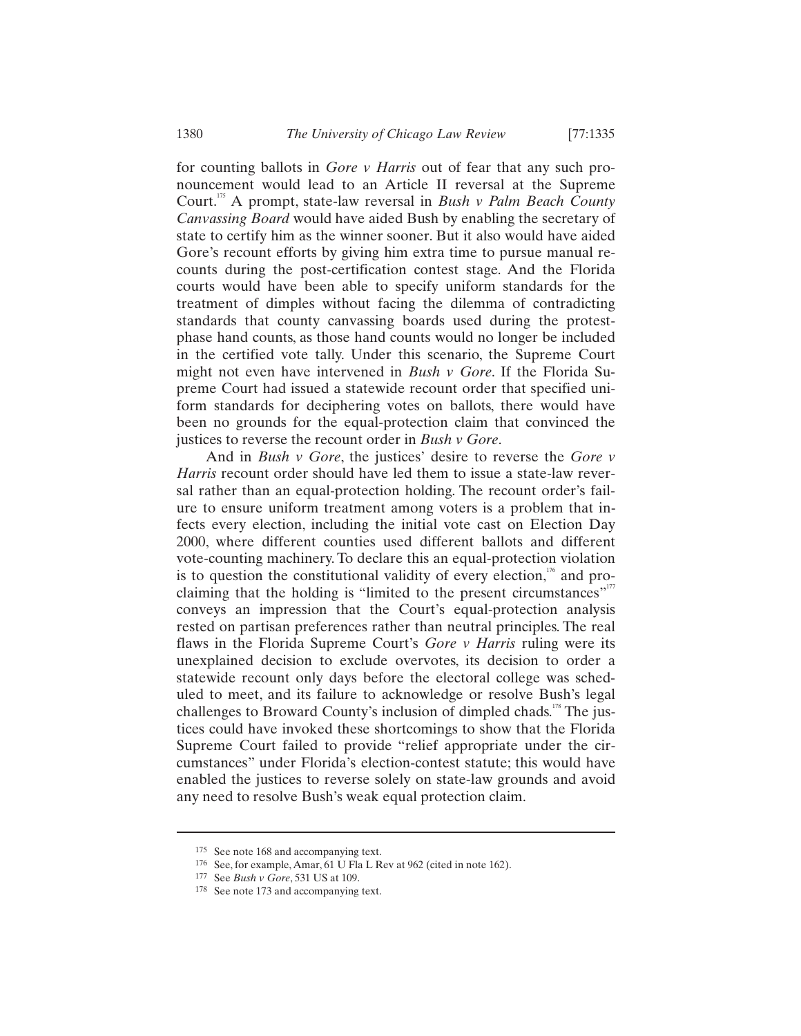for counting ballots in *Gore v Harris* out of fear that any such pronouncement would lead to an Article II reversal at the Supreme Court.175 A prompt, state-law reversal in *Bush v Palm Beach County Canvassing Board* would have aided Bush by enabling the secretary of state to certify him as the winner sooner. But it also would have aided Gore's recount efforts by giving him extra time to pursue manual recounts during the post-certification contest stage. And the Florida courts would have been able to specify uniform standards for the treatment of dimples without facing the dilemma of contradicting standards that county canvassing boards used during the protestphase hand counts, as those hand counts would no longer be included in the certified vote tally. Under this scenario, the Supreme Court might not even have intervened in *Bush v Gore*. If the Florida Supreme Court had issued a statewide recount order that specified uniform standards for deciphering votes on ballots, there would have been no grounds for the equal-protection claim that convinced the justices to reverse the recount order in *Bush v Gore*.

And in *Bush v Gore*, the justices' desire to reverse the *Gore v Harris* recount order should have led them to issue a state-law reversal rather than an equal-protection holding. The recount order's failure to ensure uniform treatment among voters is a problem that infects every election, including the initial vote cast on Election Day 2000, where different counties used different ballots and different vote-counting machinery. To declare this an equal-protection violation is to question the constitutional validity of every election, $176$  and proclaiming that the holding is "limited to the present circumstances"<sup>177</sup> conveys an impression that the Court's equal-protection analysis rested on partisan preferences rather than neutral principles. The real flaws in the Florida Supreme Court's *Gore v Harris* ruling were its unexplained decision to exclude overvotes, its decision to order a statewide recount only days before the electoral college was scheduled to meet, and its failure to acknowledge or resolve Bush's legal challenges to Broward County's inclusion of dimpled chads.<sup>178</sup> The justices could have invoked these shortcomings to show that the Florida Supreme Court failed to provide "relief appropriate under the circumstances" under Florida's election-contest statute; this would have enabled the justices to reverse solely on state-law grounds and avoid any need to resolve Bush's weak equal protection claim.

<sup>175</sup> See note 168 and accompanying text.

<sup>&</sup>lt;sup>176</sup> See, for example, Amar, 61 U Fla L Rev at 962 (cited in note 162).<br><sup>177</sup> See *Bush v Gore*, 531 US at 109.<br><sup>178</sup> See note 173 and accompanying text.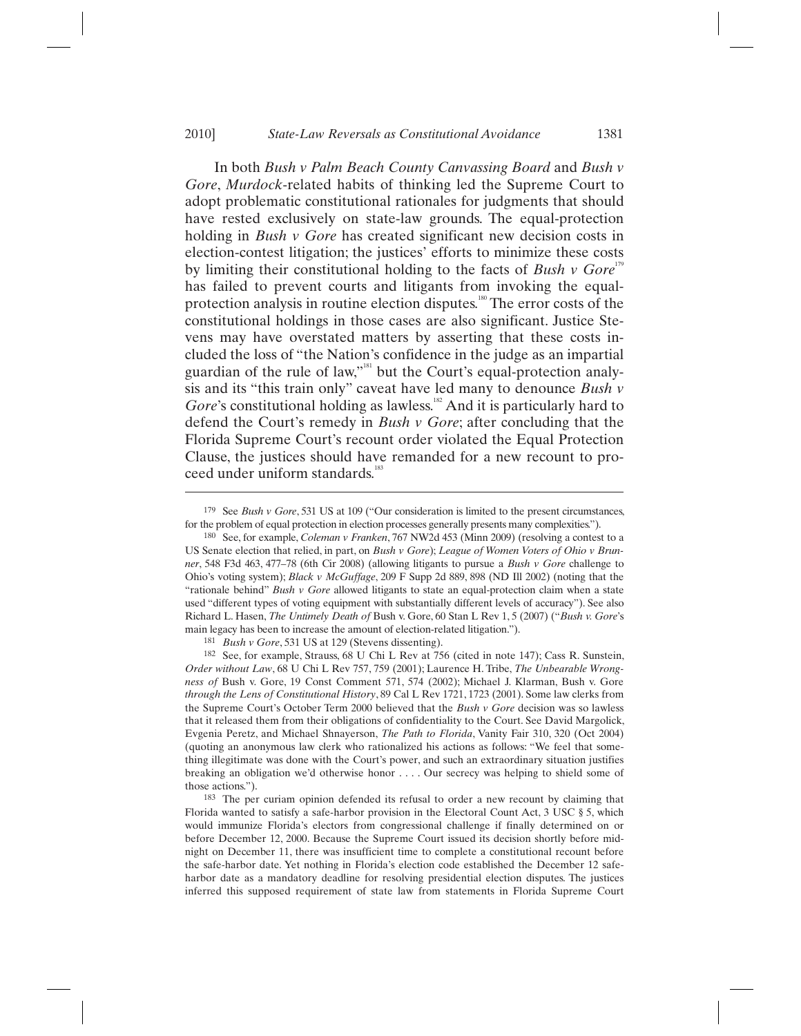In both *Bush v Palm Beach County Canvassing Board* and *Bush v Gore*, *Murdock*-related habits of thinking led the Supreme Court to adopt problematic constitutional rationales for judgments that should have rested exclusively on state-law grounds. The equal-protection holding in *Bush v Gore* has created significant new decision costs in election-contest litigation; the justices' efforts to minimize these costs by limiting their constitutional holding to the facts of *Bush v Gore*<sup>19</sup> has failed to prevent courts and litigants from invoking the equalprotection analysis in routine election disputes.<sup>180</sup> The error costs of the constitutional holdings in those cases are also significant. Justice Stevens may have overstated matters by asserting that these costs included the loss of "the Nation's confidence in the judge as an impartial guardian of the rule of law,"<sup>181</sup> but the Court's equal-protection analysis and its "this train only" caveat have led many to denounce *Bush v Gore*'s constitutional holding as lawless.<sup>182</sup> And it is particularly hard to defend the Court's remedy in *Bush v Gore*; after concluding that the Florida Supreme Court's recount order violated the Equal Protection Clause, the justices should have remanded for a new recount to proceed under uniform standards.<sup>183</sup>

<sup>179</sup> See *Bush v Gore*, 531 US at 109 ("Our consideration is limited to the present circumstances, for the problem of equal protection in election processes generally presents many complexities."). 180 See, for example, *Coleman v Franken*, 767 NW2d 453 (Minn 2009) (resolving a contest to a

US Senate election that relied, in part, on *Bush v Gore*); *League of Women Voters of Ohio v Brunner*, 548 F3d 463, 477–78 (6th Cir 2008) (allowing litigants to pursue a *Bush v Gore* challenge to Ohio's voting system); *Black v McGuffage*, 209 F Supp 2d 889, 898 (ND Ill 2002) (noting that the "rationale behind" *Bush v Gore* allowed litigants to state an equal-protection claim when a state used "different types of voting equipment with substantially different levels of accuracy"). See also Richard L. Hasen, *The Untimely Death of* Bush v. Gore, 60 Stan L Rev 1, 5 (2007) ("*Bush v. Gore*'s main legacy has been to increase the amount of election-related litigation.").<br><sup>181</sup> *Bush v Gore*, 531 US at 129 (Stevens dissenting).<br><sup>182</sup> See, for example, Strauss, 68 U Chi L Rev at 756 (cited in note 147); Cass R. Su

*Order without Law*, 68 U Chi L Rev 757, 759 (2001); Laurence H. Tribe, *The Unbearable Wrongness of* Bush v. Gore, 19 Const Comment 571, 574 (2002); Michael J. Klarman, Bush v. Gore *through the Lens of Constitutional History*, 89 Cal L Rev 1721, 1723 (2001). Some law clerks from the Supreme Court's October Term 2000 believed that the *Bush v Gore* decision was so lawless that it released them from their obligations of confidentiality to the Court. See David Margolick, Evgenia Peretz, and Michael Shnayerson, *The Path to Florida*, Vanity Fair 310, 320 (Oct 2004) (quoting an anonymous law clerk who rationalized his actions as follows: "We feel that something illegitimate was done with the Court's power, and such an extraordinary situation justifies breaking an obligation we'd otherwise honor . . . . Our secrecy was helping to shield some of

those actions."). 183 The per curiam opinion defended its refusal to order a new recount by claiming that Florida wanted to satisfy a safe-harbor provision in the Electoral Count Act, 3 USC § 5, which would immunize Florida's electors from congressional challenge if finally determined on or before December 12, 2000. Because the Supreme Court issued its decision shortly before midnight on December 11, there was insufficient time to complete a constitutional recount before the safe-harbor date. Yet nothing in Florida's election code established the December 12 safeharbor date as a mandatory deadline for resolving presidential election disputes. The justices inferred this supposed requirement of state law from statements in Florida Supreme Court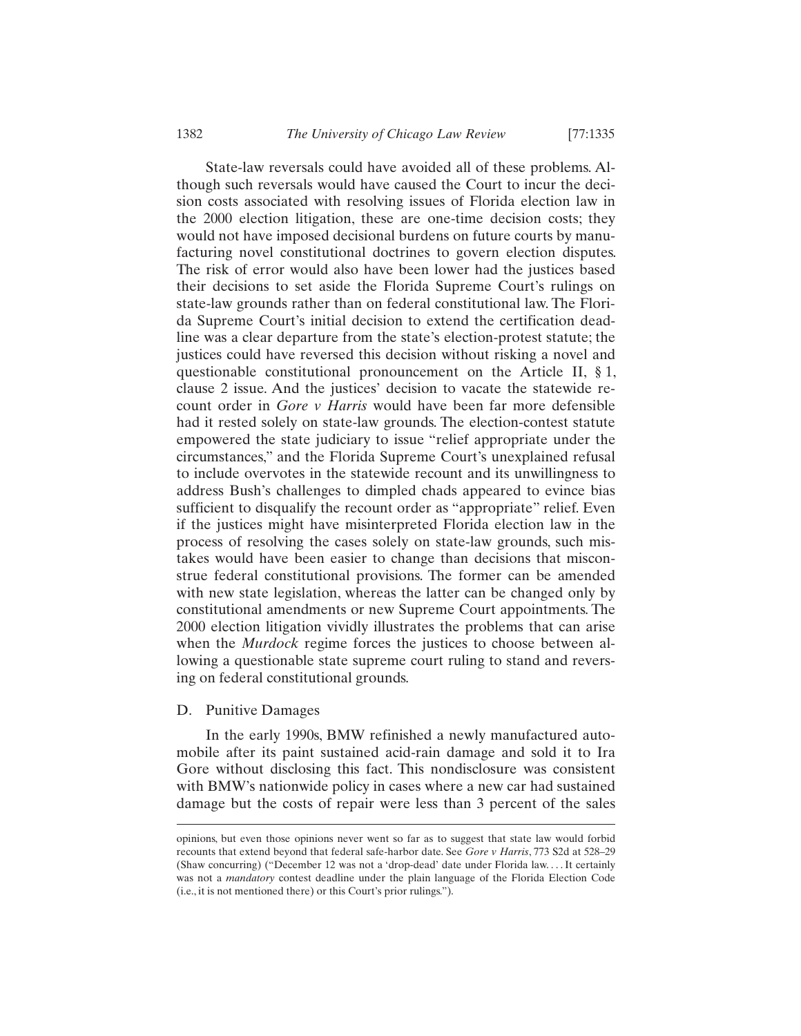State-law reversals could have avoided all of these problems. Although such reversals would have caused the Court to incur the decision costs associated with resolving issues of Florida election law in the 2000 election litigation, these are one-time decision costs; they would not have imposed decisional burdens on future courts by manufacturing novel constitutional doctrines to govern election disputes. The risk of error would also have been lower had the justices based their decisions to set aside the Florida Supreme Court's rulings on state-law grounds rather than on federal constitutional law. The Florida Supreme Court's initial decision to extend the certification deadline was a clear departure from the state's election-protest statute; the justices could have reversed this decision without risking a novel and questionable constitutional pronouncement on the Article II, § 1, clause 2 issue. And the justices' decision to vacate the statewide recount order in *Gore v Harris* would have been far more defensible had it rested solely on state-law grounds. The election-contest statute empowered the state judiciary to issue "relief appropriate under the circumstances," and the Florida Supreme Court's unexplained refusal to include overvotes in the statewide recount and its unwillingness to address Bush's challenges to dimpled chads appeared to evince bias sufficient to disqualify the recount order as "appropriate" relief. Even if the justices might have misinterpreted Florida election law in the process of resolving the cases solely on state-law grounds, such mistakes would have been easier to change than decisions that misconstrue federal constitutional provisions. The former can be amended with new state legislation, whereas the latter can be changed only by constitutional amendments or new Supreme Court appointments. The 2000 election litigation vividly illustrates the problems that can arise when the *Murdock* regime forces the justices to choose between allowing a questionable state supreme court ruling to stand and reversing on federal constitutional grounds.

### D. Punitive Damages

 $\overline{a}$ 

In the early 1990s, BMW refinished a newly manufactured automobile after its paint sustained acid-rain damage and sold it to Ira Gore without disclosing this fact. This nondisclosure was consistent with BMW's nationwide policy in cases where a new car had sustained damage but the costs of repair were less than 3 percent of the sales

opinions, but even those opinions never went so far as to suggest that state law would forbid recounts that extend beyond that federal safe-harbor date. See *Gore v Harris*, 773 S2d at 528–29 (Shaw concurring) ("December 12 was not a 'drop-dead' date under Florida law. . . . It certainly was not a *mandatory* contest deadline under the plain language of the Florida Election Code (i.e., it is not mentioned there) or this Court's prior rulings.").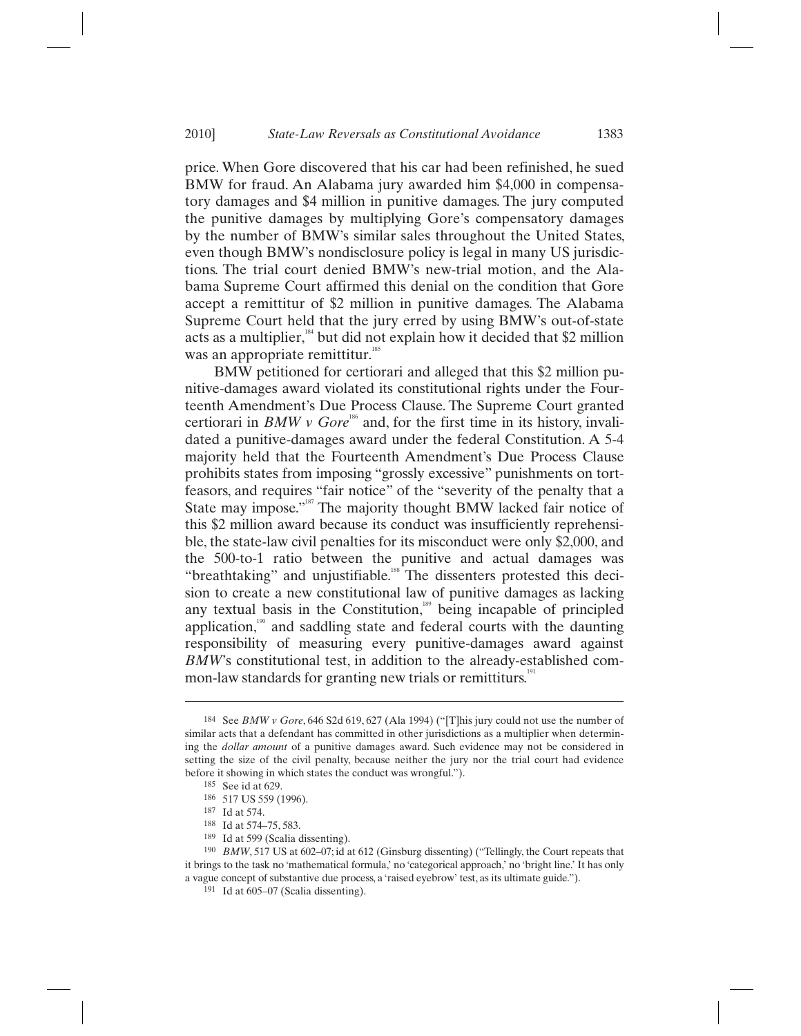price. When Gore discovered that his car had been refinished, he sued BMW for fraud. An Alabama jury awarded him \$4,000 in compensatory damages and \$4 million in punitive damages. The jury computed the punitive damages by multiplying Gore's compensatory damages by the number of BMW's similar sales throughout the United States, even though BMW's nondisclosure policy is legal in many US jurisdictions. The trial court denied BMW's new-trial motion, and the Alabama Supreme Court affirmed this denial on the condition that Gore accept a remittitur of \$2 million in punitive damages. The Alabama Supreme Court held that the jury erred by using BMW's out-of-state acts as a multiplier, $184$  but did not explain how it decided that \$2 million was an appropriate remittitur.<sup>185</sup>

BMW petitioned for certiorari and alleged that this \$2 million punitive-damages award violated its constitutional rights under the Fourteenth Amendment's Due Process Clause. The Supreme Court granted certiorari in *BMW v Gore*<sup>186</sup> and, for the first time in its history, invalidated a punitive-damages award under the federal Constitution. A 5-4 majority held that the Fourteenth Amendment's Due Process Clause prohibits states from imposing "grossly excessive" punishments on tortfeasors, and requires "fair notice" of the "severity of the penalty that a State may impose."<sup>187</sup> The majority thought BMW lacked fair notice of this \$2 million award because its conduct was insufficiently reprehensible, the state-law civil penalties for its misconduct were only \$2,000, and the 500-to-1 ratio between the punitive and actual damages was "breathtaking" and unjustifiable.<sup>188</sup> The dissenters protested this decision to create a new constitutional law of punitive damages as lacking any textual basis in the Constitution, $\frac{189}{10}$  being incapable of principled application, $\frac{1}{2}$ <sup>n</sup> and saddling state and federal courts with the daunting responsibility of measuring every punitive-damages award against *BMW*'s constitutional test, in addition to the already-established common-law standards for granting new trials or remittiturs.<sup>191</sup>

<sup>184</sup> See *BMW v Gore*, 646 S2d 619, 627 (Ala 1994) ("[T]his jury could not use the number of similar acts that a defendant has committed in other jurisdictions as a multiplier when determining the *dollar amount* of a punitive damages award. Such evidence may not be considered in setting the size of the civil penalty, because neither the jury nor the trial court had evidence before it showing in which states the conduct was wrongful."). <sup>185</sup> See id at 629.

<sup>186 517</sup> US 559 (1996).<br>
187 Id at 574–75, 583.<br>
189 Id at 599 (Scalia dissenting).<br>
190 *BMW*, 517 US at 602–07; id at 612 (Ginsburg dissenting) ("Tellingly, the Court repeats that it brings to the task no 'mathematical formula,' no 'categorical approach,' no 'bright line.' It has only a vague concept of substantive due process, a 'raised eyebrow' test, as its ultimate guide."). 191 Id at 605–07 (Scalia dissenting).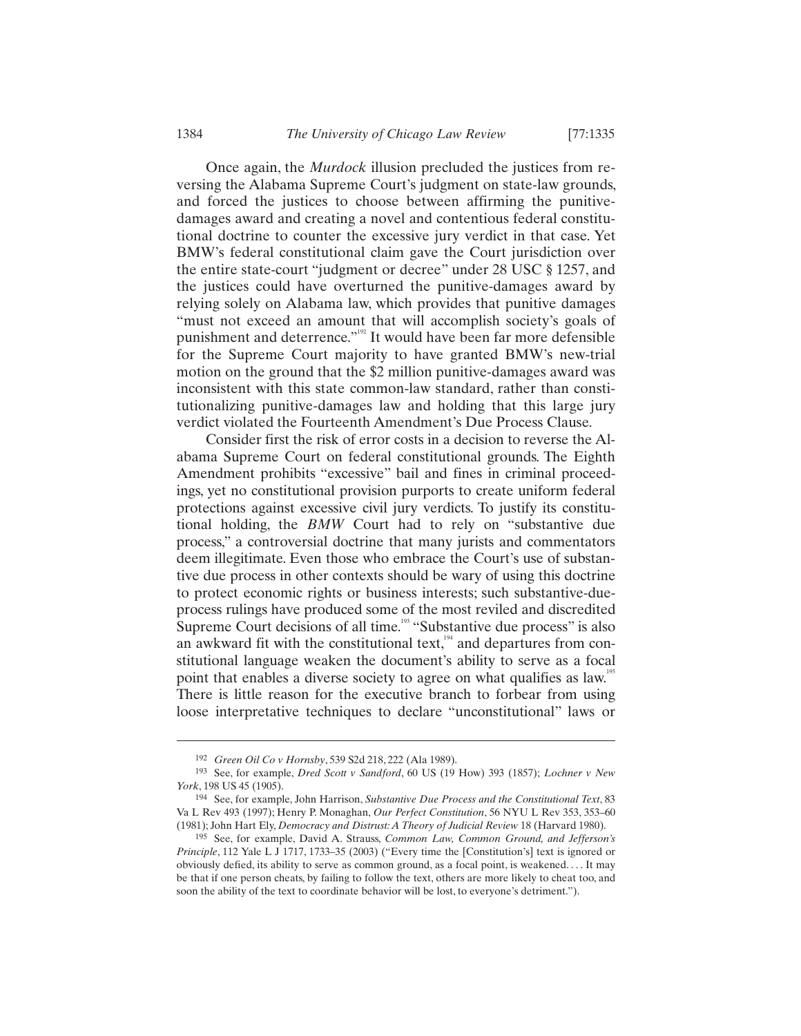Once again, the *Murdock* illusion precluded the justices from reversing the Alabama Supreme Court's judgment on state-law grounds, and forced the justices to choose between affirming the punitivedamages award and creating a novel and contentious federal constitutional doctrine to counter the excessive jury verdict in that case. Yet BMW's federal constitutional claim gave the Court jurisdiction over the entire state-court "judgment or decree" under 28 USC § 1257, and the justices could have overturned the punitive-damages award by relying solely on Alabama law, which provides that punitive damages "must not exceed an amount that will accomplish society's goals of punishment and deterrence."<sup>192</sup> It would have been far more defensible for the Supreme Court majority to have granted BMW's new-trial motion on the ground that the \$2 million punitive-damages award was inconsistent with this state common-law standard, rather than constitutionalizing punitive-damages law and holding that this large jury verdict violated the Fourteenth Amendment's Due Process Clause.

Consider first the risk of error costs in a decision to reverse the Alabama Supreme Court on federal constitutional grounds. The Eighth Amendment prohibits "excessive" bail and fines in criminal proceedings, yet no constitutional provision purports to create uniform federal protections against excessive civil jury verdicts. To justify its constitutional holding, the *BMW* Court had to rely on "substantive due process," a controversial doctrine that many jurists and commentators deem illegitimate. Even those who embrace the Court's use of substantive due process in other contexts should be wary of using this doctrine to protect economic rights or business interests; such substantive-dueprocess rulings have produced some of the most reviled and discredited Supreme Court decisions of all time.<sup>193</sup> "Substantive due process" is also an awkward fit with the constitutional text, $194$  and departures from constitutional language weaken the document's ability to serve as a focal point that enables a diverse society to agree on what qualifies as law.<sup>195</sup> There is little reason for the executive branch to forbear from using loose interpretative techniques to declare "unconstitutional" laws or

<sup>192</sup> *Green Oil Co v Hornsby*, 539 S2d 218, 222 (Ala 1989). 193 See, for example, *Dred Scott v Sandford*, 60 US (19 How) 393 (1857); *Lochner v New York*, 198 US 45 (1905).

<sup>194</sup> See, for example, John Harrison, *Substantive Due Process and the Constitutional Text*, 83 Va L Rev 493 (1997); Henry P. Monaghan, *Our Perfect Constitution*, 56 NYU L Rev 353, 353–60 (1981); John Hart Ely, *Democracy and Distrust: A Theory of Judicial Review* 18 (Harvard 1980). 195 See, for example, David A. Strauss, *Common Law, Common Ground, and Jefferson's* 

*Principle*, 112 Yale L J 1717, 1733–35 (2003) ("Every time the [Constitution's] text is ignored or obviously defied, its ability to serve as common ground, as a focal point, is weakened. . . . It may be that if one person cheats, by failing to follow the text, others are more likely to cheat too, and soon the ability of the text to coordinate behavior will be lost, to everyone's detriment.").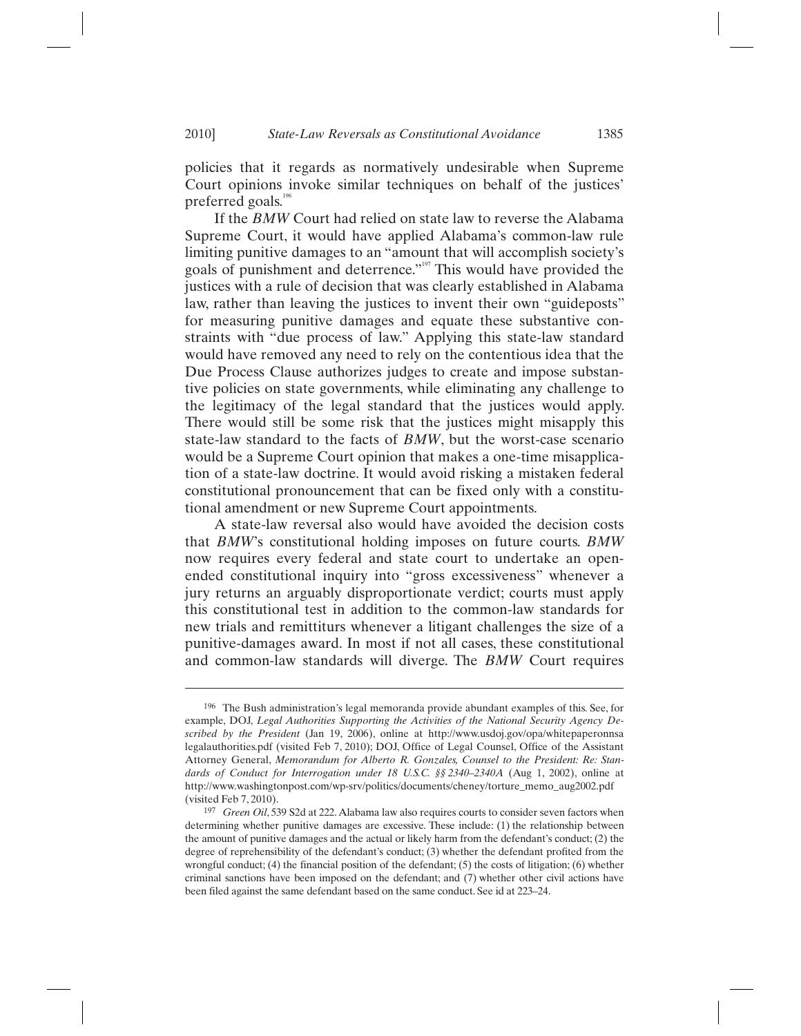policies that it regards as normatively undesirable when Supreme Court opinions invoke similar techniques on behalf of the justices' preferred goals.<sup>196</sup>

If the *BMW* Court had relied on state law to reverse the Alabama Supreme Court, it would have applied Alabama's common-law rule limiting punitive damages to an "amount that will accomplish society's goals of punishment and deterrence."<sup>197</sup> This would have provided the justices with a rule of decision that was clearly established in Alabama law, rather than leaving the justices to invent their own "guideposts" for measuring punitive damages and equate these substantive constraints with "due process of law." Applying this state-law standard would have removed any need to rely on the contentious idea that the Due Process Clause authorizes judges to create and impose substantive policies on state governments, while eliminating any challenge to the legitimacy of the legal standard that the justices would apply. There would still be some risk that the justices might misapply this state-law standard to the facts of *BMW*, but the worst-case scenario would be a Supreme Court opinion that makes a one-time misapplication of a state-law doctrine. It would avoid risking a mistaken federal constitutional pronouncement that can be fixed only with a constitutional amendment or new Supreme Court appointments.

A state-law reversal also would have avoided the decision costs that *BMW*'s constitutional holding imposes on future courts. *BMW* now requires every federal and state court to undertake an openended constitutional inquiry into "gross excessiveness" whenever a jury returns an arguably disproportionate verdict; courts must apply this constitutional test in addition to the common-law standards for new trials and remittiturs whenever a litigant challenges the size of a punitive-damages award. In most if not all cases, these constitutional and common-law standards will diverge. The *BMW* Court requires

<sup>196</sup> The Bush administration's legal memoranda provide abundant examples of this. See, for example, DOJ, *Legal Authorities Supporting the Activities of the National Security Agency Described by the President* (Jan 19, 2006), online at http://www.usdoj.gov/opa/whitepaperonnsa legalauthorities.pdf (visited Feb 7, 2010); DOJ, Office of Legal Counsel, Office of the Assistant Attorney General, *Memorandum for Alberto R. Gonzales, Counsel to the President: Re: Standards of Conduct for Interrogation under 18 U.S.C. §§ 2340–2340A* (Aug 1, 2002), online at http://www.washingtonpost.com/wp-srv/politics/documents/cheney/torture\_memo\_aug2002.pdf

<sup>(</sup>visited Feb 7, 2010). 197 *Green Oil*, 539 S2d at 222. Alabama law also requires courts to consider seven factors when determining whether punitive damages are excessive. These include: (1) the relationship between the amount of punitive damages and the actual or likely harm from the defendant's conduct; (2) the degree of reprehensibility of the defendant's conduct; (3) whether the defendant profited from the wrongful conduct; (4) the financial position of the defendant; (5) the costs of litigation; (6) whether criminal sanctions have been imposed on the defendant; and (7) whether other civil actions have been filed against the same defendant based on the same conduct. See id at 223–24.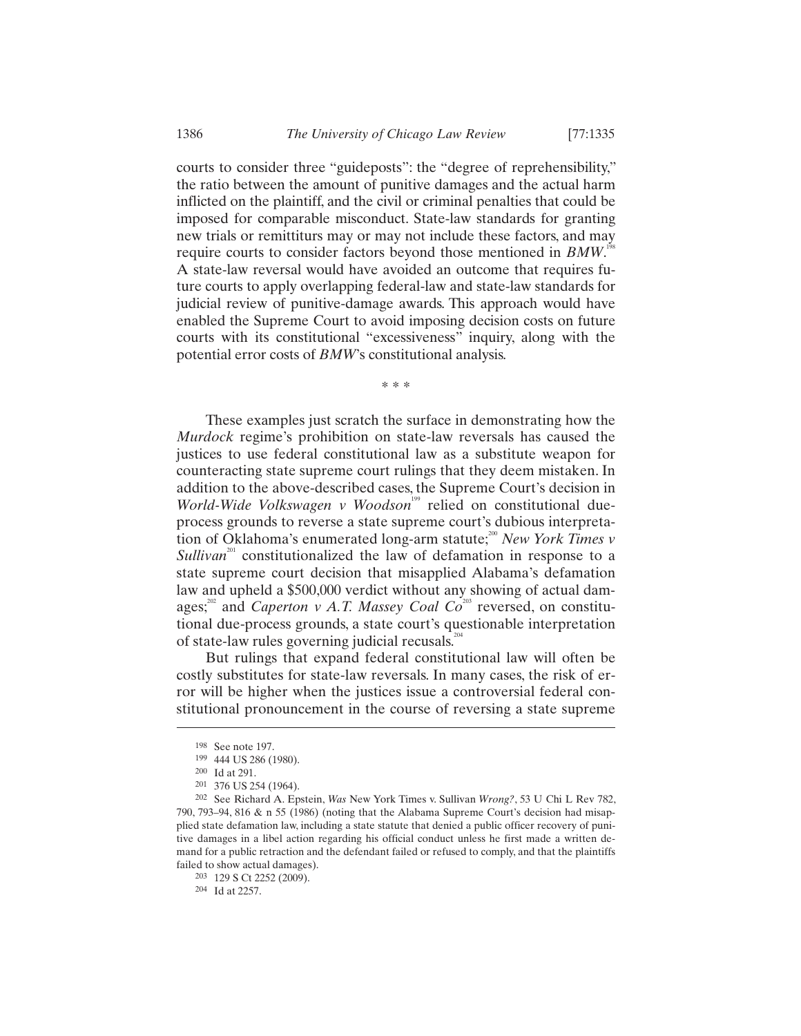courts to consider three "guideposts": the "degree of reprehensibility," the ratio between the amount of punitive damages and the actual harm inflicted on the plaintiff, and the civil or criminal penalties that could be imposed for comparable misconduct. State-law standards for granting new trials or remittiturs may or may not include these factors, and may require courts to consider factors beyond those mentioned in *BMW*.<sup>198</sup> A state-law reversal would have avoided an outcome that requires future courts to apply overlapping federal-law and state-law standards for judicial review of punitive-damage awards. This approach would have enabled the Supreme Court to avoid imposing decision costs on future courts with its constitutional "excessiveness" inquiry, along with the potential error costs of *BMW*'s constitutional analysis.

\* \* \*

These examples just scratch the surface in demonstrating how the *Murdock* regime's prohibition on state-law reversals has caused the justices to use federal constitutional law as a substitute weapon for counteracting state supreme court rulings that they deem mistaken. In addition to the above-described cases, the Supreme Court's decision in *World-Wide Volkswagen v Woodson*<sup>199</sup> relied on constitutional dueprocess grounds to reverse a state supreme court's dubious interpretation of Oklahoma's enumerated long-arm statute;<sup>200</sup> *New York Times v Sullivan*<sup>201</sup> constitutionalized the law of defamation in response to a state supreme court decision that misapplied Alabama's defamation law and upheld a \$500,000 verdict without any showing of actual damages;<sup>202</sup> and *Caperton v A.T. Massey Coal Co*<sup>203</sup> reversed, on constitutional due-process grounds, a state court's questionable interpretation of state-law rules governing judicial recusals.<sup>2</sup>

But rulings that expand federal constitutional law will often be costly substitutes for state-law reversals. In many cases, the risk of error will be higher when the justices issue a controversial federal constitutional pronouncement in the course of reversing a state supreme

<sup>198</sup> See note 197.<br>
199 444 US 286 (1980).<br>
200 Id at 291.<br>
201 376 US 254 (1964).

<sup>&</sup>lt;sup>202</sup> See Richard A. Epstein, *Was New York Times v. Sullivan Wrong?*, 53 U Chi L Rev 782, 790, 793–94, 816 & n 55 (1986) (noting that the Alabama Supreme Court's decision had misapplied state defamation law, including a state statute that denied a public officer recovery of punitive damages in a libel action regarding his official conduct unless he first made a written demand for a public retraction and the defendant failed or refused to comply, and that the plaintiffs failed to show actual damages).<br><sup>203</sup> 129 S Ct 2252 (2009).<br><sup>204</sup> Id at 2257.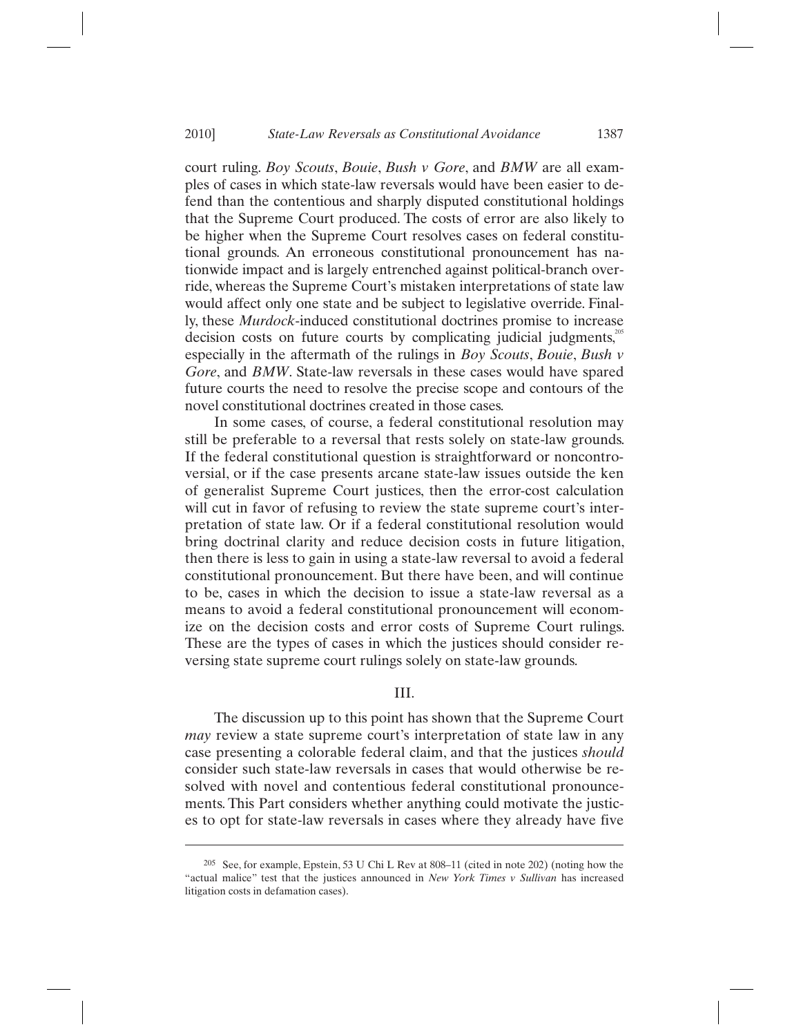court ruling. *Boy Scouts*, *Bouie*, *Bush v Gore*, and *BMW* are all examples of cases in which state-law reversals would have been easier to defend than the contentious and sharply disputed constitutional holdings that the Supreme Court produced. The costs of error are also likely to be higher when the Supreme Court resolves cases on federal constitutional grounds. An erroneous constitutional pronouncement has nationwide impact and is largely entrenched against political-branch override, whereas the Supreme Court's mistaken interpretations of state law would affect only one state and be subject to legislative override. Finally, these *Murdock*-induced constitutional doctrines promise to increase decision costs on future courts by complicating judicial judgments, $\alpha$ especially in the aftermath of the rulings in *Boy Scouts*, *Bouie*, *Bush v Gore*, and *BMW*. State-law reversals in these cases would have spared future courts the need to resolve the precise scope and contours of the novel constitutional doctrines created in those cases.

In some cases, of course, a federal constitutional resolution may still be preferable to a reversal that rests solely on state-law grounds. If the federal constitutional question is straightforward or noncontroversial, or if the case presents arcane state-law issues outside the ken of generalist Supreme Court justices, then the error-cost calculation will cut in favor of refusing to review the state supreme court's interpretation of state law. Or if a federal constitutional resolution would bring doctrinal clarity and reduce decision costs in future litigation, then there is less to gain in using a state-law reversal to avoid a federal constitutional pronouncement. But there have been, and will continue to be, cases in which the decision to issue a state-law reversal as a means to avoid a federal constitutional pronouncement will economize on the decision costs and error costs of Supreme Court rulings. These are the types of cases in which the justices should consider reversing state supreme court rulings solely on state-law grounds.

### III.

The discussion up to this point has shown that the Supreme Court *may* review a state supreme court's interpretation of state law in any case presenting a colorable federal claim, and that the justices *should* consider such state-law reversals in cases that would otherwise be resolved with novel and contentious federal constitutional pronouncements. This Part considers whether anything could motivate the justices to opt for state-law reversals in cases where they already have five

<sup>205</sup> See, for example, Epstein, 53 U Chi L Rev at 808–11 (cited in note 202) (noting how the "actual malice" test that the justices announced in *New York Times v Sullivan* has increased litigation costs in defamation cases).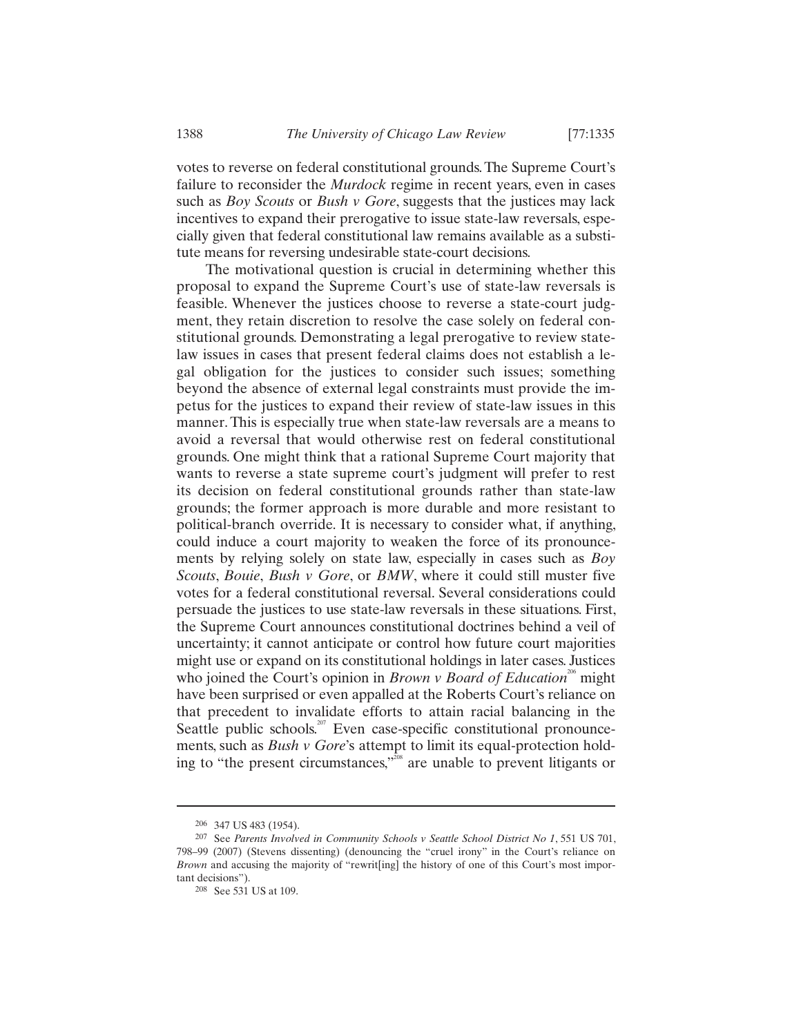votes to reverse on federal constitutional grounds. The Supreme Court's failure to reconsider the *Murdock* regime in recent years, even in cases such as *Boy Scouts* or *Bush v Gore*, suggests that the justices may lack incentives to expand their prerogative to issue state-law reversals, especially given that federal constitutional law remains available as a substitute means for reversing undesirable state-court decisions.

The motivational question is crucial in determining whether this proposal to expand the Supreme Court's use of state-law reversals is feasible. Whenever the justices choose to reverse a state-court judgment, they retain discretion to resolve the case solely on federal constitutional grounds. Demonstrating a legal prerogative to review statelaw issues in cases that present federal claims does not establish a legal obligation for the justices to consider such issues; something beyond the absence of external legal constraints must provide the impetus for the justices to expand their review of state-law issues in this manner. This is especially true when state-law reversals are a means to avoid a reversal that would otherwise rest on federal constitutional grounds. One might think that a rational Supreme Court majority that wants to reverse a state supreme court's judgment will prefer to rest its decision on federal constitutional grounds rather than state-law grounds; the former approach is more durable and more resistant to political-branch override. It is necessary to consider what, if anything, could induce a court majority to weaken the force of its pronouncements by relying solely on state law, especially in cases such as *Boy Scouts*, *Bouie*, *Bush v Gore*, or *BMW*, where it could still muster five votes for a federal constitutional reversal. Several considerations could persuade the justices to use state-law reversals in these situations. First, the Supreme Court announces constitutional doctrines behind a veil of uncertainty; it cannot anticipate or control how future court majorities might use or expand on its constitutional holdings in later cases. Justices who joined the Court's opinion in *Brown v Board of Education*<sup>206</sup> might have been surprised or even appalled at the Roberts Court's reliance on that precedent to invalidate efforts to attain racial balancing in the Seattle public schools.<sup>207</sup> Even case-specific constitutional pronouncements, such as *Bush v Gore*'s attempt to limit its equal-protection holding to "the present circumstances,"<sup>208</sup> are unable to prevent litigants or

<sup>206 347</sup> US 483 (1954). 207 See *Parents Involved in Community Schools v Seattle School District No 1*, 551 US 701, 798–99 (2007) (Stevens dissenting) (denouncing the "cruel irony" in the Court's reliance on *Brown* and accusing the majority of "rewrit[ing] the history of one of this Court's most important decisions"). 208 See 531 US at 109.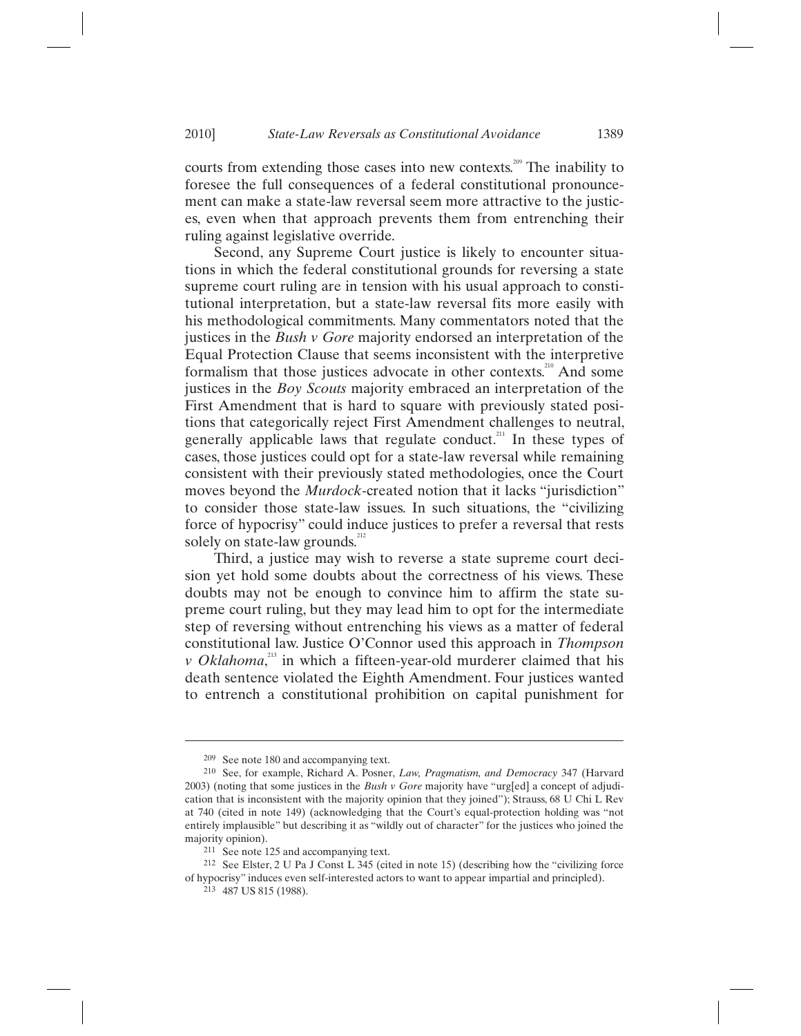courts from extending those cases into new contexts.<sup>209</sup> The inability to foresee the full consequences of a federal constitutional pronouncement can make a state-law reversal seem more attractive to the justices, even when that approach prevents them from entrenching their ruling against legislative override.

Second, any Supreme Court justice is likely to encounter situations in which the federal constitutional grounds for reversing a state supreme court ruling are in tension with his usual approach to constitutional interpretation, but a state-law reversal fits more easily with his methodological commitments. Many commentators noted that the justices in the *Bush v Gore* majority endorsed an interpretation of the Equal Protection Clause that seems inconsistent with the interpretive formalism that those justices advocate in other contexts.<sup>210</sup> And some justices in the *Boy Scouts* majority embraced an interpretation of the First Amendment that is hard to square with previously stated positions that categorically reject First Amendment challenges to neutral, generally applicable laws that regulate conduct.<sup>211</sup> In these types of cases, those justices could opt for a state-law reversal while remaining consistent with their previously stated methodologies, once the Court moves beyond the *Murdock*-created notion that it lacks "jurisdiction" to consider those state-law issues. In such situations, the "civilizing force of hypocrisy" could induce justices to prefer a reversal that rests solely on state-law grounds. $^{212}$ 

Third, a justice may wish to reverse a state supreme court decision yet hold some doubts about the correctness of his views. These doubts may not be enough to convince him to affirm the state supreme court ruling, but they may lead him to opt for the intermediate step of reversing without entrenching his views as a matter of federal constitutional law. Justice O'Connor used this approach in *Thompson v Oklahoma*<sup>213</sup> in which a fifteen-year-old murderer claimed that his death sentence violated the Eighth Amendment. Four justices wanted to entrench a constitutional prohibition on capital punishment for

<sup>209</sup> See note 180 and accompanying text. 210 See, for example, Richard A. Posner, *Law, Pragmatism, and Democracy* 347 (Harvard 2003) (noting that some justices in the *Bush v Gore* majority have "urg[ed] a concept of adjudication that is inconsistent with the majority opinion that they joined"); Strauss, 68 U Chi L Rev at 740 (cited in note 149) (acknowledging that the Court's equal-protection holding was "not entirely implausible" but describing it as "wildly out of character" for the justices who joined the majority opinion).<br><sup>211</sup> See note 125 and accompanying text.

<sup>212</sup> See Elster, 2 U Pa J Const L 345 (cited in note 15) (describing how the "civilizing force of hypocrisy" induces even self-interested actors to want to appear impartial and principled). 213 487 US 815 (1988).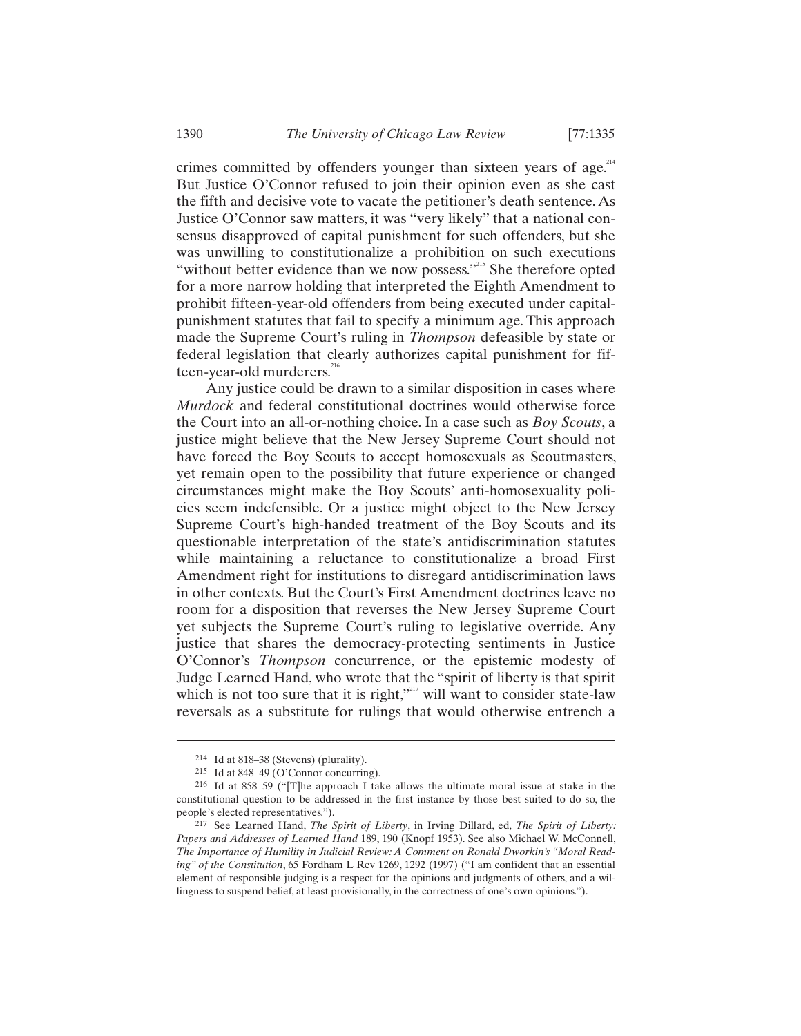crimes committed by offenders younger than sixteen years of age.<sup>214</sup> But Justice O'Connor refused to join their opinion even as she cast the fifth and decisive vote to vacate the petitioner's death sentence. As Justice O'Connor saw matters, it was "very likely" that a national consensus disapproved of capital punishment for such offenders, but she was unwilling to constitutionalize a prohibition on such executions "without better evidence than we now possess."<sup>215</sup> She therefore opted for a more narrow holding that interpreted the Eighth Amendment to prohibit fifteen-year-old offenders from being executed under capitalpunishment statutes that fail to specify a minimum age. This approach made the Supreme Court's ruling in *Thompson* defeasible by state or federal legislation that clearly authorizes capital punishment for fifteen-year-old murderers.<sup>216</sup>

Any justice could be drawn to a similar disposition in cases where *Murdock* and federal constitutional doctrines would otherwise force the Court into an all-or-nothing choice. In a case such as *Boy Scouts*, a justice might believe that the New Jersey Supreme Court should not have forced the Boy Scouts to accept homosexuals as Scoutmasters, yet remain open to the possibility that future experience or changed circumstances might make the Boy Scouts' anti-homosexuality policies seem indefensible. Or a justice might object to the New Jersey Supreme Court's high-handed treatment of the Boy Scouts and its questionable interpretation of the state's antidiscrimination statutes while maintaining a reluctance to constitutionalize a broad First Amendment right for institutions to disregard antidiscrimination laws in other contexts. But the Court's First Amendment doctrines leave no room for a disposition that reverses the New Jersey Supreme Court yet subjects the Supreme Court's ruling to legislative override. Any justice that shares the democracy-protecting sentiments in Justice O'Connor's *Thompson* concurrence, or the epistemic modesty of Judge Learned Hand, who wrote that the "spirit of liberty is that spirit which is not too sure that it is right,"<sup>217</sup> will want to consider state-law reversals as a substitute for rulings that would otherwise entrench a

<sup>&</sup>lt;sup>214</sup> Id at 818–38 (Stevens) (plurality).<br><sup>215</sup> Id at 848–49 (O'Connor concurring).

<sup>216</sup> Id at 858–59 ("[T]he approach I take allows the ultimate moral issue at stake in the constitutional question to be addressed in the first instance by those best suited to do so, the people's elected representatives.").

<sup>217</sup> See Learned Hand, *The Spirit of Liberty*, in Irving Dillard, ed, *The Spirit of Liberty: Papers and Addresses of Learned Hand* 189, 190 (Knopf 1953). See also Michael W. McConnell, *The Importance of Humility in Judicial Review: A Comment on Ronald Dworkin's "Moral Reading" of the Constitution*, 65 Fordham L Rev 1269, 1292 (1997) ("I am confident that an essential element of responsible judging is a respect for the opinions and judgments of others, and a willingness to suspend belief, at least provisionally, in the correctness of one's own opinions.").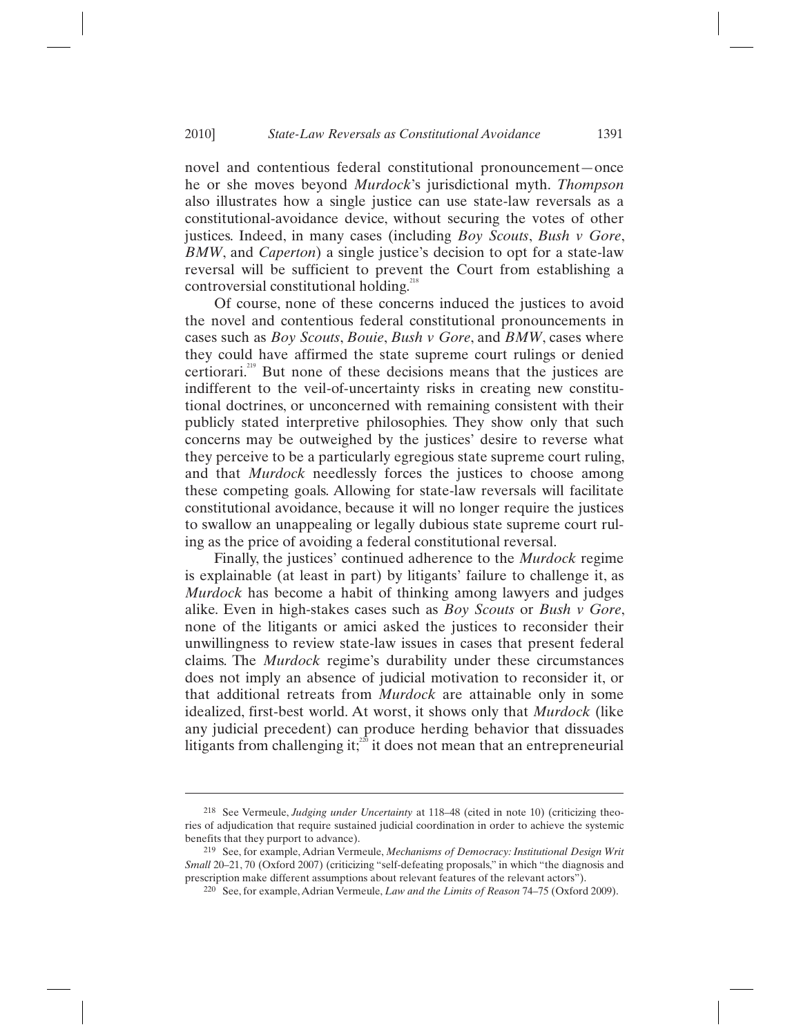novel and contentious federal constitutional pronouncement—once he or she moves beyond *Murdock*'s jurisdictional myth. *Thompson* also illustrates how a single justice can use state-law reversals as a constitutional-avoidance device, without securing the votes of other justices. Indeed, in many cases (including *Boy Scouts*, *Bush v Gore*, *BMW*, and *Caperton*) a single justice's decision to opt for a state-law reversal will be sufficient to prevent the Court from establishing a controversial constitutional holding. $2$ 

Of course, none of these concerns induced the justices to avoid the novel and contentious federal constitutional pronouncements in cases such as *Boy Scouts*, *Bouie*, *Bush v Gore*, and *BMW*, cases where they could have affirmed the state supreme court rulings or denied certiorari.<sup>219</sup> But none of these decisions means that the justices are indifferent to the veil-of-uncertainty risks in creating new constitutional doctrines, or unconcerned with remaining consistent with their publicly stated interpretive philosophies. They show only that such concerns may be outweighed by the justices' desire to reverse what they perceive to be a particularly egregious state supreme court ruling, and that *Murdock* needlessly forces the justices to choose among these competing goals. Allowing for state-law reversals will facilitate constitutional avoidance, because it will no longer require the justices to swallow an unappealing or legally dubious state supreme court ruling as the price of avoiding a federal constitutional reversal.

Finally, the justices' continued adherence to the *Murdock* regime is explainable (at least in part) by litigants' failure to challenge it, as *Murdock* has become a habit of thinking among lawyers and judges alike. Even in high-stakes cases such as *Boy Scouts* or *Bush v Gore*, none of the litigants or amici asked the justices to reconsider their unwillingness to review state-law issues in cases that present federal claims. The *Murdock* regime's durability under these circumstances does not imply an absence of judicial motivation to reconsider it, or that additional retreats from *Murdock* are attainable only in some idealized, first-best world. At worst, it shows only that *Murdock* (like any judicial precedent) can produce herding behavior that dissuades litigants from challenging it;<sup>220</sup> it does not mean that an entrepreneurial

<sup>218</sup> See Vermeule, *Judging under Uncertainty* at 118–48 (cited in note 10) (criticizing theories of adjudication that require sustained judicial coordination in order to achieve the systemic benefits that they purport to advance). 219 See, for example, Adrian Vermeule, *Mechanisms of Democracy: Institutional Design Writ* 

*Small* 20–21, 70 (Oxford 2007) (criticizing "self-defeating proposals," in which "the diagnosis and prescription make different assumptions about relevant features of the relevant actors"). 220 See, for example, Adrian Vermeule, *Law and the Limits of Reason* 74–75 (Oxford 2009).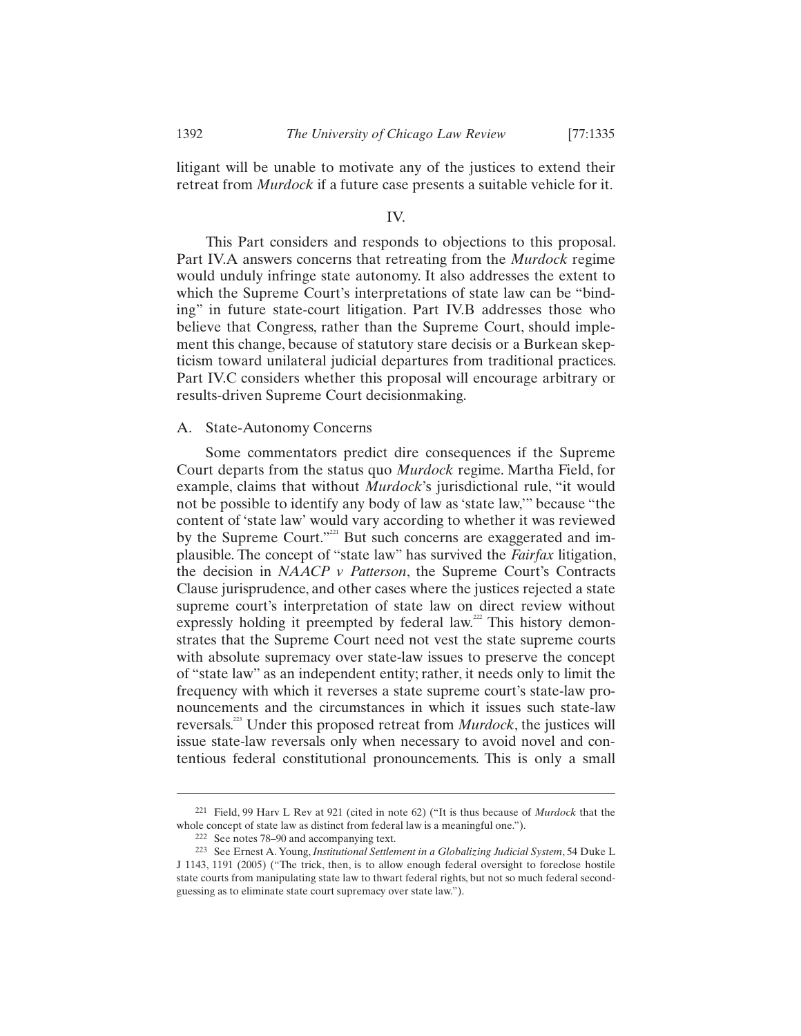litigant will be unable to motivate any of the justices to extend their retreat from *Murdock* if a future case presents a suitable vehicle for it.

### IV.

This Part considers and responds to objections to this proposal. Part IV.A answers concerns that retreating from the *Murdock* regime would unduly infringe state autonomy. It also addresses the extent to which the Supreme Court's interpretations of state law can be "binding" in future state-court litigation. Part IV.B addresses those who believe that Congress, rather than the Supreme Court, should implement this change, because of statutory stare decisis or a Burkean skepticism toward unilateral judicial departures from traditional practices. Part IV.C considers whether this proposal will encourage arbitrary or results-driven Supreme Court decisionmaking.

### A. State-Autonomy Concerns

Some commentators predict dire consequences if the Supreme Court departs from the status quo *Murdock* regime. Martha Field, for example, claims that without *Murdock*'s jurisdictional rule, "it would not be possible to identify any body of law as 'state law,'" because "the content of 'state law' would vary according to whether it was reviewed by the Supreme Court."<sup>221</sup> But such concerns are exaggerated and implausible. The concept of "state law" has survived the *Fairfax* litigation, the decision in *NAACP v Patterson*, the Supreme Court's Contracts Clause jurisprudence, and other cases where the justices rejected a state supreme court's interpretation of state law on direct review without expressly holding it preempted by federal law.<sup>222</sup> This history demonstrates that the Supreme Court need not vest the state supreme courts with absolute supremacy over state-law issues to preserve the concept of "state law" as an independent entity; rather, it needs only to limit the frequency with which it reverses a state supreme court's state-law pronouncements and the circumstances in which it issues such state-law reversals.223 Under this proposed retreat from *Murdock*, the justices will issue state-law reversals only when necessary to avoid novel and contentious federal constitutional pronouncements. This is only a small

<sup>221</sup> Field, 99 Harv L Rev at 921 (cited in note 62) ("It is thus because of *Murdock* that the whole concept of state law as distinct from federal law is a meaningful one.").<br><sup>222</sup> See notes 78–90 and accompanying text.<br><sup>223</sup> See Ernest A. Young, *Institutional Settlement in a Globalizing Judicial System*, 54 Duke L

J 1143, 1191 (2005) ("The trick, then, is to allow enough federal oversight to foreclose hostile state courts from manipulating state law to thwart federal rights, but not so much federal secondguessing as to eliminate state court supremacy over state law.").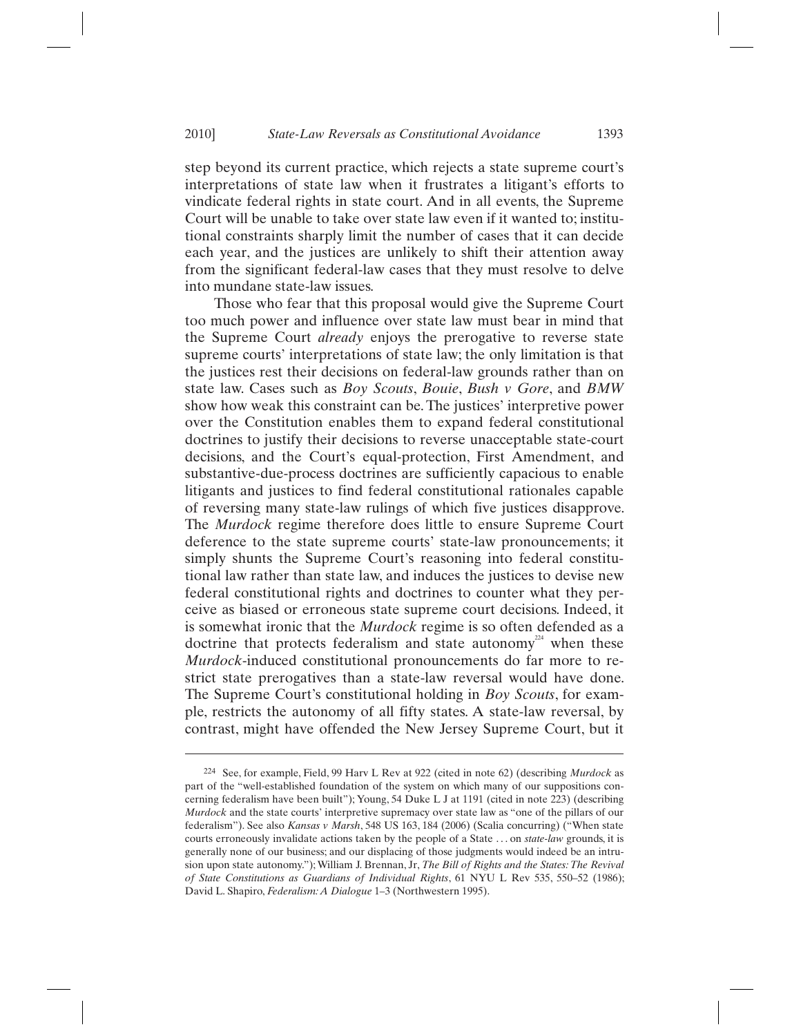step beyond its current practice, which rejects a state supreme court's interpretations of state law when it frustrates a litigant's efforts to vindicate federal rights in state court. And in all events, the Supreme Court will be unable to take over state law even if it wanted to; institutional constraints sharply limit the number of cases that it can decide each year, and the justices are unlikely to shift their attention away from the significant federal-law cases that they must resolve to delve into mundane state-law issues.

Those who fear that this proposal would give the Supreme Court too much power and influence over state law must bear in mind that the Supreme Court *already* enjoys the prerogative to reverse state supreme courts' interpretations of state law; the only limitation is that the justices rest their decisions on federal-law grounds rather than on state law. Cases such as *Boy Scouts*, *Bouie*, *Bush v Gore*, and *BMW* show how weak this constraint can be. The justices' interpretive power over the Constitution enables them to expand federal constitutional doctrines to justify their decisions to reverse unacceptable state-court decisions, and the Court's equal-protection, First Amendment, and substantive-due-process doctrines are sufficiently capacious to enable litigants and justices to find federal constitutional rationales capable of reversing many state-law rulings of which five justices disapprove. The *Murdock* regime therefore does little to ensure Supreme Court deference to the state supreme courts' state-law pronouncements; it simply shunts the Supreme Court's reasoning into federal constitutional law rather than state law, and induces the justices to devise new federal constitutional rights and doctrines to counter what they perceive as biased or erroneous state supreme court decisions. Indeed, it is somewhat ironic that the *Murdock* regime is so often defended as a doctrine that protects federalism and state autonomy<sup>224</sup> when these *Murdock*-induced constitutional pronouncements do far more to restrict state prerogatives than a state-law reversal would have done. The Supreme Court's constitutional holding in *Boy Scouts*, for example, restricts the autonomy of all fifty states. A state-law reversal, by contrast, might have offended the New Jersey Supreme Court, but it

<sup>224</sup> See, for example, Field, 99 Harv L Rev at 922 (cited in note 62) (describing *Murdock* as part of the "well-established foundation of the system on which many of our suppositions concerning federalism have been built"); Young, 54 Duke L J at 1191 (cited in note 223) (describing *Murdock* and the state courts' interpretive supremacy over state law as "one of the pillars of our federalism"). See also *Kansas v Marsh*, 548 US 163, 184 (2006) (Scalia concurring) ("When state courts erroneously invalidate actions taken by the people of a State . . . on *state-law* grounds, it is generally none of our business; and our displacing of those judgments would indeed be an intrusion upon state autonomy."); William J. Brennan, Jr, *The Bill of Rights and the States: The Revival of State Constitutions as Guardians of Individual Rights*, 61 NYU L Rev 535, 550–52 (1986); David L. Shapiro, *Federalism: A Dialogue* 1–3 (Northwestern 1995).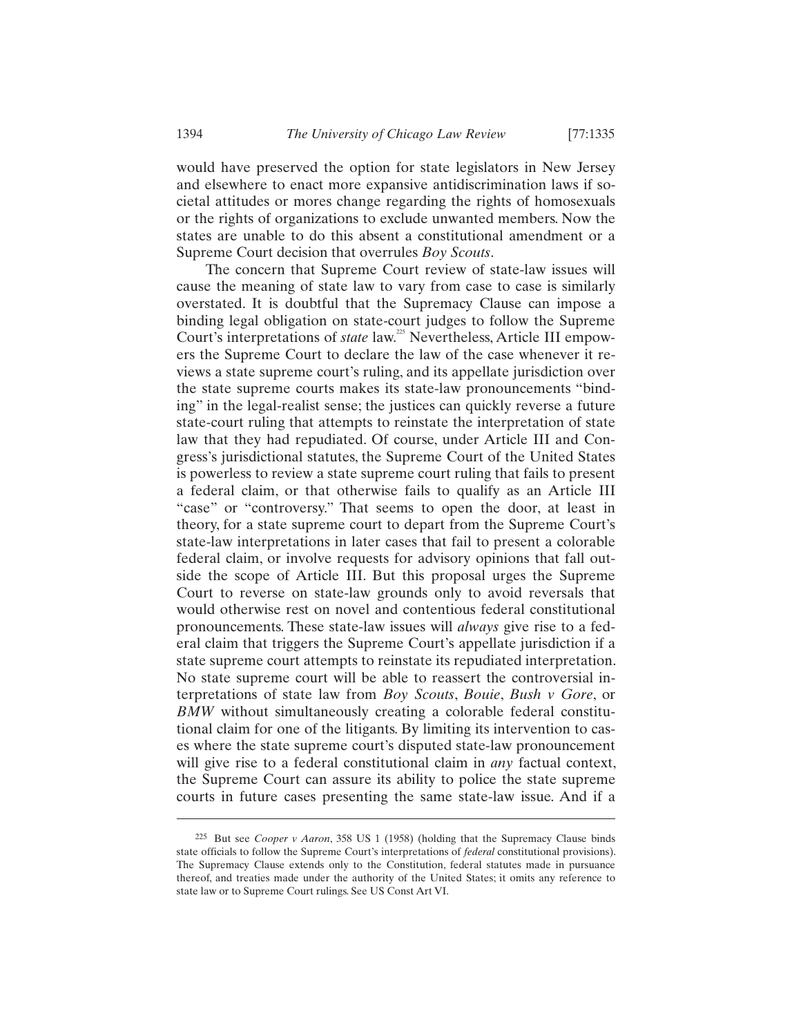would have preserved the option for state legislators in New Jersey and elsewhere to enact more expansive antidiscrimination laws if societal attitudes or mores change regarding the rights of homosexuals or the rights of organizations to exclude unwanted members. Now the states are unable to do this absent a constitutional amendment or a Supreme Court decision that overrules *Boy Scouts*.

The concern that Supreme Court review of state-law issues will cause the meaning of state law to vary from case to case is similarly overstated. It is doubtful that the Supremacy Clause can impose a binding legal obligation on state-court judges to follow the Supreme Court's interpretations of *state* law.<sup>225</sup> Nevertheless, Article III empowers the Supreme Court to declare the law of the case whenever it reviews a state supreme court's ruling, and its appellate jurisdiction over the state supreme courts makes its state-law pronouncements "binding" in the legal-realist sense; the justices can quickly reverse a future state-court ruling that attempts to reinstate the interpretation of state law that they had repudiated. Of course, under Article III and Congress's jurisdictional statutes, the Supreme Court of the United States is powerless to review a state supreme court ruling that fails to present a federal claim, or that otherwise fails to qualify as an Article III "case" or "controversy." That seems to open the door, at least in theory, for a state supreme court to depart from the Supreme Court's state-law interpretations in later cases that fail to present a colorable federal claim, or involve requests for advisory opinions that fall outside the scope of Article III. But this proposal urges the Supreme Court to reverse on state-law grounds only to avoid reversals that would otherwise rest on novel and contentious federal constitutional pronouncements. These state-law issues will *always* give rise to a federal claim that triggers the Supreme Court's appellate jurisdiction if a state supreme court attempts to reinstate its repudiated interpretation. No state supreme court will be able to reassert the controversial interpretations of state law from *Boy Scouts*, *Bouie*, *Bush v Gore*, or *BMW* without simultaneously creating a colorable federal constitutional claim for one of the litigants. By limiting its intervention to cases where the state supreme court's disputed state-law pronouncement will give rise to a federal constitutional claim in *any* factual context, the Supreme Court can assure its ability to police the state supreme courts in future cases presenting the same state-law issue. And if a

-

<sup>225</sup> But see *Cooper v Aaron*, 358 US 1 (1958) (holding that the Supremacy Clause binds state officials to follow the Supreme Court's interpretations of *federal* constitutional provisions). The Supremacy Clause extends only to the Constitution, federal statutes made in pursuance thereof, and treaties made under the authority of the United States; it omits any reference to state law or to Supreme Court rulings. See US Const Art VI.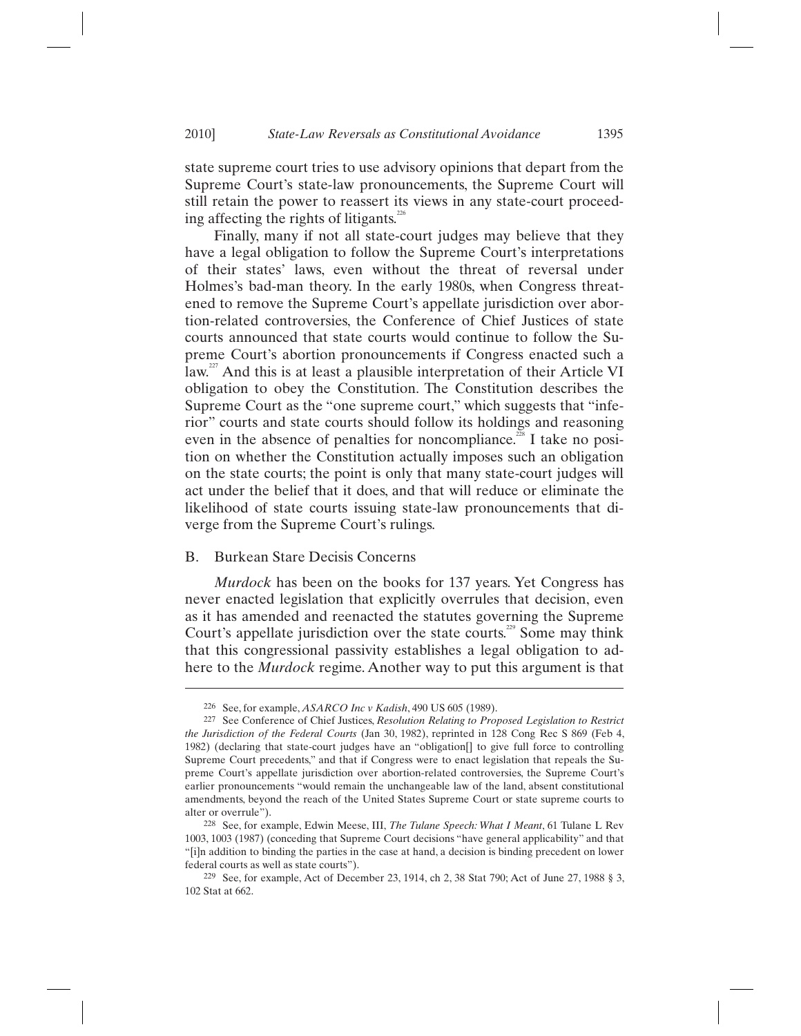state supreme court tries to use advisory opinions that depart from the Supreme Court's state-law pronouncements, the Supreme Court will still retain the power to reassert its views in any state-court proceeding affecting the rights of litigants.<sup>226</sup>

Finally, many if not all state-court judges may believe that they have a legal obligation to follow the Supreme Court's interpretations of their states' laws, even without the threat of reversal under Holmes's bad-man theory. In the early 1980s, when Congress threatened to remove the Supreme Court's appellate jurisdiction over abortion-related controversies, the Conference of Chief Justices of state courts announced that state courts would continue to follow the Supreme Court's abortion pronouncements if Congress enacted such a law.<sup>227</sup> And this is at least a plausible interpretation of their Article VI obligation to obey the Constitution. The Constitution describes the Supreme Court as the "one supreme court," which suggests that "inferior" courts and state courts should follow its holdings and reasoning even in the absence of penalties for noncompliance.<sup>228</sup> I take no position on whether the Constitution actually imposes such an obligation on the state courts; the point is only that many state-court judges will act under the belief that it does, and that will reduce or eliminate the likelihood of state courts issuing state-law pronouncements that diverge from the Supreme Court's rulings.

# B. Burkean Stare Decisis Concerns

 $\overline{a}$ 

*Murdock* has been on the books for 137 years. Yet Congress has never enacted legislation that explicitly overrules that decision, even as it has amended and reenacted the statutes governing the Supreme Court's appellate jurisdiction over the state courts.<sup>229</sup> Some may think that this congressional passivity establishes a legal obligation to adhere to the *Murdock* regime. Another way to put this argument is that

<sup>226</sup> See, for example, *ASARCO Inc v Kadish*, 490 US 605 (1989). 227 See Conference of Chief Justices, *Resolution Relating to Proposed Legislation to Restrict the Jurisdiction of the Federal Courts* (Jan 30, 1982), reprinted in 128 Cong Rec S 869 (Feb 4, 1982) (declaring that state-court judges have an "obligation[] to give full force to controlling Supreme Court precedents," and that if Congress were to enact legislation that repeals the Supreme Court's appellate jurisdiction over abortion-related controversies, the Supreme Court's earlier pronouncements "would remain the unchangeable law of the land, absent constitutional amendments, beyond the reach of the United States Supreme Court or state supreme courts to alter or overrule").

<sup>228</sup> See, for example, Edwin Meese, III, *The Tulane Speech: What I Meant*, 61 Tulane L Rev 1003, 1003 (1987) (conceding that Supreme Court decisions "have general applicability" and that "[i]n addition to binding the parties in the case at hand, a decision is binding precedent on lower federal courts as well as state courts"). 229 See, for example, Act of December 23, 1914, ch 2, 38 Stat 790; Act of June 27, 1988 § 3,

<sup>102</sup> Stat at 662.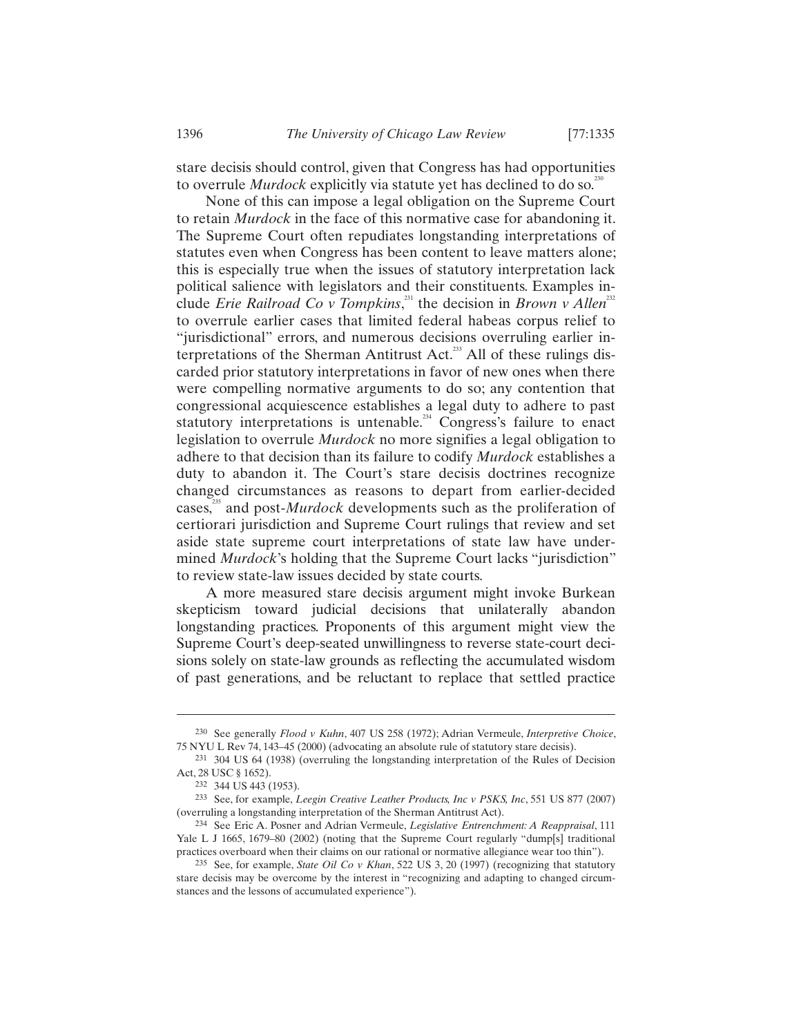stare decisis should control, given that Congress has had opportunities to overrule *Murdock* explicitly via statute yet has declined to do so.<sup>23</sup>

None of this can impose a legal obligation on the Supreme Court to retain *Murdock* in the face of this normative case for abandoning it. The Supreme Court often repudiates longstanding interpretations of statutes even when Congress has been content to leave matters alone; this is especially true when the issues of statutory interpretation lack political salience with legislators and their constituents. Examples include *Erie Railroad Co v Tompkins*,<sup>231</sup> the decision in *Brown v Allen*<sup>232</sup> to overrule earlier cases that limited federal habeas corpus relief to "jurisdictional" errors, and numerous decisions overruling earlier interpretations of the Sherman Antitrust Act.<sup>233</sup> All of these rulings discarded prior statutory interpretations in favor of new ones when there were compelling normative arguments to do so; any contention that congressional acquiescence establishes a legal duty to adhere to past statutory interpretations is untenable.<sup>234</sup> Congress's failure to enact legislation to overrule *Murdock* no more signifies a legal obligation to adhere to that decision than its failure to codify *Murdock* establishes a duty to abandon it. The Court's stare decisis doctrines recognize changed circumstances as reasons to depart from earlier-decided cases,235 and post-*Murdock* developments such as the proliferation of certiorari jurisdiction and Supreme Court rulings that review and set aside state supreme court interpretations of state law have undermined *Murdock*'s holding that the Supreme Court lacks "jurisdiction" to review state-law issues decided by state courts.

A more measured stare decisis argument might invoke Burkean skepticism toward judicial decisions that unilaterally abandon longstanding practices. Proponents of this argument might view the Supreme Court's deep-seated unwillingness to reverse state-court decisions solely on state-law grounds as reflecting the accumulated wisdom of past generations, and be reluctant to replace that settled practice

<sup>230</sup> See generally *Flood v Kuhn*, 407 US 258 (1972); Adrian Vermeule, *Interpretive Choice*,

 $231$  304 US 64 (1938) (overruling the longstanding interpretation of the Rules of Decision Act, 28 USC § 1652).<br><sup>232</sup> 344 US 443 (1953).

<sup>&</sup>lt;sup>233</sup> See, for example, *Leegin Creative Leather Products, Inc v PSKS, Inc*, 551 US 877 (2007) (overruling a longstanding interpretation of the Sherman Antitrust Act).

<sup>234</sup> See Eric A. Posner and Adrian Vermeule, *Legislative Entrenchment: A Reappraisal*, 111 Yale L J 1665, 1679–80 (2002) (noting that the Supreme Court regularly "dump[s] traditional practices overboard when their claims on our rational or normative allegiance wear too thin").

<sup>235</sup> See, for example, *State Oil Co v Khan*, 522 US 3, 20 (1997) (recognizing that statutory stare decisis may be overcome by the interest in "recognizing and adapting to changed circumstances and the lessons of accumulated experience").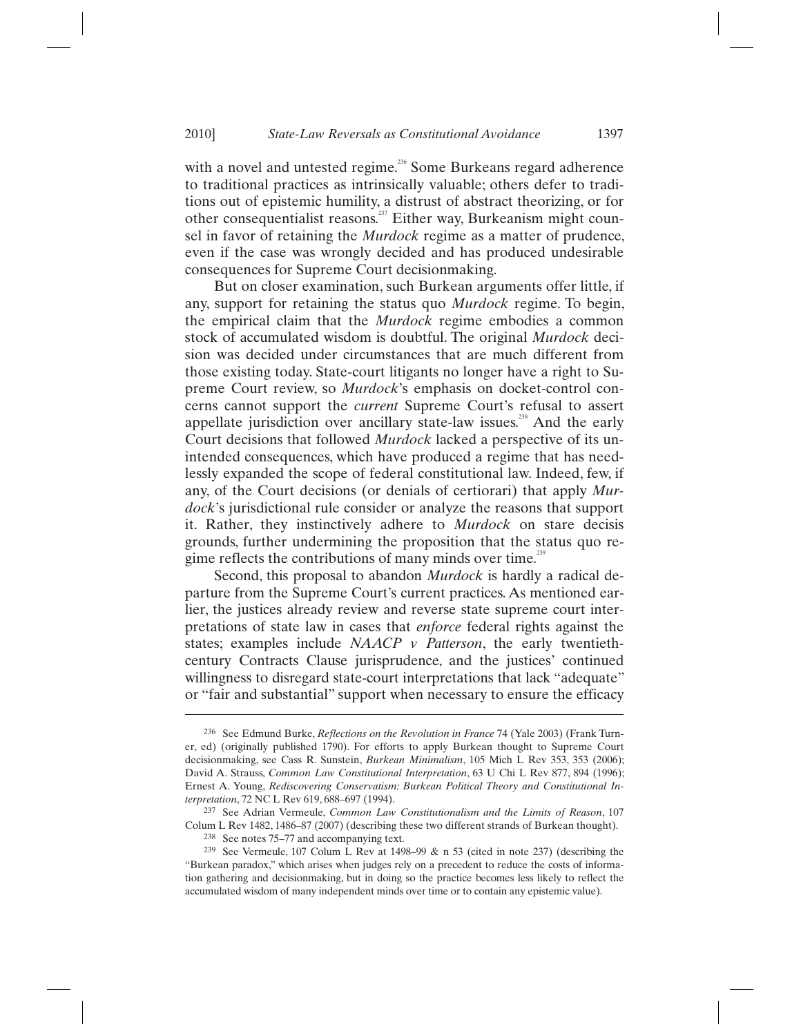with a novel and untested regime.<sup>236</sup> Some Burkeans regard adherence to traditional practices as intrinsically valuable; others defer to traditions out of epistemic humility, a distrust of abstract theorizing, or for other consequentialist reasons.<sup>237</sup> Either way, Burkeanism might counsel in favor of retaining the *Murdock* regime as a matter of prudence, even if the case was wrongly decided and has produced undesirable consequences for Supreme Court decisionmaking.

But on closer examination, such Burkean arguments offer little, if any, support for retaining the status quo *Murdock* regime. To begin, the empirical claim that the *Murdock* regime embodies a common stock of accumulated wisdom is doubtful. The original *Murdock* decision was decided under circumstances that are much different from those existing today. State-court litigants no longer have a right to Supreme Court review, so *Murdock*'s emphasis on docket-control concerns cannot support the *current* Supreme Court's refusal to assert appellate jurisdiction over ancillary state-law issues.<sup>238</sup> And the early Court decisions that followed *Murdock* lacked a perspective of its unintended consequences, which have produced a regime that has needlessly expanded the scope of federal constitutional law. Indeed, few, if any, of the Court decisions (or denials of certiorari) that apply *Murdock*'s jurisdictional rule consider or analyze the reasons that support it. Rather, they instinctively adhere to *Murdock* on stare decisis grounds, further undermining the proposition that the status quo regime reflects the contributions of many minds over time.<sup>239</sup>

Second, this proposal to abandon *Murdock* is hardly a radical departure from the Supreme Court's current practices. As mentioned earlier, the justices already review and reverse state supreme court interpretations of state law in cases that *enforce* federal rights against the states; examples include *NAACP v Patterson*, the early twentiethcentury Contracts Clause jurisprudence, and the justices' continued willingness to disregard state-court interpretations that lack "adequate" or "fair and substantial" support when necessary to ensure the efficacy

<sup>236</sup> See Edmund Burke, *Reflections on the Revolution in France* 74 (Yale 2003) (Frank Turner, ed) (originally published 1790). For efforts to apply Burkean thought to Supreme Court decisionmaking, see Cass R. Sunstein, *Burkean Minimalism*, 105 Mich L Rev 353, 353 (2006); David A. Strauss, *Common Law Constitutional Interpretation*, 63 U Chi L Rev 877, 894 (1996); Ernest A. Young, *Rediscovering Conservatism: Burkean Political Theory and Constitutional In-*

<sup>&</sup>lt;sup>237</sup> See Adrian Vermeule, *Common Law Constitutionalism and the Limits of Reason*, 107 Colum L Rev 1482, 1486–87 (2007) (describing these two different strands of Burkean thought). 238 See notes 75–77 and accompanying text. 239 See Vermeule, 107 Colum L Rev at 1498–99 & n 53 (cited in note 237) (describing the

<sup>&</sup>quot;Burkean paradox," which arises when judges rely on a precedent to reduce the costs of information gathering and decisionmaking, but in doing so the practice becomes less likely to reflect the accumulated wisdom of many independent minds over time or to contain any epistemic value).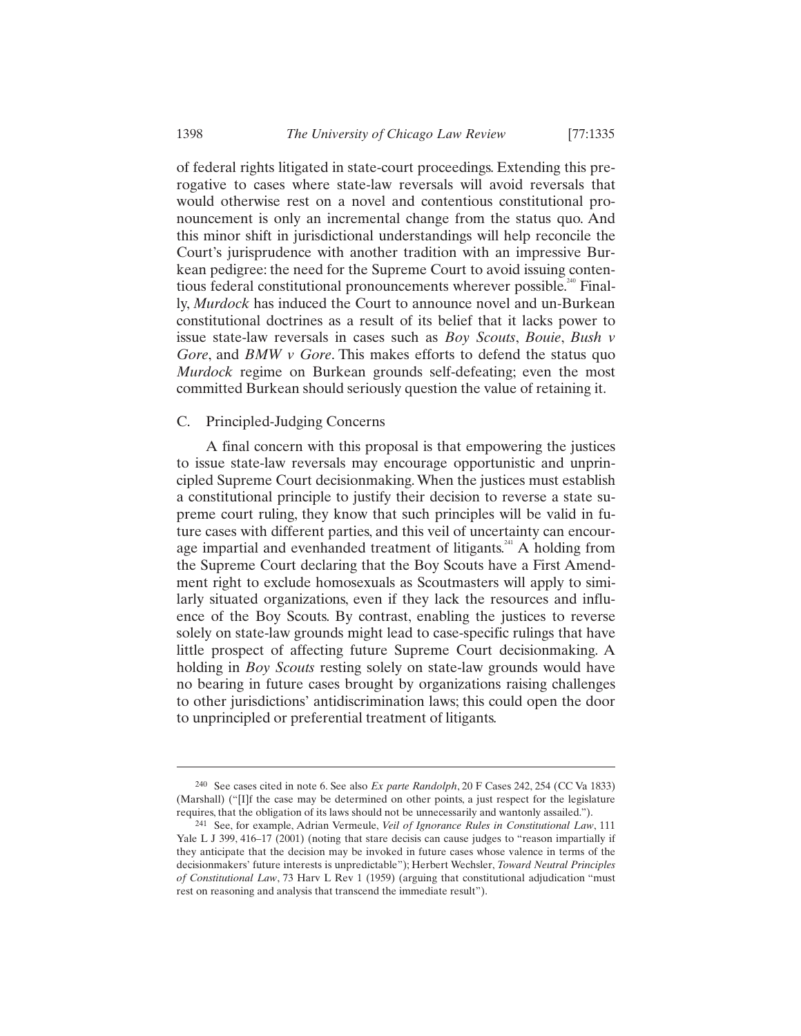of federal rights litigated in state-court proceedings. Extending this prerogative to cases where state-law reversals will avoid reversals that would otherwise rest on a novel and contentious constitutional pronouncement is only an incremental change from the status quo. And this minor shift in jurisdictional understandings will help reconcile the Court's jurisprudence with another tradition with an impressive Burkean pedigree: the need for the Supreme Court to avoid issuing contentious federal constitutional pronouncements wherever possible.<sup>240</sup> Finally, *Murdock* has induced the Court to announce novel and un-Burkean constitutional doctrines as a result of its belief that it lacks power to issue state-law reversals in cases such as *Boy Scouts*, *Bouie*, *Bush v Gore*, and *BMW v Gore*. This makes efforts to defend the status quo *Murdock* regime on Burkean grounds self-defeating; even the most committed Burkean should seriously question the value of retaining it.

### C. Principled-Judging Concerns

A final concern with this proposal is that empowering the justices to issue state-law reversals may encourage opportunistic and unprincipled Supreme Court decisionmaking. When the justices must establish a constitutional principle to justify their decision to reverse a state supreme court ruling, they know that such principles will be valid in future cases with different parties, and this veil of uncertainty can encourage impartial and evenhanded treatment of litigants.<sup>241</sup> A holding from the Supreme Court declaring that the Boy Scouts have a First Amendment right to exclude homosexuals as Scoutmasters will apply to similarly situated organizations, even if they lack the resources and influence of the Boy Scouts. By contrast, enabling the justices to reverse solely on state-law grounds might lead to case-specific rulings that have little prospect of affecting future Supreme Court decisionmaking. A holding in *Boy Scouts* resting solely on state-law grounds would have no bearing in future cases brought by organizations raising challenges to other jurisdictions' antidiscrimination laws; this could open the door to unprincipled or preferential treatment of litigants.

<sup>240</sup> See cases cited in note 6. See also *Ex parte Randolph*, 20 F Cases 242, 254 (CC Va 1833) (Marshall) ("[I]f the case may be determined on other points, a just respect for the legislature requires, that the obligation of its laws should not be unnecessarily and wantonly assailed.").

<sup>241</sup> See, for example, Adrian Vermeule, *Veil of Ignorance Rules in Constitutional Law*, 111 Yale L J 399, 416–17 (2001) (noting that stare decisis can cause judges to "reason impartially if they anticipate that the decision may be invoked in future cases whose valence in terms of the decisionmakers' future interests is unpredictable"); Herbert Wechsler, *Toward Neutral Principles of Constitutional Law*, 73 Harv L Rev 1 (1959) (arguing that constitutional adjudication "must rest on reasoning and analysis that transcend the immediate result").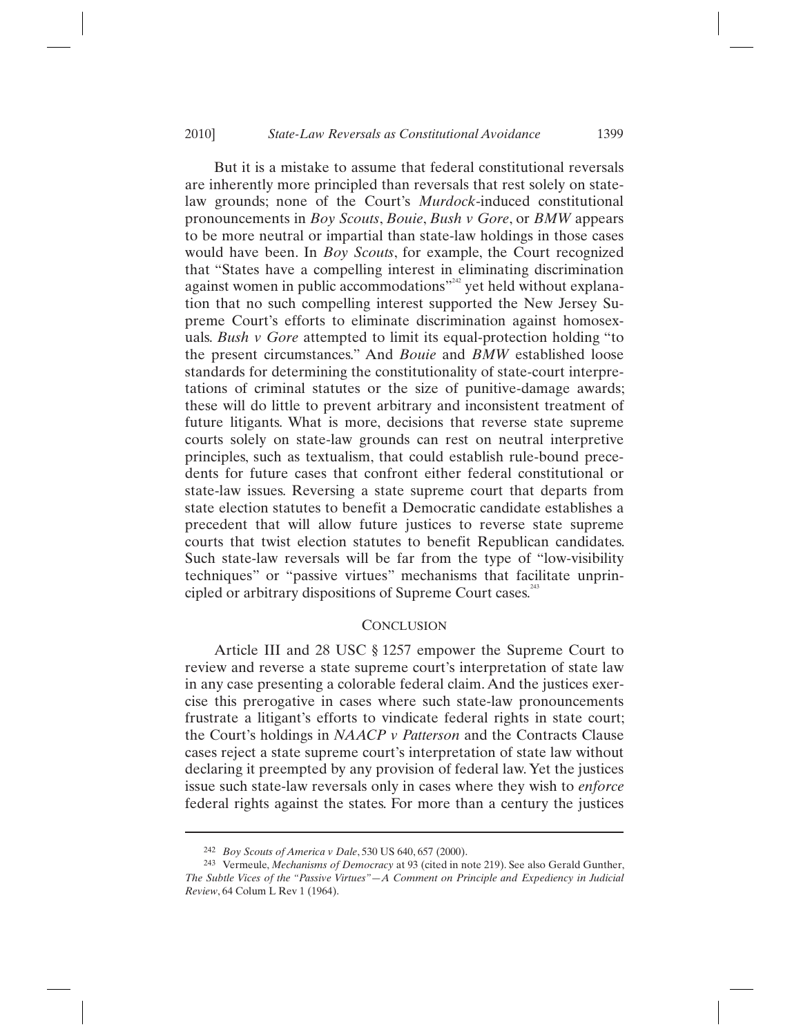But it is a mistake to assume that federal constitutional reversals are inherently more principled than reversals that rest solely on statelaw grounds; none of the Court's *Murdock*-induced constitutional pronouncements in *Boy Scouts*, *Bouie*, *Bush v Gore*, or *BMW* appears to be more neutral or impartial than state-law holdings in those cases would have been. In *Boy Scouts*, for example, the Court recognized that "States have a compelling interest in eliminating discrimination against women in public accommodations<sup>"242</sup> yet held without explanation that no such compelling interest supported the New Jersey Supreme Court's efforts to eliminate discrimination against homosexuals. *Bush v Gore* attempted to limit its equal-protection holding "to the present circumstances." And *Bouie* and *BMW* established loose standards for determining the constitutionality of state-court interpretations of criminal statutes or the size of punitive-damage awards; these will do little to prevent arbitrary and inconsistent treatment of future litigants. What is more, decisions that reverse state supreme courts solely on state-law grounds can rest on neutral interpretive principles, such as textualism, that could establish rule-bound precedents for future cases that confront either federal constitutional or state-law issues. Reversing a state supreme court that departs from state election statutes to benefit a Democratic candidate establishes a precedent that will allow future justices to reverse state supreme courts that twist election statutes to benefit Republican candidates. Such state-law reversals will be far from the type of "low-visibility techniques" or "passive virtues" mechanisms that facilitate unprincipled or arbitrary dispositions of Supreme Court cases.<sup>24</sup>

### **CONCLUSION**

Article III and 28 USC § 1257 empower the Supreme Court to review and reverse a state supreme court's interpretation of state law in any case presenting a colorable federal claim. And the justices exercise this prerogative in cases where such state-law pronouncements frustrate a litigant's efforts to vindicate federal rights in state court; the Court's holdings in *NAACP v Patterson* and the Contracts Clause cases reject a state supreme court's interpretation of state law without declaring it preempted by any provision of federal law. Yet the justices issue such state-law reversals only in cases where they wish to *enforce* federal rights against the states. For more than a century the justices

<sup>242</sup> *Boy Scouts of America v Dale*, 530 US 640, 657 (2000).

<sup>243</sup> Vermeule, *Mechanisms of Democracy* at 93 (cited in note 219). See also Gerald Gunther, *The Subtle Vices of the "Passive Virtues"—A Comment on Principle and Expediency in Judicial Review*, 64 Colum L Rev 1 (1964).